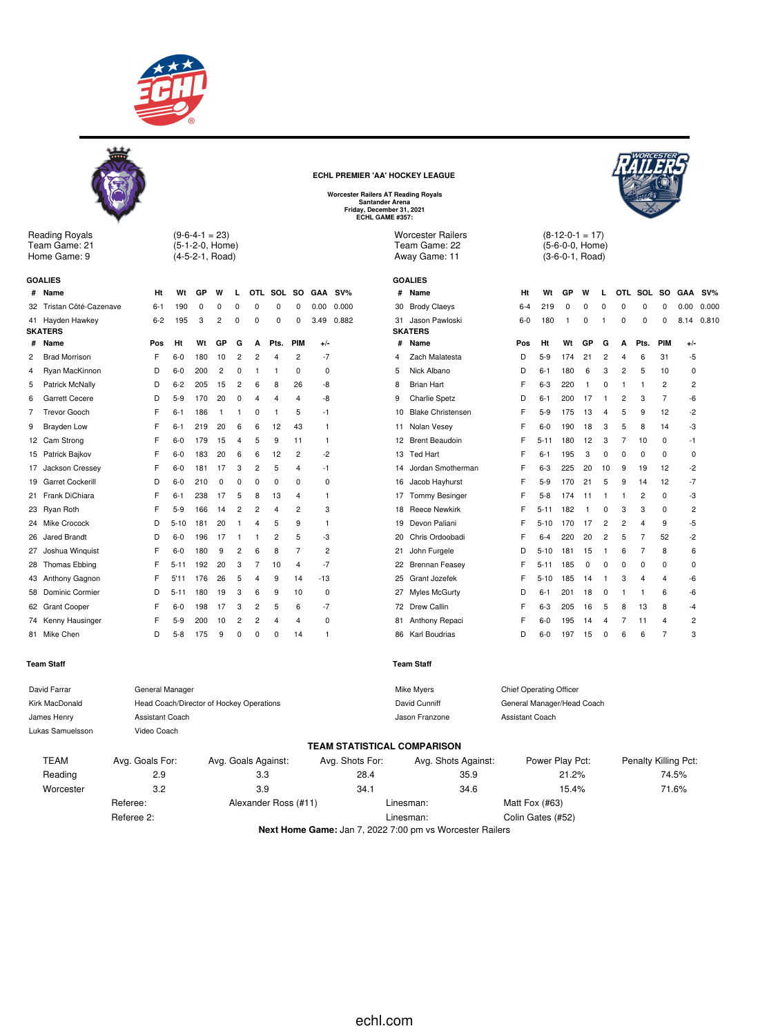



Reading Royals Team Game: 21 Home Game: 9

 $(9-6-4-1 = 23)$ 

(5-1-2-0, Home) (4-5-2-1, Road)

|    | <b>GOALIES</b>         |         |          |     |                |                |                |                |                |                |        |
|----|------------------------|---------|----------|-----|----------------|----------------|----------------|----------------|----------------|----------------|--------|
| #  | Name                   | Ht      | Wt       | GP  | W              |                |                | OTL SOL        | <b>SO</b>      | <b>GAA</b>     | $SV\%$ |
| 32 | Tristan Côté-Cazenave  | $6-1$   | 190      | 0   | 0              | 0              | 0              | 0              | 0              | 0.00           | 0.000  |
| 41 | Hayden Hawkey          | $6 - 2$ | 195      | 3   | $\overline{2}$ | $\mathbf 0$    | 0              | $\mathbf 0$    | 0              | 3.49           | 0.882  |
|    | <b>SKATERS</b>         |         |          |     |                |                |                |                |                |                |        |
| #  | Name                   | Pos     | Ht       | Wt  | GP             | G              | A              | Pts.           | PIM            | $+/-$          |        |
| 2  | <b>Brad Morrison</b>   | F       | $6-0$    | 180 | 10             | $\overline{2}$ | 2              | 4              | 2              | -7             |        |
| 4  | Ryan MacKinnon         | D       | $6-0$    | 200 | 2              | $\Omega$       | 1              | 1              | 0              | 0              |        |
| 5  | Patrick McNally        | D       | $6 - 2$  | 205 | 15             | $\overline{2}$ | 6              | 8              | 26             | -8             |        |
| 6  | Garrett Cecere         | D       | $5-9$    | 170 | 20             | 0              | 4              | 4              | $\overline{4}$ | -8             |        |
| 7  | <b>Trevor Gooch</b>    | F       | $6 - 1$  | 186 | 1              | 1              | 0              | 1              | 5              | -1             |        |
| 9  | Brayden Low            | F       | $6 - 1$  | 219 | 20             | 6              | 6              | 12             | 43             | 1              |        |
| 12 | Cam Strong             | F       | $6-0$    | 179 | 15             | 4              | 5              | 9              | 11             | 1              |        |
| 15 | Patrick Bajkov         | F       | $6-0$    | 183 | 20             | 6              | 6              | 12             | 2              | -2             |        |
| 17 | Jackson Cressey        | F       | $6-0$    | 181 | 17             | 3              | 2              | 5              | $\overline{4}$ | -1             |        |
| 19 | Garret Cockerill       | D       | 6-0      | 210 | 0              | 0              | 0              | 0              | 0              | 0              |        |
| 21 | Frank DiChiara         | F       | $6 - 1$  | 238 | 17             | 5              | 8              | 13             | $\overline{4}$ | 1              |        |
| 23 | Ryan Roth              | F       | $5-9$    | 166 | 14             | $\overline{2}$ | $\overline{2}$ | 4              | 2              | 3              |        |
| 24 | Mike Crocock           | D       | $5 - 10$ | 181 | 20             | 1              | 4              | 5              | 9              | 1              |        |
| 26 | Jared Brandt           | D       | $6-0$    | 196 | 17             | 1              | 1              | $\overline{2}$ | 5              | -3             |        |
| 27 | Joshua Winguist        | F       | $6-0$    | 180 | 9              | 2              | 6              | 8              | $\overline{7}$ | $\overline{c}$ |        |
| 28 | Thomas Ebbing          | F       | $5 - 11$ | 192 | 20             | 3              | 7              | 10             | $\overline{4}$ | $-7$           |        |
| 43 | Anthony Gagnon         | F       | 5'11     | 176 | 26             | 5              | 4              | 9              | 14             | $-13$          |        |
| 58 | <b>Dominic Cormier</b> | D       | $5 - 11$ | 180 | 19             | 3              | 6              | 9              | 10             | 0              |        |
| 62 | <b>Grant Cooper</b>    | F       | $6-0$    | 198 | 17             | 3              | $\overline{2}$ | 5              | 6              | -7             |        |
|    | 74 Kenny Hausinger     | F       | $5-9$    | 200 | 10             | $\overline{2}$ | $\overline{c}$ | 4              | 4              | 0              |        |

81 Mike Chen D 5-8 175 9 0 0 0 14 1

# **Team Staff**

**ECHL PREMIER 'AA' HOCKEY LEAGUE**

**Worcester Railers AT Reading Royals Santander Arena Friday, December 31, 2021 ECHL GAME #357:**

Worcester Railers Team Game: 22 Away Game: 11

# **GOALIES SKATERS** 4 Zach M 5 Nick A 8 Brian 9 Charlie 10 Blake 11 Nolan 13 Ted H 16 Jacob 17 Tomm 18 Reece

 $(8-12-0-1=17)$ (5-6-0-0, Home) (3-6-0-1, Road)

| #  | Name                     | Ht    | Wt       | GP  | W  | L              | OTL.                    | <b>SOL</b>     | <b>SO</b>      | <b>GAA</b>     | $SV\%$ |
|----|--------------------------|-------|----------|-----|----|----------------|-------------------------|----------------|----------------|----------------|--------|
| 30 | <b>Brody Claeys</b>      | 6-4   | 219      | 0   | 0  | 0              | $\mathbf 0$             | 0              | 0              | 0.00           | 0.000  |
| 31 | Jason Pawloski           | $6-0$ | 180      | 1   | 0  | 1              | 0                       | 0              | 0              | 8.14           | 0.810  |
|    | <b>SKATERS</b>           |       |          |     |    |                |                         |                |                |                |        |
| #  | Name                     | Pos   | Ht       | Wt  | GP | G              | A                       | Pts.           | PIM            | +/-            |        |
| 4  | Zach Malatesta           | D     | $5-9$    | 174 | 21 | $\overline{c}$ | $\overline{\mathbf{4}}$ | 6              | 31             | -5             |        |
| 5  | Nick Albano              | D     | $6 - 1$  | 180 | 6  | 3              | 2                       | 5              | 10             | 0              |        |
| 8  | <b>Brian Hart</b>        | F     | $6 - 3$  | 220 | 1  | 0              | 1                       | 1              | $\overline{2}$ | $\overline{c}$ |        |
| 9  | <b>Charlie Spetz</b>     | D     | $6 - 1$  | 200 | 17 | 1              | $\overline{2}$          | 3              | 7              | $-6$           |        |
| 10 | <b>Blake Christensen</b> | F     | $5-9$    | 175 | 13 | 4              | 5                       | 9              | 12             | $-2$           |        |
| 11 | Nolan Vesey              | F     | $6-0$    | 190 | 18 | 3              | 5                       | 8              | 14             | -3             |        |
| 12 | <b>Brent Beaudoin</b>    | F     | $5 - 11$ | 180 | 12 | 3              | $\overline{7}$          | 10             | 0              | $-1$           |        |
| 13 | <b>Ted Hart</b>          | F     | $6 - 1$  | 195 | 3  | 0              | 0                       | 0              | 0              | $\mathbf 0$    |        |
| 14 | Jordan Smotherman        | F     | $6 - 3$  | 225 | 20 | 10             | 9                       | 19             | 12             | $-2$           |        |
| 16 | Jacob Hayhurst           | F     | $5-9$    | 170 | 21 | 5              | 9                       | 14             | 12             | $-7$           |        |
| 17 | <b>Tommy Besinger</b>    | F     | $5-8$    | 174 | 11 | 1              | 1                       | 2              | 0              | -3             |        |
| 18 | <b>Reece Newkirk</b>     | F     | $5 - 11$ | 182 | 1  | 0              | 3                       | 3              | 0              | $\overline{2}$ |        |
| 19 | Devon Paliani            | F     | $5 - 10$ | 170 | 17 | $\overline{c}$ | $\overline{2}$          | $\overline{4}$ | 9              | -5             |        |
| 20 | Chris Ordoobadi          | F     | $6 - 4$  | 220 | 20 | $\overline{2}$ | 5                       | $\overline{7}$ | 52             | $-2$           |        |
| 21 | John Furgele             | D     | $5 - 10$ | 181 | 15 | 1              | 6                       | 7              | 8              | 6              |        |
| 22 | <b>Brennan Feasey</b>    | F     | $5 - 11$ | 185 | 0  | 0              | 0                       | 0              | 0              | 0              |        |
| 25 | Grant Jozefek            | F     | $5 - 10$ | 185 | 14 | 1              | 3                       | 4              | 4              | $-6$           |        |
| 27 | Myles McGurty            | D     | $6 - 1$  | 201 | 18 | 0              | 1                       | 1              | 6              | $-6$           |        |
| 72 | Drew Callin              | F     | $6 - 3$  | 205 | 16 | 5              | 8                       | 13             | 8              | -4             |        |
| 81 | Anthony Repaci           | F     | $6 - 0$  | 195 | 14 | 4              | 7                       | 11             | 4              | 2              |        |
| 86 | Karl Boudrias            | D     | $6 - 0$  | 197 | 15 | 0              | 6                       | 6              | 7              | 3              |        |

**Team Staff**

| David Farrar     | General Manager |                                          |                 | Mike Myers                  | <b>Chief Operating Officer</b> |                      |
|------------------|-----------------|------------------------------------------|-----------------|-----------------------------|--------------------------------|----------------------|
| Kirk MacDonald   |                 | Head Coach/Director of Hockey Operations |                 | David Cunniff               | General Manager/Head Coach     |                      |
| James Henry      | Assistant Coach |                                          |                 | Jason Franzone              | Assistant Coach                |                      |
| Lukas Samuelsson | Video Coach     |                                          |                 |                             |                                |                      |
|                  |                 |                                          |                 | TEAM STATISTICAL COMPARISON |                                |                      |
| <b>TEAM</b>      | Avg. Goals For: | Avg. Goals Against:                      | Avg. Shots For: | Avg. Shots Against:         | Power Play Pct:                | Penalty Killing Pct: |
| Reading          | 2.9             | 3.3                                      | 28.4            | 35.9                        | 21.2%                          | 74.5%                |
| Worcester        | 3.2             | 3.9                                      | 34.1            | 34.6                        | 15.4%                          | 71.6%                |
|                  | Referee:        | Alexander Ross (#11)                     |                 | Linesman:                   | Matt Fox (#63)                 |                      |
|                  | Referee 2:      |                                          |                 | Linesman:                   | Colin Gates (#52)              |                      |

**Next Home Game:** Jan 7, 2022 7:00 pm vs Worcester Railers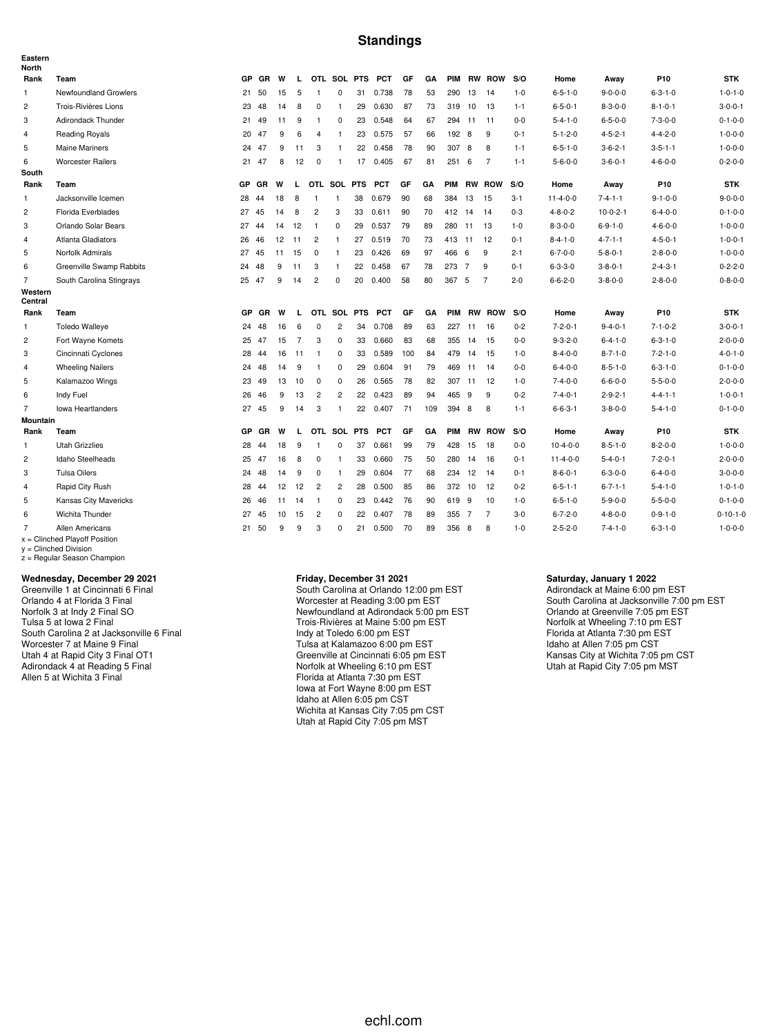## **Standings**

| Eastern<br><b>North</b> |                                                           |           |    |    |                |                |                |            |            |     |     |            |                |                |         |                  |                 |                 |                  |
|-------------------------|-----------------------------------------------------------|-----------|----|----|----------------|----------------|----------------|------------|------------|-----|-----|------------|----------------|----------------|---------|------------------|-----------------|-----------------|------------------|
| Rank                    | Team                                                      | GP        | GR | W  | L.             |                | OTL SOL PTS    |            | <b>PCT</b> | GF  | GA  | <b>PIM</b> |                | <b>RW ROW</b>  | S/O     | Home             | Away            | P10             | <b>STK</b>       |
| $\mathbf{1}$            | Newfoundland Growlers                                     | 21        | 50 | 15 | 5              | $\overline{1}$ | 0              | 31         | 0.738      | 78  | 53  | 290        | 13             | 14             | $1 - 0$ | $6 - 5 - 1 - 0$  | $9 - 0 - 0 - 0$ | $6 - 3 - 1 - 0$ | $1 - 0 - 1 - 0$  |
| $\overline{c}$          | Trois-Rivières Lions                                      | 23        | 48 | 14 | 8              | $\mathbf 0$    | $\mathbf{1}$   | 29         | 0.630      | 87  | 73  |            | 319 10         | 13             | $1 - 1$ | $6 - 5 - 0 - 1$  | $8 - 3 - 0 - 0$ | $8 - 1 - 0 - 1$ | $3 - 0 - 0 - 1$  |
| 3                       | Adirondack Thunder                                        | 21        | 49 | 11 | 9              | $\mathbf{1}$   | 0              | 23         | 0.548      | 64  | 67  |            | 294 11         | 11             | $0 - 0$ | $5 - 4 - 1 - 0$  | $6 - 5 - 0 - 0$ | $7 - 3 - 0 - 0$ | $0 - 1 - 0 - 0$  |
| 4                       | Reading Royals                                            | 20        | 47 | 9  | 6              | 4              | $\mathbf{1}$   | 23         | 0.575      | 57  | 66  | 192 8      |                | 9              | $0 - 1$ | $5 - 1 - 2 - 0$  | $4 - 5 - 2 - 1$ | $4 - 4 - 2 - 0$ | $1 - 0 - 0 - 0$  |
| 5                       | <b>Maine Mariners</b>                                     | 24        | 47 | 9  | 11             | 3              | $\mathbf{1}$   | 22         | 0.458      | 78  | 90  | 307        | 8              | 8              | $1 - 1$ | $6 - 5 - 1 - 0$  | $3 - 6 - 2 - 1$ | $3 - 5 - 1 - 1$ | $1 - 0 - 0 - 0$  |
| 6                       | <b>Worcester Railers</b>                                  | 21        | 47 | 8  | 12             | $\mathbf 0$    | $\mathbf{1}$   | 17         | 0.405      | 67  | 81  | 2516       |                | $\overline{7}$ | $1 - 1$ | $5 - 6 - 0 - 0$  | $3 - 6 - 0 - 1$ | $4 - 6 - 0 - 0$ | $0 - 2 - 0 - 0$  |
| South                   |                                                           |           |    |    |                |                |                |            |            |     |     |            |                |                |         |                  |                 |                 |                  |
| Rank                    | Team                                                      | <b>GP</b> | GR | W  | L              | OTL SOL PTS    |                |            | <b>PCT</b> | GF  | GΑ  | <b>PIM</b> |                | <b>RW ROW</b>  | S/O     | Home             | Away            | P10             | <b>STK</b>       |
| 1                       | Jacksonville Icemen                                       | 28        | 44 | 18 | 8              | $\mathbf{1}$   | $\mathbf{1}$   | 38         | 0.679      | 90  | 68  | 384        | 13             | 15             | $3 - 1$ | $11 - 4 - 0 - 0$ | $7 - 4 - 1 - 1$ | $9 - 1 - 0 - 0$ | $9 - 0 - 0 - 0$  |
| 2                       | Florida Everblades                                        | 27        | 45 | 14 | 8              | $\overline{2}$ | 3              | 33         | 0.611      | 90  | 70  | 412        | 14             | 14             | $0 - 3$ | $4 - 8 - 0 - 2$  | $10-0-2-1$      | $6 - 4 - 0 - 0$ | $0 - 1 - 0 - 0$  |
| 3                       | Orlando Solar Bears                                       | 27        | 44 | 14 | 12             | $\overline{1}$ | $\mathbf 0$    | 29         | 0.537      | 79  | 89  | 280        | 11             | 13             | $1 - 0$ | $8 - 3 - 0 - 0$  | $6 - 9 - 1 - 0$ | $4 - 6 - 0 - 0$ | $1 - 0 - 0 - 0$  |
| $\overline{4}$          | Atlanta Gladiators                                        | 26        | 46 | 12 | 11             | $\overline{2}$ | $\mathbf{1}$   | 27         | 0.519      | 70  | 73  | 413 11     |                | 12             | $0 - 1$ | $8 - 4 - 1 - 0$  | $4 - 7 - 1 - 1$ | $4 - 5 - 0 - 1$ | $1 - 0 - 0 - 1$  |
| 5                       | Norfolk Admirals                                          | 27 45     |    | 11 | 15             | $^{\circ}$     | $\overline{1}$ | 23         | 0.426      | 69  | 97  | 466        | 6              | 9              | $2 - 1$ | $6 - 7 - 0 - 0$  | $5 - 8 - 0 - 1$ | $2 - 8 - 0 - 0$ | $1 - 0 - 0 - 0$  |
| 6                       | Greenville Swamp Rabbits                                  | 24        | 48 | 9  | 11             | 3              | $\overline{1}$ | 22         | 0.458      | 67  | 78  | 273        | $\overline{7}$ | 9              | $0 - 1$ | $6 - 3 - 3 - 0$  | $3 - 8 - 0 - 1$ | $2 - 4 - 3 - 1$ | $0 - 2 - 2 - 0$  |
| $\overline{7}$          | South Carolina Stingrays                                  | 25 47     |    | 9  | 14             | $\overline{2}$ | $\Omega$       | 20         | 0.400      | 58  | 80  | 367 5      |                | $\overline{7}$ | $2 - 0$ | $6 - 6 - 2 - 0$  | $3 - 8 - 0 - 0$ | $2 - 8 - 0 - 0$ | $0 - 8 - 0 - 0$  |
| Western<br>Central      |                                                           |           |    |    |                |                |                |            |            |     |     |            |                |                |         |                  |                 |                 |                  |
| Rank                    | Team                                                      | <b>GP</b> | GR | W  | L.             |                | OTL SOL PTS    |            | <b>PCT</b> | GF  | GA  |            |                | PIM RW ROW     | S/O     | Home             | Away            | P10             | <b>STK</b>       |
| $\mathbf{1}$            | <b>Toledo Walleye</b>                                     | 24        | 48 | 16 | 6              | $\mathbf 0$    | 2              | 34         | 0.708      | 89  | 63  |            | 227 11         | 16             | $0 - 2$ | $7 - 2 - 0 - 1$  | $9 - 4 - 0 - 1$ | $7 - 1 - 0 - 2$ | $3 - 0 - 0 - 1$  |
| $\overline{c}$          | Fort Wayne Komets                                         | 25        | 47 | 15 | $\overline{7}$ | 3              | 0              | 33         | 0.660      | 83  | 68  | 355        | 14             | 15             | $0-0$   | $9 - 3 - 2 - 0$  | $6 - 4 - 1 - 0$ | $6 - 3 - 1 - 0$ | $2 - 0 - 0 - 0$  |
| 3                       | Cincinnati Cyclones                                       | 28        | 44 | 16 | 11             | $\overline{1}$ | 0              | 33         | 0.589      | 100 | 84  | 479        | 14             | 15             | $1 - 0$ | $8 - 4 - 0 - 0$  | $8 - 7 - 1 - 0$ | $7 - 2 - 1 - 0$ | $4 - 0 - 1 - 0$  |
| 4                       | <b>Wheeling Nailers</b>                                   | 24        | 48 | 14 | 9              | $\overline{1}$ | $\mathbf 0$    | 29         | 0.604      | 91  | 79  |            | 469 11         | 14             | $0-0$   | $6 - 4 - 0 - 0$  | $8 - 5 - 1 - 0$ | $6 - 3 - 1 - 0$ | $0 - 1 - 0 - 0$  |
| 5                       | Kalamazoo Wings                                           | 23        | 49 | 13 | 10             | 0              | $\mathbf 0$    | 26         | 0.565      | 78  | 82  |            | 307 11         | 12             | $1 - 0$ | $7 - 4 - 0 - 0$  | $6 - 6 - 0 - 0$ | $5 - 5 - 0 - 0$ | $2 - 0 - 0 - 0$  |
| 6                       | Indy Fuel                                                 | 26        | 46 | 9  | 13             | $\overline{c}$ | $\overline{c}$ | 22         | 0.423      | 89  | 94  | 465        | - 9            | 9              | $0 - 2$ | $7 - 4 - 0 - 1$  | $2 - 9 - 2 - 1$ | $4 - 4 - 1 - 1$ | $1 - 0 - 0 - 1$  |
| $\overline{7}$          | Iowa Heartlanders                                         | 27        | 45 | 9  | 14             | 3              | $\mathbf{1}$   | 22         | 0.407      | 71  | 109 | 394 8      |                | 8              | $1 - 1$ | $6 - 6 - 3 - 1$  | $3 - 8 - 0 - 0$ | $5 - 4 - 1 - 0$ | $0 - 1 - 0 - 0$  |
| <b>Mountain</b>         |                                                           |           |    |    |                |                |                |            |            |     |     |            |                |                |         |                  |                 |                 |                  |
| Rank                    | Team                                                      | GP        | GR | W  | $\mathbf{I}$   |                | OTL SOL        | <b>PTS</b> | <b>PCT</b> | GF  | GA  | <b>PIM</b> |                | <b>RW ROW</b>  | S/O     | Home             | Away            | P10             | <b>STK</b>       |
| $\mathbf{1}$            | <b>Utah Grizzlies</b>                                     | 28        | 44 | 18 | 9              | $\overline{1}$ | $\mathbf 0$    | 37         | 0.661      | 99  | 79  | 428        | 15             | 18             | $0 - 0$ | $10-4-0-0$       | $8 - 5 - 1 - 0$ | $8 - 2 - 0 - 0$ | $1 - 0 - 0 - 0$  |
| $\overline{c}$          | Idaho Steelheads                                          | 25        | 47 | 16 | 8              | 0              | $\mathbf{1}$   | 33         | 0.660      | 75  | 50  | 280        | 14             | 16             | $0 - 1$ | $11 - 4 - 0 - 0$ | $5 - 4 - 0 - 1$ | $7 - 2 - 0 - 1$ | $2 - 0 - 0 - 0$  |
| 3                       | <b>Tulsa Oilers</b>                                       | 24        | 48 | 14 | 9              | $\mathbf 0$    | $\mathbf{1}$   | 29         | 0.604      | 77  | 68  | 234        | 12             | 14             | $0 - 1$ | $8 - 6 - 0 - 1$  | $6 - 3 - 0 - 0$ | $6 - 4 - 0 - 0$ | $3 - 0 - 0 - 0$  |
| $\overline{4}$          | Rapid City Rush                                           | 28        | 44 | 12 | 12             | $\overline{c}$ | $\overline{2}$ | 28         | 0.500      | 85  | 86  |            | 372 10         | 12             | $0 - 2$ | $6 - 5 - 1 - 1$  | $6 - 7 - 1 - 1$ | $5 - 4 - 1 - 0$ | $1 - 0 - 1 - 0$  |
| 5                       | Kansas City Mavericks                                     | 26        | 46 | 11 | 14             | $\overline{1}$ | 0              | 23         | 0.442      | 76  | 90  | 619 9      |                | 10             | $1 - 0$ | $6 - 5 - 1 - 0$  | $5 - 9 - 0 - 0$ | $5 - 5 - 0 - 0$ | $0 - 1 - 0 - 0$  |
| 6                       | Wichita Thunder                                           | 27        | 45 | 10 | 15             | $\overline{c}$ | 0              | 22         | 0.407      | 78  | 89  | 355 7      |                | 7              | $3-0$   | $6 - 7 - 2 - 0$  | $4 - 8 - 0 - 0$ | $0 - 9 - 1 - 0$ | $0 - 10 - 1 - 0$ |
| $\overline{7}$          | <b>Allen Americans</b><br>$x =$ Clinched Playoff Position | 21        | 50 | 9  | 9              | 3              | $\Omega$       | 21         | 0.500      | 70  | 89  | 356 8      |                | 8              | $1 - 0$ | $2 - 5 - 2 - 0$  | $7 - 4 - 1 - 0$ | $6 - 3 - 1 - 0$ | $1 - 0 - 0 - 0$  |

x = Clinched Playoff Position y = Clinched Division z = Regular Season Champion

#### **Wednesday, December 29 2021**

Greenville 1 at Cincinnati 6 Final Orlando 4 at Florida 3 Final Norfolk 3 at Indy 2 Final SO Tulsa 5 at Iowa 2 Final South Carolina 2 at Jacksonville 6 Final Worcester 7 at Maine 9 Final Utah 4 at Rapid City 3 Final OT1 Adirondack 4 at Reading 5 Final Allen 5 at Wichita 3 Final

#### **Friday, December 31 2021**

South Carolina at Orlando 12:00 pm EST Worcester at Reading 3:00 pm EST Newfoundland at Adirondack 5:00 pm EST Trois-Rivières at Maine 5:00 pm EST Indy at Toledo 6:00 pm EST Tulsa at Kalamazoo 6:00 pm EST Greenville at Cincinnati 6:05 pm EST Norfolk at Wheeling 6:10 pm EST Florida at Atlanta 7:30 pm EST Iowa at Fort Wayne 8:00 pm EST Idaho at Allen 6:05 pm CST Wichita at Kansas City 7:05 pm CST Utah at Rapid City 7:05 pm MST

#### **Saturday, January 1 2022**

Adirondack at Maine 6:00 pm EST South Carolina at Jacksonville 7:00 pm EST Orlando at Greenville 7:05 pm EST Norfolk at Wheeling 7:10 pm EST Florida at Atlanta 7:30 pm EST Idaho at Allen 7:05 pm CST Kansas City at Wichita 7:05 pm CST Utah at Rapid City 7:05 pm MST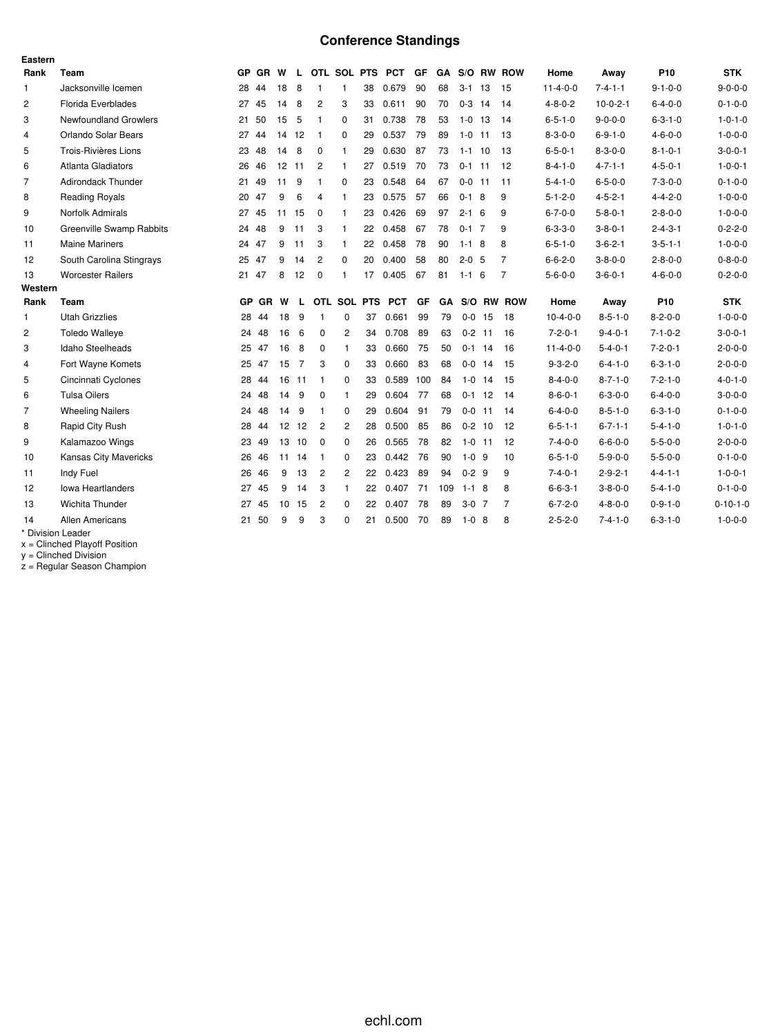# **Conference Standings**

| Eastern        |                           |           |           |       |                |                |                |             |                 |     |     |             |            |                |                  |                 |                 |                  |
|----------------|---------------------------|-----------|-----------|-------|----------------|----------------|----------------|-------------|-----------------|-----|-----|-------------|------------|----------------|------------------|-----------------|-----------------|------------------|
| Rank           | Team                      |           | GP GR W   |       | L.             |                |                |             | OTL SOL PTS PCT | GF  |     |             |            | GA S/O RW ROW  | Home             | Away            | P <sub>10</sub> | <b>STK</b>       |
| $\mathbf{1}$   | Jacksonville Icemen       |           | 28 44     | 18    | 8              | $\mathbf{1}$   | $\mathbf{1}$   | 38          | 0.679           | 90  | 68  | $3 - 1$     | 13         | 15             | $11 - 4 - 0 - 0$ | $7 - 4 - 1 - 1$ | $9 - 1 - 0 - 0$ | $9 - 0 - 0 - 0$  |
| $\overline{c}$ | <b>Florida Everblades</b> | 27        | 45        | 14    | 8              | $\overline{c}$ | 3              | 33          | 0.611           | 90  | 70  | $0-3$ 14    |            | 14             | $4 - 8 - 0 - 2$  | $10-0-2-1$      | $6 - 4 - 0 - 0$ | $0 - 1 - 0 - 0$  |
| 3              | Newfoundland Growlers     | 21        | 50        | 15    | 5              | $\mathbf{1}$   | 0              | 31          | 0.738           | 78  | 53  | $1 - 0$     | 13         | 14             | $6 - 5 - 1 - 0$  | $9 - 0 - 0 - 0$ | $6 - 3 - 1 - 0$ | $1 - 0 - 1 - 0$  |
| $\overline{4}$ | Orlando Solar Bears       | 27        | 44        | 14 12 |                | $\mathbf{1}$   | 0              | 29          | 0.537           | 79  | 89  | $1-0$ 11    |            | -13            | $8 - 3 - 0 - 0$  | $6 - 9 - 1 - 0$ | $4 - 6 - 0 - 0$ | $1 - 0 - 0 - 0$  |
| 5              | Trois-Rivières Lions      | 23        | 48        | 14    | 8              | $\mathbf 0$    | $\mathbf{1}$   | 29          | 0.630           | 87  | 73  | $1 - 1$ 10  |            | -13            | $6 - 5 - 0 - 1$  | $8 - 3 - 0 - 0$ | $8 - 1 - 0 - 1$ | $3 - 0 - 0 - 1$  |
| 6              | <b>Atlanta Gladiators</b> | 26        | 46        | 12 11 |                | $\overline{c}$ | $\mathbf{1}$   | 27          | 0.519           | 70  | 73  | $0-1$ 11    |            | 12             | $8 - 4 - 1 - 0$  | $4 - 7 - 1 - 1$ | $4 - 5 - 0 - 1$ | $1 - 0 - 0 - 1$  |
| $\overline{7}$ | <b>Adirondack Thunder</b> | 21        | 49        | 11    | -9             |                | 0              | 23          | 0.548           | 64  | 67  | $0 - 0$ 11  |            | 11             | $5 - 4 - 1 - 0$  | $6 - 5 - 0 - 0$ | $7 - 3 - 0 - 0$ | $0 - 1 - 0 - 0$  |
| 8              | Reading Royals            | 20        | 47        | 9     | 6              | 4              | $\mathbf{1}$   | 23          | 0.575           | 57  | 66  | $0 - 1$     | 8          | 9              | $5 - 1 - 2 - 0$  | $4 - 5 - 2 - 1$ | $4 - 4 - 2 - 0$ | $1 - 0 - 0 - 0$  |
| 9              | Norfolk Admirals          | 27        | 45        | 11    | 15             | $\mathbf 0$    | $\mathbf{1}$   | 23          | 0.426           | 69  | 97  | $2 - 1 = 6$ |            | 9              | $6 - 7 - 0 - 0$  | $5 - 8 - 0 - 1$ | $2 - 8 - 0 - 0$ | $1 - 0 - 0 - 0$  |
| 10             | Greenville Swamp Rabbits  |           | 24 48     | 9     | 11             | 3              | $\mathbf{1}$   | 22          | 0.458           | 67  | 78  | $0-1$ 7     |            | 9              | $6 - 3 - 3 - 0$  | $3 - 8 - 0 - 1$ | $2 - 4 - 3 - 1$ | $0 - 2 - 2 - 0$  |
| 11             | <b>Maine Mariners</b>     |           | 24 47     | 9     | 11             | 3              | $\mathbf{1}$   | 22          | 0.458           | 78  | 90  | $1 - 18$    |            | 8              | $6 - 5 - 1 - 0$  | $3 - 6 - 2 - 1$ | $3 - 5 - 1 - 1$ | $1 - 0 - 0 - 0$  |
| 12             | South Carolina Stingrays  | 25        | 47        | 9     | 14             | $\overline{c}$ | 0              | 20          | 0.400           | 58  | 80  | $2 - 0$ 5   |            | $\overline{7}$ | $6 - 6 - 2 - 0$  | $3 - 8 - 0 - 0$ | $2 - 8 - 0 - 0$ | $0 - 8 - 0 - 0$  |
| 13             | <b>Worcester Railers</b>  | 21        | 47        | 8     | 12             | $\mathbf 0$    | $\mathbf{1}$   | 17          | 0.405           | 67  | 81  | $1 - 1$     | 6          | $\overline{7}$ | $5 - 6 - 0 - 0$  | $3 - 6 - 0 - 1$ | $4 - 6 - 0 - 0$ | $0 - 2 - 0 - 0$  |
| Western        |                           |           |           |       |                |                |                |             |                 |     |     |             |            |                |                  |                 |                 |                  |
| Rank           | Team                      | <b>GP</b> | <b>GR</b> | W     | L.             |                |                | OTL SOL PTS | <b>PCT</b>      | GF  | GA  |             |            | S/O RW ROW     | Home             | Away            | P <sub>10</sub> | <b>STK</b>       |
| $\mathbf{1}$   | <b>Utah Grizzlies</b>     | 28        | 44        | 18    | -9             |                | 0              | 37          | 0.661           | 99  | 79  |             | $0 - 0$ 15 | -18            | $10-4-0-0$       | $8 - 5 - 1 - 0$ | $8 - 2 - 0 - 0$ | $1 - 0 - 0 - 0$  |
| 2              | <b>Toledo Walleye</b>     | 24        | 48        | 16    | 6              | $\mathbf 0$    | $\overline{c}$ | 34          | 0.708           | 89  | 63  |             | $0 - 2$ 11 | 16             | $7 - 2 - 0 - 1$  | $9 - 4 - 0 - 1$ | $7 - 1 - 0 - 2$ | $3 - 0 - 0 - 1$  |
| 3              | Idaho Steelheads          | 25        | 47        | 16    | 8              | $\Omega$       | 1              | 33          | 0.660           | 75  | 50  |             | $0-1$ 14   | 16             | $11 - 4 - 0 - 0$ | $5 - 4 - 0 - 1$ | $7 - 2 - 0 - 1$ | $2 - 0 - 0 - 0$  |
| $\overline{4}$ | Fort Wayne Komets         | 25        | 47        | 15    | $\overline{7}$ | 3              | 0              | 33          | 0.660           | 83  | 68  | $0-0$       | 14         | 15             | $9 - 3 - 2 - 0$  | $6 - 4 - 1 - 0$ | $6 - 3 - 1 - 0$ | $2 - 0 - 0 - 0$  |
| 5              | Cincinnati Cyclones       | 28        | 44        | 16    | 11             | $\mathbf{1}$   | 0              | 33          | 0.589           | 100 | 84  |             | $1-0$ 14   | -15            | $8 - 4 - 0 - 0$  | $8 - 7 - 1 - 0$ | $7 - 2 - 1 - 0$ | $4 - 0 - 1 - 0$  |
| 6              | <b>Tulsa Oilers</b>       |           | 24 48     | 14    | -9             | 0              | $\mathbf{1}$   | 29          | 0.604           | 77  | 68  | $0 - 1$     | 12         | 14             | $8 - 6 - 0 - 1$  | $6 - 3 - 0 - 0$ | $6 - 4 - 0 - 0$ | $3 - 0 - 0 - 0$  |
| $\overline{7}$ | <b>Wheeling Nailers</b>   |           | 24 48     | 14    | -9             | $\mathbf{1}$   | 0              | 29          | 0.604           | 91  | 79  | $0-0$       | 11         | 14             | $6 - 4 - 0 - 0$  | $8 - 5 - 1 - 0$ | $6 - 3 - 1 - 0$ | $0 - 1 - 0 - 0$  |
| 8              | Rapid City Rush           | 28        | 44        | 12    | 12             | $\overline{c}$ | $\overline{c}$ | 28          | 0.500           | 85  | 86  |             | $0 - 2$ 10 | -12            | $6 - 5 - 1 - 1$  | $6 - 7 - 1 - 1$ | $5 - 4 - 1 - 0$ | $1 - 0 - 1 - 0$  |
| 9              | Kalamazoo Wings           | 23        | 49        | 13    | 10             | $\mathbf 0$    | 0              | 26          | 0.565           | 78  | 82  |             | $1-0$ 11   | 12             | $7 - 4 - 0 - 0$  | $6 - 6 - 0 - 0$ | $5 - 5 - 0 - 0$ | $2 - 0 - 0 - 0$  |
| 10             | Kansas City Mavericks     | 26        | 46        | 11    | 14             | -1             | 0              | 23          | 0.442           | 76  | 90  | $1 - 0.9$   |            | 10             | $6 - 5 - 1 - 0$  | $5 - 9 - 0 - 0$ | $5 - 5 - 0 - 0$ | $0 - 1 - 0 - 0$  |
| 11             | Indy Fuel                 | 26        | 46        | 9     | 13             | $\overline{2}$ | 2              | 22          | 0.423           | 89  | 94  | $0 - 2$ 9   |            | 9              | $7 - 4 - 0 - 1$  | $2 - 9 - 2 - 1$ | $4 - 4 - 1 - 1$ | $1 - 0 - 0 - 1$  |
| 12             | <b>Iowa Heartlanders</b>  | 27        | 45        | 9     | 14             | 3              | $\mathbf{1}$   | 22          | 0.407           | 71  | 109 | $1 - 18$    |            | 8              | $6 - 6 - 3 - 1$  | $3 - 8 - 0 - 0$ | $5 - 4 - 1 - 0$ | $0 - 1 - 0 - 0$  |
| 13             | <b>Wichita Thunder</b>    | 27        | 45        | 10    | 15             | $\overline{2}$ | 0              | 22          | 0.407           | 78  | 89  | $3-0$ 7     |            | $\overline{7}$ | $6 - 7 - 2 - 0$  | $4 - 8 - 0 - 0$ | $0 - 9 - 1 - 0$ | $0 - 10 - 1 - 0$ |
| 14             | <b>Allen Americans</b>    | 21        | 50        | 9     | 9              | 3              | $\Omega$       | 21          | 0.500           | 70  | 89  | $1 - 0$     | 8          | 8              | $2 - 5 - 2 - 0$  | $7 - 4 - 1 - 0$ | $6 - 3 - 1 - 0$ | $1 - 0 - 0 - 0$  |
|                | * Division Leader         |           |           |       |                |                |                |             |                 |     |     |             |            |                |                  |                 |                 |                  |

x = Clinched Playoff Position

y = Clinched Division

z = Regular Season Champion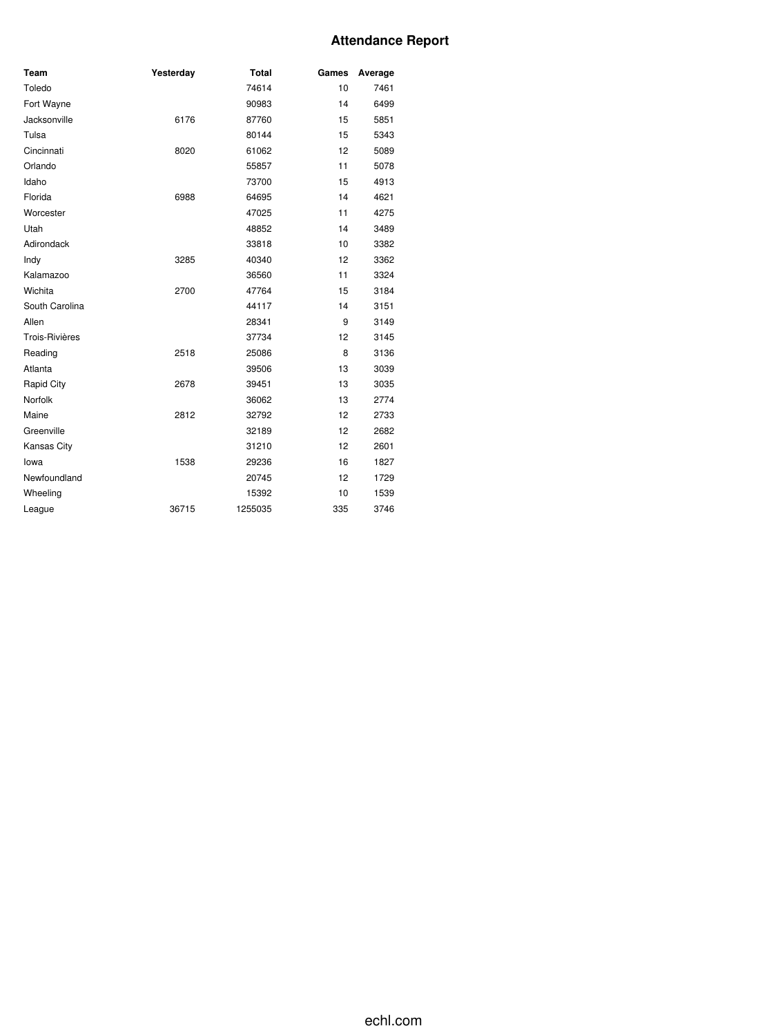## **Attendance Report**

| Team                  | Yesterday | <b>Total</b> | Games | Average |
|-----------------------|-----------|--------------|-------|---------|
| Toledo                |           | 74614        | 10    | 7461    |
| Fort Wayne            |           | 90983        | 14    | 6499    |
| Jacksonville          | 6176      | 87760        | 15    | 5851    |
| Tulsa                 |           | 80144        | 15    | 5343    |
| Cincinnati            | 8020      | 61062        | 12    | 5089    |
| Orlando               |           | 55857        | 11    | 5078    |
| Idaho                 |           | 73700        | 15    | 4913    |
| Florida               | 6988      | 64695        | 14    | 4621    |
| Worcester             |           | 47025        | 11    | 4275    |
| Utah                  |           | 48852        | 14    | 3489    |
| Adirondack            |           | 33818        | 10    | 3382    |
| Indy                  | 3285      | 40340        | 12    | 3362    |
| Kalamazoo             |           | 36560        | 11    | 3324    |
| Wichita               | 2700      | 47764        | 15    | 3184    |
| South Carolina        |           | 44117        | 14    | 3151    |
| Allen                 |           | 28341        | 9     | 3149    |
| <b>Trois-Rivières</b> |           | 37734        | 12    | 3145    |
| Reading               | 2518      | 25086        | 8     | 3136    |
| Atlanta               |           | 39506        | 13    | 3039    |
| Rapid City            | 2678      | 39451        | 13    | 3035    |
| Norfolk               |           | 36062        | 13    | 2774    |
| Maine                 | 2812      | 32792        | 12    | 2733    |
| Greenville            |           | 32189        | 12    | 2682    |
| Kansas City           |           | 31210        | 12    | 2601    |
| lowa                  | 1538      | 29236        | 16    | 1827    |
| Newfoundland          |           | 20745        | 12    | 1729    |
| Wheeling              |           | 15392        | 10    | 1539    |
| League                | 36715     | 1255035      | 335   | 3746    |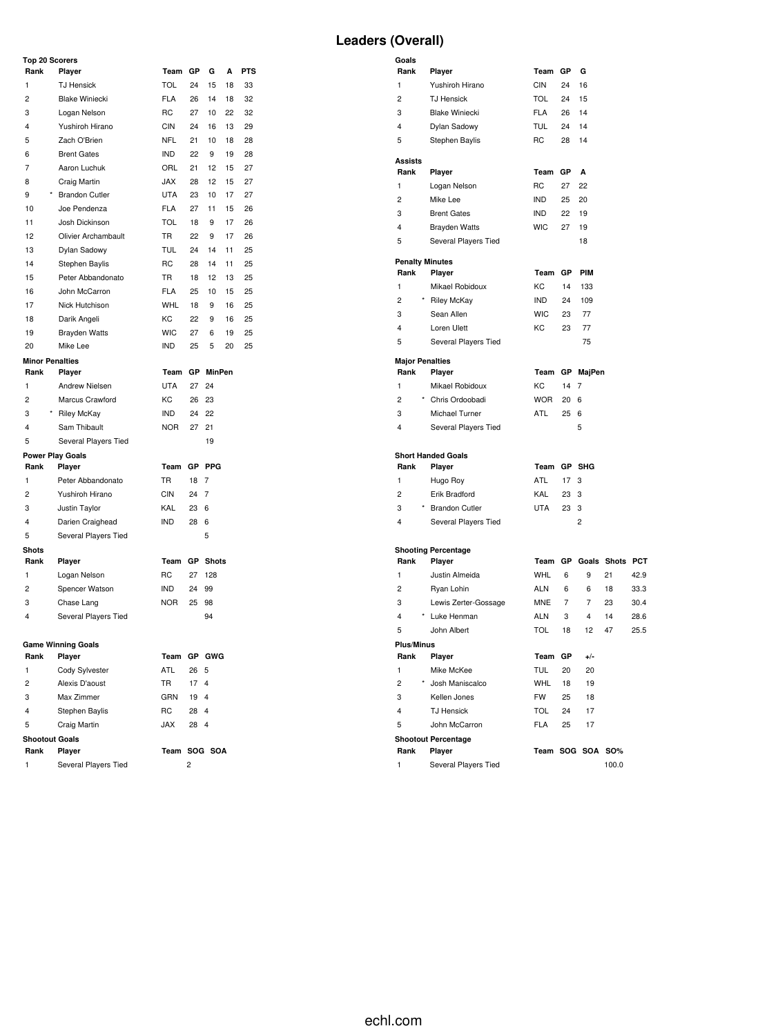**Rank Player Team GP PIM** KC 14 133 IND 24 109 WIC 23 77 KC 23 77 5 Several Players Tied 75

**Rank Player Team GP MajPen** KC 14 7 WOR 20 6 ATL 25 6

**Rank Player Team GP SHG** ATL 17 3 KAL 23 3  $UTA$  23 3

**Rank Player Team GP +/-** TUL 20 20 WHL 18 19 FW 25 18 TOL 24 17 FLA 25 17

**Rank Player Team SOG SOA SO%**

1 Several Players Tied 100.0

**Rank Player Team GP Goals Shots PCT** WHL 6 9 21 42.9 ALN 6 6 18 33.3 MNE 7 7 23 30.4 ALN 3 4 14 28.6 5 John Albert TOL 18 12 47 25.5

| Rank<br>1<br>$\overline{c}$                                                  | Player                    | Team GP     |                         | G             | А  |            |                                                                |         |                 |                |
|------------------------------------------------------------------------------|---------------------------|-------------|-------------------------|---------------|----|------------|----------------------------------------------------------------|---------|-----------------|----------------|
|                                                                              |                           |             |                         |               |    | <b>PTS</b> | Rank<br>Player                                                 | Team GP |                 | G              |
|                                                                              | <b>TJ Hensick</b>         | <b>TOL</b>  | 24                      | 15            | 18 | 33         | 1<br>Yushiroh Hirano<br>CIN                                    |         | 24              | 16             |
|                                                                              | <b>Blake Winiecki</b>     | <b>FLA</b>  | 26                      | 14            | 18 | 32         | 2<br><b>TOL</b><br><b>TJ Hensick</b>                           |         | 24              | 15             |
| 3                                                                            | Logan Nelson              | RC          | 27                      | 10            | 22 | 32         | 3<br><b>Blake Winiecki</b><br><b>FLA</b>                       |         | 26              | 14             |
| $\overline{\mathbf{4}}$                                                      | Yushiroh Hirano           | <b>CIN</b>  | 24                      | 16            | 13 | 29         | 4<br><b>TUL</b><br>Dylan Sadowy                                |         | 24              | 14             |
| 5                                                                            | Zach O'Brien              | <b>NFL</b>  | 21                      | 10            | 18 | 28         | 5<br>RC<br>Stephen Baylis                                      |         | 28              | 14             |
| 6                                                                            | <b>Brent Gates</b>        | <b>IND</b>  | 22                      | 9             | 19 | 28         | <b>Assists</b>                                                 |         |                 |                |
| 7                                                                            | Aaron Luchuk              | ORL         | 21                      | 12            | 15 | 27         | Rank<br>Player<br>Team                                         |         | GP              | A              |
| 8                                                                            | Craig Martin              | <b>JAX</b>  | 28                      | 12            | 15 | 27         | 1<br>RC<br>Logan Nelson                                        |         | 27              | 22             |
| 9                                                                            | <b>Brandon Cutler</b>     | <b>UTA</b>  | 23                      | 10            | 17 | 27         | 2<br><b>IND</b><br>Mike Lee                                    |         | 25              | 20             |
| 10                                                                           | Joe Pendenza              | <b>FLA</b>  | 27                      | 11            | 15 | 26         | 3<br><b>Brent Gates</b><br><b>IND</b>                          |         | 22              | 19             |
| 11                                                                           | Josh Dickinson            | <b>TOL</b>  | 18                      | 9             | 17 | 26         | 4<br><b>WIC</b><br><b>Brayden Watts</b>                        |         | 27              | 19             |
| 12                                                                           | Olivier Archambault       | <b>TR</b>   | 22                      | 9             | 17 | 26         | 5<br>Several Players Tied                                      |         |                 | 18             |
| 13                                                                           | Dylan Sadowy              | <b>TUL</b>  | 24                      | 14            | 11 | 25         |                                                                |         |                 |                |
| 14                                                                           | Stephen Baylis            | <b>RC</b>   | 28                      | 14            | 11 | 25         | <b>Penalty Minutes</b>                                         |         |                 |                |
| 15                                                                           | Peter Abbandonato         | TR          | 18                      | 12            | 13 | 25         | Rank<br>Player<br>Team                                         |         | GP              | PI             |
| 16                                                                           | John McCarron             | <b>FLA</b>  | 25                      | 10            | 15 | 25         | KC<br>1<br>Mikael Robidoux                                     |         | 14              | 13             |
| 17                                                                           | Nick Hutchison            | WHL         | 18                      | 9             | 16 | 25         | $\overline{c}$<br><b>Riley McKay</b><br>IND                    |         | 24              | 1 <sup>1</sup> |
| 18                                                                           | Darik Angeli              | KC          | 22                      | 9             | 16 | 25         | 3<br><b>WIC</b><br>Sean Allen                                  |         | 23              | 7              |
| 19                                                                           | <b>Brayden Watts</b>      | <b>WIC</b>  | 27                      | 6             | 19 | 25         | 4<br>КC<br>Loren Ulett                                         |         | 23              | 7              |
| 20                                                                           | Mike Lee                  | <b>IND</b>  | 25                      | 5             | 20 | 25         | 5<br>Several Players Tied                                      |         |                 | $\overline{7}$ |
|                                                                              | <b>Minor Penalties</b>    |             |                         |               |    |            | <b>Major Penalties</b>                                         |         |                 |                |
| Rank                                                                         | Player                    | Team GP     |                         | <b>MinPen</b> |    |            | Rank<br>Player<br>Team                                         |         | GP Ma           |                |
| 1                                                                            | Andrew Nielsen            | <b>UTA</b>  | 27                      | 24            |    |            | KC<br>1<br>Mikael Robidoux                                     |         | 14 7            |                |
| $\overline{c}$                                                               | Marcus Crawford           | KC          | 26                      | 23            |    |            | $\overline{c}$<br>Chris Ordoobadi<br><b>WOR</b>                |         | 20 <sub>6</sub> |                |
| 3                                                                            | Riley McKay               | <b>IND</b>  | 24                      | 22            |    |            | 3<br>ATL<br>Michael Turner                                     |         | 256             |                |
| 4                                                                            | Sam Thibault              | <b>NOR</b>  | 27                      | 21            |    |            | 4<br>Several Players Tied                                      |         |                 | 5              |
| 5                                                                            | Several Players Tied      |             |                         | 19            |    |            |                                                                |         |                 |                |
|                                                                              | <b>Power Play Goals</b>   |             |                         |               |    |            | <b>Short Handed Goals</b>                                      |         |                 |                |
| Rank                                                                         | Player                    | Team GP     |                         | <b>PPG</b>    |    |            | Rank<br>Player<br>Team                                         |         | GP SH           |                |
| 1                                                                            | Peter Abbandonato         | TR          | 18 7                    |               |    |            | 1<br>Hugo Roy<br>ATL                                           |         | 17 <sub>3</sub> |                |
| $\overline{c}$                                                               | Yushiroh Hirano           | <b>CIN</b>  | 24 7                    |               |    |            | $\overline{c}$<br>KAL<br>Erik Bradford                         |         | 23 3            |                |
| 3                                                                            | Justin Taylor             | KAL         | 23 6                    |               |    |            | 3<br><b>Brandon Cutler</b><br>UTA                              |         | 23 3            |                |
| $\overline{4}$                                                               | Darien Craighead          | <b>IND</b>  | 28 6                    |               |    |            | 4<br>Several Players Tied                                      |         |                 | $\overline{c}$ |
| 5                                                                            | Several Players Tied      |             |                         | 5             |    |            |                                                                |         |                 |                |
| <b>Shots</b>                                                                 |                           |             |                         |               |    |            | <b>Shooting Percentage</b>                                     |         |                 |                |
| Rank                                                                         | Player                    | Team GP     |                         | <b>Shots</b>  |    |            | Rank<br>Player<br>Team                                         |         | GP Go           |                |
| 1                                                                            | Logan Nelson              | RC          | 27 128                  |               |    |            | Justin Almeida<br>WHL<br>1                                     |         | 6               |                |
| $\overline{c}$                                                               | Spencer Watson            | <b>IND</b>  | 24                      | 99            |    |            | 2<br><b>ALN</b><br>Ryan Lohin                                  |         | 6               |                |
| 3                                                                            | Chase Lang                | <b>NOR</b>  | 25                      | 98            |    |            | 3<br>Lewis Zerter-Gossage<br>MNE                               |         | 7               |                |
| 4                                                                            | Several Players Tied      |             |                         | 94            |    |            | 4<br>Luke Henman<br>ALN                                        |         | 3               |                |
|                                                                              |                           |             |                         |               |    |            | 5<br><b>TOL</b><br>John Albert                                 |         | 18              |                |
|                                                                              | <b>Game Winning Goals</b> |             |                         |               |    |            | <b>Plus/Minus</b>                                              |         |                 |                |
| Rank                                                                         | Player<br>Cody Sylvester  | Team GP GWG |                         |               |    |            | Player<br>Team GP<br>Rank<br>1<br>Mike McKee                   |         |                 |                |
| 1                                                                            | Alexis D'aoust            | ATL<br>TR   | 26 5<br>17 <sub>4</sub> |               |    |            | TUL<br>$\overline{c}$<br>Josh Maniscalco<br><b>WHL</b>         |         | 20<br>18        |                |
|                                                                              | Max Zimmer                | GRN         | 19 4                    |               |    |            | 3<br>Kellen Jones<br>FW                                        |         | 25              |                |
|                                                                              |                           |             |                         |               |    |            |                                                                |         |                 |                |
|                                                                              |                           |             |                         |               |    |            |                                                                |         |                 |                |
|                                                                              | Stephen Baylis            | RC          | 28 4                    |               |    |            | 4<br><b>TJ Hensick</b><br><b>TOL</b>                           |         | 24              |                |
| $\overline{\mathbf{c}}$<br>3<br>$\overline{4}$<br>5<br><b>Shootout Goals</b> | Craig Martin              | <b>JAX</b>  | 28 4                    |               |    |            | 5<br>John McCarron<br><b>FLA</b><br><b>Shootout Percentage</b> |         | 25              |                |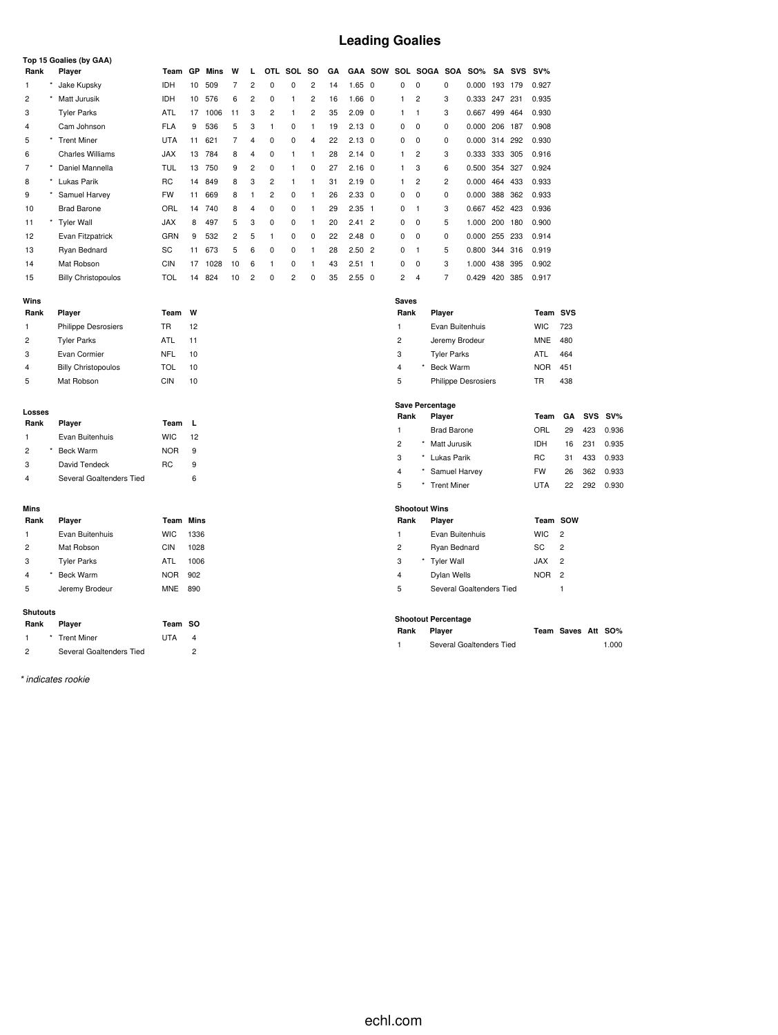# **Leading Goalies**

|                              | Top 15 Goalies (by GAA)    |                  |                |      |                |                |                |                |                         |    |                |                         |                |                        |                            |               |         |        |            |                    |            |        |
|------------------------------|----------------------------|------------------|----------------|------|----------------|----------------|----------------|----------------|-------------------------|----|----------------|-------------------------|----------------|------------------------|----------------------------|---------------|---------|--------|------------|--------------------|------------|--------|
| Rank                         | Player                     | Team GP          |                | Mins | W              | L              |                | OTL SOL        | <b>SO</b>               | GA |                | <b>GAA SOW</b>          |                |                        | SOL SOGA SOA               | <b>SO%</b>    |         | SA SVS | $SV\%$     |                    |            |        |
| 1                            | Jake Kupsky                | <b>IDH</b>       | 10             | 509  | $\overline{7}$ | $\overline{c}$ | 0              | 0              | 2                       | 14 | 1.65           | $\overline{\mathbf{0}}$ | 0              | $\mathbf 0$            | 0                          | 0.000         | 193 179 |        | 0.927      |                    |            |        |
| $\overline{c}$<br>$^{\star}$ | Matt Jurusik               | IDH              | 10             | 576  | 6              | $\overline{c}$ | 0              | 1              | $\overline{c}$          | 16 | 1.66           | $\overline{\mathbf{0}}$ | 1              | $\overline{2}$         | 3                          | 0.333 247     |         | 231    | 0.935      |                    |            |        |
| 3                            | <b>Tyler Parks</b>         | ATL              | 17             | 1006 | 11             | 3              | 2              | 1              | $\overline{\mathbf{c}}$ | 35 | $2.09$ 0       |                         | 1              | $\mathbf{1}$           | 3                          | 0.667 499     |         | 464    | 0.930      |                    |            |        |
| 4                            | Cam Johnson                | <b>FLA</b>       | 9              | 536  | 5              | 3              | 1              | 0              | $\mathbf{1}$            | 19 | $2.13 \quad 0$ |                         | 0              | $\mathbf 0$            | 0                          | 0.000 206     |         | 187    | 0.908      |                    |            |        |
| 5                            | * Trent Miner              | <b>UTA</b>       | 11             | 621  | $\overline{7}$ | 4              | 0              | 0              | 4                       | 22 | $2.13 \quad 0$ |                         | 0              | $\mathbf 0$            | 0                          | 0.000 314     |         | 292    | 0.930      |                    |            |        |
| 6                            | <b>Charles Williams</b>    | <b>JAX</b>       | 13             | 784  | 8              | 4              | 0              | 1              | $\mathbf{1}$            | 28 | $2.14 \quad 0$ |                         | $\mathbf{1}$   | $\overline{c}$         | 3                          | 0.333 333 305 |         |        | 0.916      |                    |            |        |
| $\overline{7}$               | * Daniel Mannella          | <b>TUL</b>       | 13             | 750  | 9              | 2              | 0              | 1              | $\mathbf 0$             | 27 | $2.16 \quad 0$ |                         | $\mathbf{1}$   | 3                      | 6                          | 0.500 354     |         | 327    | 0.924      |                    |            |        |
| 8                            | Lukas Parik                | <b>RC</b>        | 14             | 849  | 8              | 3              | 2              | 1              | 1                       | 31 | 2.19           | $\overline{\mathbf{0}}$ | 1              | $\overline{c}$         | $\overline{c}$             | 0.000         | 464     | 433    | 0.933      |                    |            |        |
| 9<br>$\star$                 | Samuel Harvey              | <b>FW</b>        | 11             | 669  | 8              | $\mathbf{1}$   | $\overline{c}$ | 0              | $\mathbf{1}$            | 26 | $2.33$ 0       |                         | 0              | $\mathbf 0$            | 0                          | 0.000 388 362 |         |        | 0.933      |                    |            |        |
| 10                           | <b>Brad Barone</b>         | ORL              | 14             | 740  | 8              | 4              | 0              | 0              | $\mathbf{1}$            | 29 | $2.35$ 1       |                         | $\pmb{0}$      | $\mathbf{1}$           | 3                          | 0.667 452 423 |         |        | 0.936      |                    |            |        |
| *<br>11                      | <b>Tyler Wall</b>          | <b>JAX</b>       | 8              | 497  | 5              | 3              | 0              | 0              | $\mathbf{1}$            | 20 | $2.41$ 2       |                         | 0              | $\mathbf 0$            | 5                          | 1.000 200     |         | 180    | 0.900      |                    |            |        |
| 12                           | Evan Fitzpatrick           | GRN              | 9              | 532  | 2              | 5              | 1              | 0              | 0                       | 22 | $2.48$ 0       |                         | 0              | 0                      | 0                          | 0.000 255     |         | 233    | 0.914      |                    |            |        |
| 13                           | Ryan Bednard               | SC               | 11             | 673  | 5              | 6              | 0              | 0              | $\mathbf{1}$            | 28 | $2.50$ 2       |                         | 0              | $\mathbf{1}$           | 5                          | 0.800 344 316 |         |        | 0.919      |                    |            |        |
| 14                           | Mat Robson                 | <b>CIN</b>       | 17             | 1028 | 10             | 6              | 1              | 0              | $\mathbf{1}$            | 43 | $2.51 \quad 1$ |                         | 0              | $\mathbf 0$            | 3                          | 1.000         | 438     | 395    | 0.902      |                    |            |        |
| 15                           | <b>Billy Christopoulos</b> | <b>TOL</b>       | 14             | 824  | 10             | $\overline{c}$ | 0              | $\overline{c}$ | 0                       | 35 | 2.550          |                         | 2              | 4                      | $\overline{7}$             | 0.429         | 420     | 385    | 0.917      |                    |            |        |
| Wins                         |                            |                  |                |      |                |                |                |                |                         |    |                |                         | <b>Saves</b>   |                        |                            |               |         |        |            |                    |            |        |
| Rank                         | Player                     | Team             | W              |      |                |                |                |                |                         |    |                |                         | Rank           |                        | Player                     |               |         |        | Team SVS   |                    |            |        |
| 1                            | <b>Philippe Desrosiers</b> | <b>TR</b>        | 12             |      |                |                |                |                |                         |    |                |                         | 1              |                        | Evan Buitenhuis            |               |         |        | <b>WIC</b> | 723                |            |        |
| $\overline{c}$               | <b>Tyler Parks</b>         | ATL              | 11             |      |                |                |                |                |                         |    |                |                         | $\overline{c}$ |                        | Jeremy Brodeur             |               |         |        | <b>MNE</b> | 480                |            |        |
| 3                            | Evan Cormier               | <b>NFL</b>       | 10             |      |                |                |                |                |                         |    |                |                         | 3              |                        | <b>Tyler Parks</b>         |               |         |        | ATL        | 464                |            |        |
| 4                            | <b>Billy Christopoulos</b> | <b>TOL</b>       | 10             |      |                |                |                |                |                         |    |                |                         | 4              |                        | <b>Beck Warm</b>           |               |         |        | <b>NOR</b> | 451                |            |        |
| 5                            | Mat Robson                 | <b>CIN</b>       | 10             |      |                |                |                |                |                         |    |                |                         | 5              |                        | Philippe Desrosiers        |               |         |        | TR         | 438                |            |        |
|                              |                            |                  |                |      |                |                |                |                |                         |    |                |                         |                |                        |                            |               |         |        |            |                    |            |        |
| Losses                       |                            |                  |                |      |                |                |                |                |                         |    |                |                         | Rank           | <b>Save Percentage</b> | Player                     |               |         |        | Team       | GΑ                 | <b>SVS</b> | $SV\%$ |
| Rank                         | Player                     | Team             | $\mathbf{L}$   |      |                |                |                |                |                         |    |                |                         | 1              |                        | <b>Brad Barone</b>         |               |         |        | ORL        | 29                 | 423        | 0.936  |
| 1                            | Evan Buitenhuis            | <b>WIC</b>       | 12             |      |                |                |                |                |                         |    |                |                         | 2              |                        | Matt Jurusik               |               |         |        | IDH        | 16                 | 231        | 0.935  |
| $\overline{c}$               | <b>Beck Warm</b>           | <b>NOR</b>       | 9              |      |                |                |                |                |                         |    |                |                         | 3              | $^{\star}$             | Lukas Parik                |               |         |        | RC         | 31                 | 433        | 0.933  |
| 3                            | David Tendeck              | <b>RC</b>        | 9              |      |                |                |                |                |                         |    |                |                         | 4              |                        | Samuel Harvey              |               |         |        | <b>FW</b>  | 26                 | 362        | 0.933  |
| 4                            | Several Goaltenders Tied   |                  | 6              |      |                |                |                |                |                         |    |                |                         | 5              |                        | <b>Trent Miner</b>         |               |         |        | <b>UTA</b> | 22                 | 292        | 0.930  |
|                              |                            |                  |                |      |                |                |                |                |                         |    |                |                         |                |                        |                            |               |         |        |            |                    |            |        |
| Mins                         |                            |                  |                |      |                |                |                |                |                         |    |                |                         |                | <b>Shootout Wins</b>   |                            |               |         |        |            |                    |            |        |
| Rank                         | Player                     | <b>Team Mins</b> |                |      |                |                |                |                |                         |    |                |                         | Rank           |                        | Player                     |               |         |        | Team SOW   |                    |            |        |
| 1                            | Evan Buitenhuis            | <b>WIC</b>       | 1336           |      |                |                |                |                |                         |    |                |                         | 1              |                        | Evan Buitenhuis            |               |         |        | <b>WIC</b> | $\overline{c}$     |            |        |
| $\overline{c}$               | Mat Robson                 | <b>CIN</b>       | 1028           |      |                |                |                |                |                         |    |                |                         | $\overline{c}$ |                        | Ryan Bednard               |               |         |        | SC         | $\overline{c}$     |            |        |
| 3                            | <b>Tyler Parks</b>         | ATL              | 1006           |      |                |                |                |                |                         |    |                |                         | 3              |                        | <b>Tyler Wall</b>          |               |         |        | <b>JAX</b> | $\overline{2}$     |            |        |
| 4                            | <b>Beck Warm</b>           | <b>NOR</b>       | 902            |      |                |                |                |                |                         |    |                |                         | 4              |                        | Dylan Wells                |               |         |        | <b>NOR</b> | $\overline{c}$     |            |        |
| 5                            | Jeremy Brodeur             | <b>MNE</b>       | 890            |      |                |                |                |                |                         |    |                |                         | 5              |                        | Several Goaltenders Tied   |               |         |        |            | $\mathbf{1}$       |            |        |
| <b>Shutouts</b>              |                            |                  |                |      |                |                |                |                |                         |    |                |                         |                |                        |                            |               |         |        |            |                    |            |        |
| Rank                         | Player                     | Team             | <b>SO</b>      |      |                |                |                |                |                         |    |                |                         |                |                        | <b>Shootout Percentage</b> |               |         |        |            |                    |            |        |
| 1<br>$^{\star}$              | <b>Trent Miner</b>         | <b>UTA</b>       | 4              |      |                |                |                |                |                         |    |                |                         | Rank           |                        | Player                     |               |         |        |            | Team Saves Att SO% |            |        |
| $\overline{c}$               | Several Goaltenders Tied   |                  | $\overline{c}$ |      |                |                |                |                |                         |    |                |                         | 1              |                        | Several Goaltenders Tied   |               |         |        |            |                    |            | 1.000  |
|                              |                            |                  |                |      |                |                |                |                |                         |    |                |                         |                |                        |                            |               |         |        |            |                    |            |        |

*\* indicates rookie*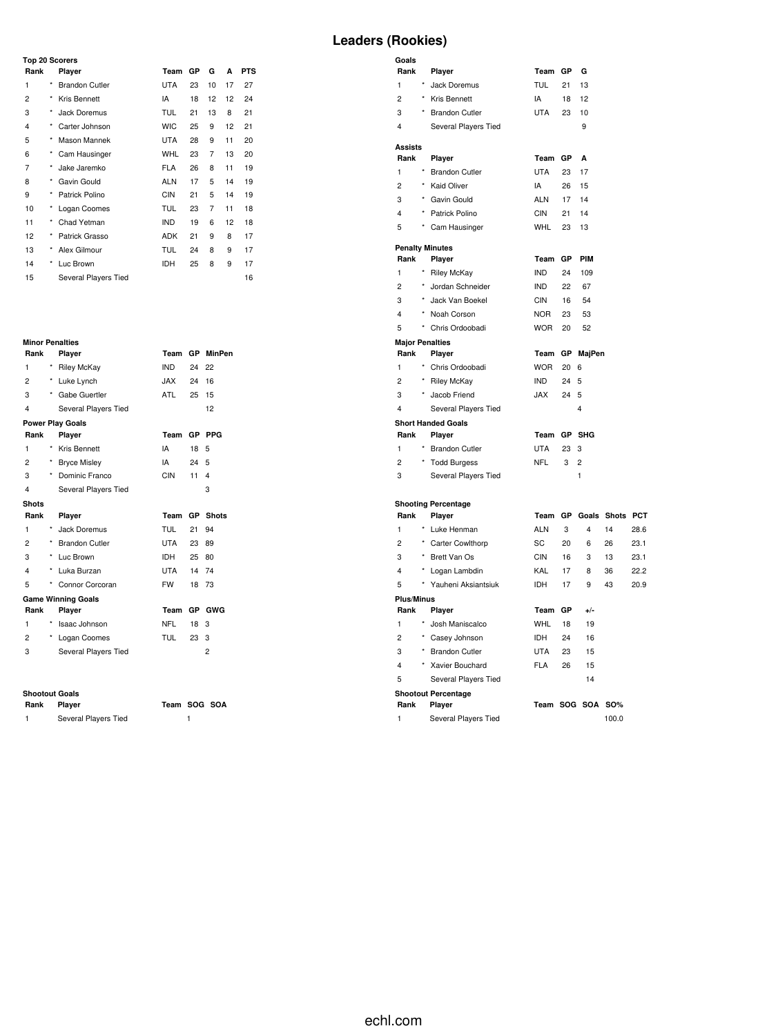## **Top 20 Scorers**

| Rank           |            | Player                | Team       | GP | G  | A  | <b>PTS</b> |
|----------------|------------|-----------------------|------------|----|----|----|------------|
| 1              | $\star$    | <b>Brandon Cutler</b> | <b>UTA</b> | 23 | 10 | 17 | 27         |
| 2              | $^{\star}$ | Kris Bennett          | IA         | 18 | 12 | 12 | 24         |
| 3              | $^{\star}$ | Jack Doremus          | <b>TUL</b> | 21 | 13 | 8  | 21         |
| $\overline{4}$ | $\star$    | Carter Johnson        | <b>WIC</b> | 25 | 9  | 12 | 21         |
| 5              | $^{\star}$ | Mason Mannek          | <b>UTA</b> | 28 | 9  | 11 | 20         |
| 6              | $^{\star}$ | Cam Hausinger         | <b>WHL</b> | 23 | 7  | 13 | 20         |
| 7              | $\star$    | Jake Jaremko          | <b>FLA</b> | 26 | 8  | 11 | 19         |
| 8              | $^{\star}$ | Gavin Gould           | <b>ALN</b> | 17 | 5  | 14 | 19         |
| 9              | ×          | Patrick Polino        | <b>CIN</b> | 21 | 5  | 14 | 19         |
| 10             | ×          | Logan Coomes          | TUL        | 23 | 7  | 11 | 18         |
| 11             | $^{\star}$ | Chad Yetman           | <b>IND</b> | 19 | 6  | 12 | 18         |
| 12             | $^{\star}$ | Patrick Grasso        | <b>ADK</b> | 21 | 9  | 8  | 17         |
| 13             | $\star$    | Alex Gilmour          | TUL        | 24 | 8  | 9  | 17         |
| 14             | $^{\star}$ | Luc Brown             | IDH        | 25 | 8  | 9  | 17         |
| 15             |            | Several Players Tied  |            |    |    |    | 16         |

# **Minor Penalties**

| Rank                    |            | Player                    | Team       |           | GP MinPen    |
|-------------------------|------------|---------------------------|------------|-----------|--------------|
| 1                       | $^{\star}$ | <b>Riley McKay</b>        | <b>IND</b> | 24        | 22           |
| $\overline{c}$          | $^{\star}$ | Luke Lynch                | JAX        | 24        | 16           |
| 3                       | $\star$    | Gabe Guertler             | ATL        | 25        | 15           |
| 4                       |            | Several Players Tied      |            |           | 12           |
|                         |            | <b>Power Play Goals</b>   |            |           |              |
| Rank                    |            | Player                    | Team       | <b>GP</b> | <b>PPG</b>   |
| 1                       | *          | Kris Bennett              | IA         | 18        | 5            |
| $\overline{2}$          | $\star$    | <b>Bryce Misley</b>       | IA         | 24        | 5            |
| 3                       | $\star$    | Dominic Franco            | <b>CIN</b> | 11        | 4            |
| 4                       |            | Several Players Tied      |            |           | 3            |
| <b>Shots</b>            |            |                           |            |           |              |
|                         |            |                           |            |           |              |
| Rank                    |            | Player                    | Team       | <b>GP</b> | <b>Shots</b> |
| 1                       | $\star$    | Jack Doremus              | <b>TUL</b> | 21        | 94           |
| 2                       |            | * Brandon Cutler          | <b>UTA</b> | 23        | 89           |
| 3                       |            | * Luc Brown               | IDH        | 25        | 80           |
| $\overline{\mathbf{4}}$ | $^{\star}$ | Luka Burzan               | UTA        | 14        | 74           |
| 5                       | *          | Connor Corcoran           | <b>FW</b>  | 18        | 73           |
|                         |            | <b>Game Winning Goals</b> |            |           |              |
| Rank                    |            | Player                    | Team       | <b>GP</b> | GWG          |
| 1                       | *          | Isaac Johnson             | <b>NFL</b> | 18        | 3            |
| 2                       | $\star$    | Logan Coomes              | <b>TUL</b> | 23        | 3            |
| 3                       |            | Several Players Tied      |            |           | 2            |

### **Shootout Goals**

| Rank Player |                      | Team SOG SOA |  |
|-------------|----------------------|--------------|--|
|             | Several Players Tied |              |  |

| <b>Leaders (Rookies)</b> |  |
|--------------------------|--|
|--------------------------|--|

| Goals                  |            |                                      |            |    |                         |            |      |
|------------------------|------------|--------------------------------------|------------|----|-------------------------|------------|------|
| Rank                   |            | Player                               | Team       | GP | G                       |            |      |
| 1                      | $\star$    | Jack Doremus                         | <b>TUL</b> | 21 | 13                      |            |      |
| $\overline{c}$         | $\star$    | Kris Bennett                         | IA         | 18 | 12                      |            |      |
| 3                      | ×          | <b>Brandon Cutler</b>                | <b>UTA</b> | 23 | 10                      |            |      |
| 4                      |            | Several Players Tied                 |            |    | 9                       |            |      |
| <b>Assists</b>         |            |                                      |            |    |                         |            |      |
| Rank                   |            | Player                               | Team       | GP | A                       |            |      |
| $\mathbf{1}$           | $\star$    | <b>Brandon Cutler</b>                | <b>UTA</b> | 23 | 17                      |            |      |
| $\overline{c}$         | $\star$    | Kaid Oliver                          | IA         | 26 | 15                      |            |      |
| 3                      | $\star$    | Gavin Gould                          | <b>ALN</b> | 17 | 14                      |            |      |
| 4                      | $\star$    | Patrick Polino                       | <b>CIN</b> | 21 | 14                      |            |      |
| 5                      |            | Cam Hausinger                        | WHL        | 23 | 13                      |            |      |
|                        |            | <b>Penalty Minutes</b>               |            |    |                         |            |      |
| Rank                   |            | Player                               | Team       | GP | PIM                     |            |      |
| $\mathbf{1}$           |            | <b>Riley McKay</b>                   | <b>IND</b> | 24 | 109                     |            |      |
| $\overline{c}$         |            | Jordan Schneider                     | <b>IND</b> | 22 | 67                      |            |      |
| 3                      | $\star$    | Jack Van Boekel                      | <b>CIN</b> | 16 | 54                      |            |      |
| 4                      | ×          | Noah Corson                          | <b>NOR</b> | 23 | 53                      |            |      |
| 5                      |            | Chris Ordoobadi                      | <b>WOR</b> | 20 | 52                      |            |      |
| <b>Major Penalties</b> |            |                                      |            |    |                         |            |      |
| Rank                   |            | Player                               | Team       | GР | MajPen                  |            |      |
| 1                      |            | Chris Ordoobadi                      | <b>WOR</b> | 20 | 6                       |            |      |
| $\overline{2}$         | $\star$    | Riley McKay                          | <b>IND</b> | 24 | 5                       |            |      |
| 3                      |            | Jacob Friend                         | <b>JAX</b> | 24 | 5                       |            |      |
| 4                      |            | Several Players Tied                 |            |    | 4                       |            |      |
| Rank                   |            | <b>Short Handed Goals</b><br>Player  | Team       | GP | <b>SHG</b>              |            |      |
| $\mathbf{1}$           | $\star$    | <b>Brandon Cutler</b>                | <b>UTA</b> | 23 | 3                       |            |      |
| $\overline{2}$         |            |                                      | <b>NFL</b> | 3  | $\overline{c}$          |            |      |
| 3                      |            | <b>Todd Burgess</b>                  |            |    | 1                       |            |      |
|                        |            | Several Players Tied                 |            |    |                         |            |      |
|                        |            | <b>Shooting Percentage</b>           |            |    |                         |            |      |
| Rank                   |            | Player                               | Team       | GP | Goals                   | Shots PCT  |      |
| $\mathbf{1}$           | $^{\star}$ | Luke Henman                          | <b>ALN</b> | 3  | $\overline{\mathbf{4}}$ | 14         | 28.6 |
| $\overline{c}$         | $^{\star}$ | Carter Cowlthorp                     | SC         | 20 | 6                       | 26         | 23.1 |
| 3                      | $^{\star}$ | Brett Van Os                         | <b>CIN</b> | 16 | 3                       | 13         | 23.1 |
| 4                      | $^{\star}$ | Logan Lambdin                        | KAL        | 17 | 8                       | 36         | 22.2 |
| 5                      | $^{\star}$ | Yauheni Aksiantsiuk                  | <b>IDH</b> | 17 | 9                       | 43         | 20.9 |
| <b>Plus/Minus</b>      |            |                                      |            |    |                         |            |      |
| Rank                   |            | Player                               | Team       | GP | $+/-$                   |            |      |
| 1                      |            | Josh Maniscalco                      | <b>WHL</b> | 18 | 19                      |            |      |
| $\overline{c}$         | ×          | Casey Johnson                        | <b>IDH</b> | 24 | 16                      |            |      |
| 3                      | $\star$    | <b>Brandon Cutler</b>                | <b>UTA</b> | 23 | 15                      |            |      |
| 4                      |            | Xavier Bouchard                      | <b>FLA</b> | 26 | 15                      |            |      |
| 5                      |            | Several Players Tied                 |            |    | 14                      |            |      |
| Rank                   |            | <b>Shootout Percentage</b><br>Player |            |    | Team SOG SOA            | <b>SO%</b> |      |
| 1                      |            | Several Players Tied                 |            |    |                         | 100.0      |      |
|                        |            |                                      |            |    |                         |            |      |

echl.com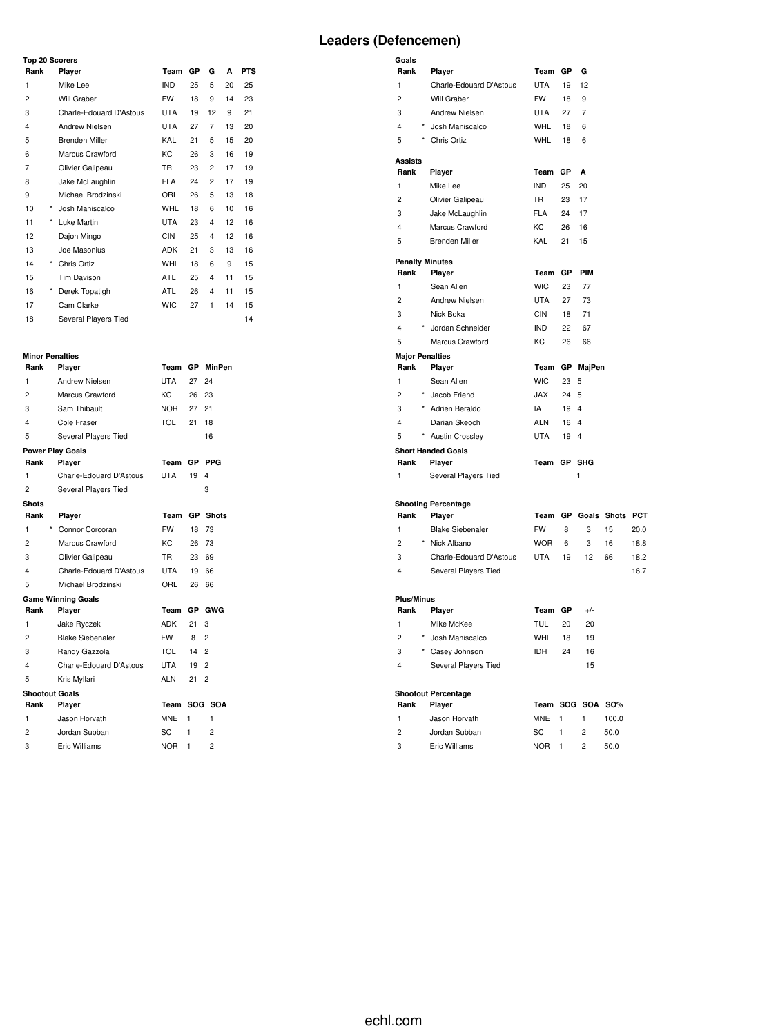## **Top 20 Scorers**

| Top zu Scorers          |            |                         |            |    |    |    |            |  |
|-------------------------|------------|-------------------------|------------|----|----|----|------------|--|
| Rank                    |            | Player                  | Team       | GP | G  | A  | <b>PTS</b> |  |
| 1                       |            | Mike Lee                | <b>IND</b> | 25 | 5  | 20 | 25         |  |
| 2                       |            | Will Graber             | <b>FW</b>  | 18 | 9  | 14 | 23         |  |
| 3                       |            | Charle-Edouard D'Astous | <b>UTA</b> | 19 | 12 | 9  | 21         |  |
| $\overline{\mathbf{4}}$ |            | Andrew Nielsen          | <b>UTA</b> | 27 | 7  | 13 | 20         |  |
| 5                       |            | <b>Brenden Miller</b>   | KAL        | 21 | 5  | 15 | 20         |  |
| 6                       |            | Marcus Crawford         | KC.        | 26 | 3  | 16 | 19         |  |
| 7                       |            | Olivier Galipeau        | <b>TR</b>  | 23 | 2  | 17 | 19         |  |
| 8                       |            | Jake McLaughlin         | <b>FLA</b> | 24 | 2  | 17 | 19         |  |
| 9                       |            | Michael Brodzinski      | ORL        | 26 | 5  | 13 | 18         |  |
| 10                      | $\star$    | Josh Maniscalco         | WHL        | 18 | 6  | 10 | 16         |  |
| 11                      | $^{\star}$ | Luke Martin             | <b>UTA</b> | 23 | 4  | 12 | 16         |  |
| 12                      |            | Dajon Mingo             | <b>CIN</b> | 25 | 4  | 12 | 16         |  |
| 13                      |            | Joe Masonius            | <b>ADK</b> | 21 | 3  | 13 | 16         |  |
| 14                      | $\star$    | Chris Ortiz             | <b>WHL</b> | 18 | 6  | 9  | 15         |  |
| 15                      |            | Tim Davison             | ATL        | 25 | 4  | 11 | 15         |  |
| 16                      | *          | Derek Topatigh          | ATL        | 26 | 4  | 11 | 15         |  |
| 17                      |            | Cam Clarke              | <b>WIC</b> | 27 | 1  | 14 | 15         |  |
| 18                      |            | Several Players Tied    |            |    |    |    | 14         |  |

### **Minor Penalties**

| Rank                  | Player                    | Team       | GP        | <b>MinPen</b>  |
|-----------------------|---------------------------|------------|-----------|----------------|
| 1                     | <b>Andrew Nielsen</b>     | <b>UTA</b> | 27        | 24             |
| $\overline{c}$        | Marcus Crawford           | KC         | 26        | 23             |
| 3                     | Sam Thibault              | <b>NOR</b> | 27        | 21             |
| 4                     | Cole Fraser               | TOL        | 21        | 18             |
| 5                     | Several Players Tied      |            |           | 16             |
|                       | <b>Power Play Goals</b>   |            |           |                |
| Rank                  | Player                    | Team       | GР        | <b>PPG</b>     |
| 1                     | Charle-Edouard D'Astous   | <b>UTA</b> | 19        | 4              |
| 2                     | Several Players Tied      |            |           | 3              |
| <b>Shots</b>          |                           |            |           |                |
| Rank                  | Player                    | Team       | <b>GP</b> | <b>Shots</b>   |
| $\star$<br>1          | Connor Corcoran           | <b>FW</b>  | 18        | 73             |
| $\overline{c}$        | Marcus Crawford           | KC         | 26        | 73             |
| 3                     | Olivier Galipeau          | TR.        | 23        | 69             |
| 4                     | Charle-Edouard D'Astous   | <b>UTA</b> | 19        | 66             |
| 5                     | Michael Brodzinski        | ORL        | 26        | 66             |
|                       | <b>Game Winning Goals</b> |            |           |                |
| Rank                  | Player                    | Team       | GP        | GWG            |
| 1                     | Jake Ryczek               | ADK        | 21        | 3              |
| 2                     | <b>Blake Siebenaler</b>   | <b>FW</b>  | 8         | $\overline{2}$ |
| 3                     | Randy Gazzola             | <b>TOL</b> | 14        | $\overline{2}$ |
| 4                     | Charle-Edouard D'Astous   | <b>UTA</b> | 19        | 2              |
| 5                     | Kris Myllari              | ALN        | 21        | 2              |
| <b>Shootout Goals</b> |                           |            |           |                |
| Rank                  | Player                    | Team       | SOG       | <b>SOA</b>     |
| 1                     | Jason Horvath             | MNE        | 1         | 1              |
| 2                     | Jordan Subban             | SC         | 1         | 2              |
| 3                     | <b>Eric Williams</b>      | <b>NOR</b> | 1         | $\overline{2}$ |

| Goals                  |                                          |             |         |                  |                    |              |
|------------------------|------------------------------------------|-------------|---------|------------------|--------------------|--------------|
| Rank                   | Player                                   | Team GP     |         | G                |                    |              |
| 1                      | Charle-Edouard D'Astous                  | <b>UTA</b>  | 19      | 12               |                    |              |
| $\overline{c}$         | Will Graber                              | FW          | 18      | 9                |                    |              |
| 3<br>4                 | Andrew Nielsen                           | UTA         | 27      | 7                |                    |              |
|                        | Josh Maniscalco                          | WHL         | 18      | 6                |                    |              |
| 5                      | Chris Ortiz                              | <b>WHL</b>  | 18      | 6                |                    |              |
| <b>Assists</b><br>Rank | Player                                   | Team        | GР      | A                |                    |              |
| 1                      | Mike Lee                                 | <b>IND</b>  | 25      | 20               |                    |              |
| $\overline{c}$         | Olivier Galipeau                         | <b>TR</b>   | 23      | 17               |                    |              |
| 3                      | Jake McLaughlin                          | <b>FLA</b>  | 24      | 17               |                    |              |
| 4                      | Marcus Crawford                          | КC          | 26      | 16               |                    |              |
| 5                      | <b>Brenden Miller</b>                    | KAL         | 21      | 15               |                    |              |
| <b>Penalty Minutes</b> |                                          |             |         |                  |                    |              |
| Rank                   | Player                                   | Team        | GP      | <b>PIM</b>       |                    |              |
| 1                      | Sean Allen                               | <b>WIC</b>  | 23      | 77               |                    |              |
| $\overline{c}$         | Andrew Nielsen                           | <b>UTA</b>  | 27      | 73               |                    |              |
| 3                      | Nick Boka                                | <b>CIN</b>  | 18      | 71               |                    |              |
| 4                      | * Jordan Schneider                       | <b>IND</b>  | 22      | 67               |                    |              |
| 5                      | Marcus Crawford                          | KC          | 26      | 66               |                    |              |
| <b>Major Penalties</b> |                                          |             |         |                  |                    |              |
| Rank                   | Player                                   | Team        |         | GP MajPen        |                    |              |
| 1                      | Sean Allen                               | <b>WIC</b>  | 23      | 5                |                    |              |
| $\overline{c}$         | Jacob Friend                             | <b>JAX</b>  | 24      | 5                |                    |              |
| 3                      | * Adrien Beraldo                         | IA          | 19 4    |                  |                    |              |
| 4                      | Darian Skeoch                            | <b>ALN</b>  | 16      | $\overline{4}$   |                    |              |
| 5                      | * Austin Crossley                        | <b>UTA</b>  | 19      | 4                |                    |              |
| Rank                   | <b>Short Handed Goals</b><br>Player      | Team GP SHG |         |                  |                    |              |
| 1                      | Several Players Tied                     |             |         | 1                |                    |              |
|                        |                                          |             |         |                  |                    |              |
|                        | <b>Shooting Percentage</b>               |             |         |                  |                    |              |
| Rank                   | Player                                   | Team        |         |                  | GP Goals Shots PCT |              |
| 1<br>$\overline{c}$    | <b>Blake Siebenaler</b><br>* Nick Albano | <b>FW</b>   | 8       | 3                | 15                 | 20.0         |
| 3                      | Charle-Edouard D'Astous                  | <b>WOR</b>  | 6<br>19 | 3<br>12          | 16<br>66           | 18.8         |
| 4                      | Several Players Tied                     | UTA         |         |                  |                    | 18.2<br>16.7 |
|                        |                                          |             |         |                  |                    |              |
| <b>Plus/Minus</b>      |                                          |             |         |                  |                    |              |
| Rank                   | Player                                   | Team GP     |         | $+/-$            |                    |              |
| 1                      | Mike McKee                               | <b>TUL</b>  | 20      | 20               |                    |              |
| 2                      | * Josh Maniscalco                        | WHL         | 18      | 19               |                    |              |
| 3                      | Casey Johnson                            | IDH         | 24      | 16               |                    |              |
| 4                      | Several Players Tied                     |             |         | 15               |                    |              |
|                        | <b>Shootout Percentage</b>               |             |         |                  |                    |              |
| Rank                   | Player                                   |             |         | Team SOG SOA SO% |                    |              |
| 1                      | Jason Horvath                            | MNE         | 1       | 1                | 100.0              |              |
| 2                      | Jordan Subban                            | SC          | 1       | 2                | 50.0               |              |
| 3                      | Eric Williams                            | <b>NOR</b>  | 1       | 2                | 50.0               |              |
|                        |                                          |             |         |                  |                    |              |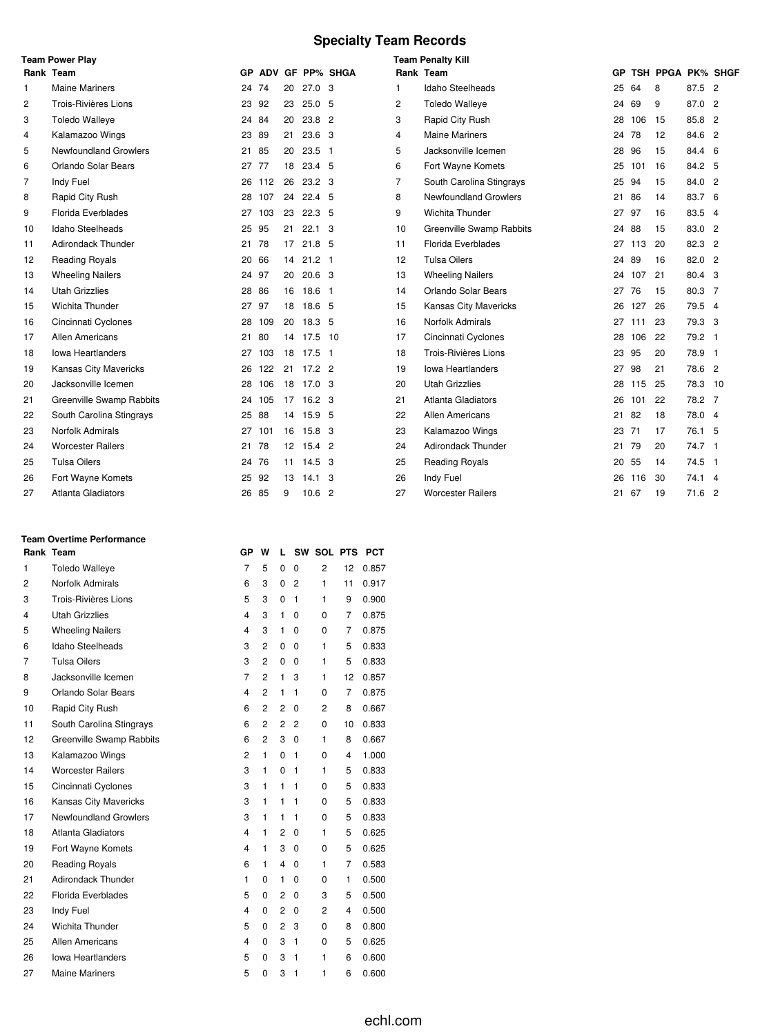# **Specialty Team Records**

|    | <b>Team Power Play</b>    |       |        |    |                   |                 |           | <b>Team Penalty Kill</b>        |    |     |                   |         |  |
|----|---------------------------|-------|--------|----|-------------------|-----------------|-----------|---------------------------------|----|-----|-------------------|---------|--|
|    | Rank Team                 | GP.   |        |    |                   | ADV GF PP% SHGA | Rank Team |                                 | GP |     | TSH PPGA PK% SHGF |         |  |
| 1  | <b>Maine Mariners</b>     | 24    | 74     | 20 | $27.0$ 3          |                 | 1.        | Idaho Steelheads                | 25 | 64  | 8                 | 87.5 2  |  |
| 2  | Trois-Rivières Lions      | 23    | 92     | 23 | 25.0 <sub>5</sub> |                 | 2         | <b>Toledo Walleye</b>           | 24 | 69  | 9                 | 87.0 2  |  |
| 3  | <b>Toledo Walleye</b>     | 24    | 84     | 20 | 23.8              | $\overline{2}$  | 3         | Rapid City Rush                 | 28 | 106 | 15                | 85.8 2  |  |
| 4  | Kalamazoo Wings           | 23    | 89     | 21 | 23.6              | - 3             | 4         | <b>Maine Mariners</b>           | 24 | 78  | 12                | 84.6 2  |  |
| 5  | Newfoundland Growlers     | 21    | 85     | 20 | $23.5$ 1          |                 | 5         | Jacksonville Icemen             | 28 | 96  | 15                | 84.4 6  |  |
| 6  | Orlando Solar Bears       | 27 77 |        | 18 | 23.4 5            |                 | 6         | Fort Wayne Komets               | 25 | 101 | 16                | 84.2 5  |  |
| 7  | Indy Fuel                 | 26    | 112    | 26 | 23.2 <sub>3</sub> |                 | 7         | South Carolina Stingrays        | 25 | 94  | 15                | 84.0 2  |  |
| 8  | Rapid City Rush           | 28    | 107    | 24 | 22.4 <sub>5</sub> |                 | 8         | <b>Newfoundland Growlers</b>    | 21 | 86  | 14                | 83.7 6  |  |
| 9  | Florida Everblades        | 27    | 103    | 23 | $22.3$ 5          |                 | 9         | Wichita Thunder                 | 27 | -97 | 16                | 83.5 4  |  |
| 10 | Idaho Steelheads          | 25    | 95     | 21 | $22.1 \quad 3$    |                 | 10        | <b>Greenville Swamp Rabbits</b> | 24 | 88  | 15                | 83.0 2  |  |
| 11 | Adirondack Thunder        | 21 78 |        | 17 | 21.8 <sub>5</sub> |                 | 11        | <b>Florida Everblades</b>       | 27 | 113 | 20                | 82.3 2  |  |
| 12 | <b>Reading Royals</b>     | 20    | 66     | 14 | $21.2$ 1          |                 | 12        | <b>Tulsa Oilers</b>             | 24 | 89  | 16                | 82.0 2  |  |
| 13 | <b>Wheeling Nailers</b>   | 24 97 |        | 20 | 20.6 <sup>3</sup> |                 | 13        | <b>Wheeling Nailers</b>         | 24 | 107 | 21                | 80.4 3  |  |
| 14 | <b>Utah Grizzlies</b>     | 28    | 86     | 16 | 18.6 1            |                 | 14        | Orlando Solar Bears             | 27 | 76  | 15                | 80.3 7  |  |
| 15 | <b>Wichita Thunder</b>    | 27 97 |        | 18 | 18.6 5            |                 | 15        | <b>Kansas City Mavericks</b>    | 26 | 127 | 26                | 79.5 4  |  |
| 16 | Cincinnati Cyclones       | 28    | 109    | 20 | 18.3 <sub>5</sub> |                 | 16        | Norfolk Admirals                | 27 | 111 | 23                | 79.3 3  |  |
| 17 | Allen Americans           | 21    | 80     | 14 | 17.5              | 10              | 17        | Cincinnati Cyclones             | 28 | 106 | 22                | 79.2 1  |  |
| 18 | <b>Iowa Heartlanders</b>  | 27    | 103    |    | 18 17.5 1         |                 | 18        | Trois-Rivières Lions            | 23 | 95  | 20                | 78.9 1  |  |
| 19 | Kansas City Mavericks     | 26    | 122    | 21 | $17.2$ 2          |                 | 19        | <b>Iowa Heartlanders</b>        | 27 | 98  | 21                | 78.6 2  |  |
| 20 | Jacksonville Icemen       | 28    | 106    | 18 | $17.0-3$          |                 | 20        | <b>Utah Grizzlies</b>           | 28 | 115 | 25                | 78.3 10 |  |
| 21 | Greenville Swamp Rabbits  |       | 24 105 |    | 17 16.2 3         |                 | 21        | Atlanta Gladiators              | 26 | 101 | 22                | 78.2 7  |  |
| 22 | South Carolina Stingrays  | 25 88 |        | 14 | 15.9 <sub>5</sub> |                 | 22        | <b>Allen Americans</b>          | 21 | 82  | 18                | 78.0 4  |  |
| 23 | Norfolk Admirals          |       | 27 101 |    | 16 15.8 3         |                 | 23        | Kalamazoo Wings                 | 23 | 71  | 17                | 76.1 5  |  |
| 24 | <b>Worcester Railers</b>  | 21    | 78     |    | 12 15.4 2         |                 | 24        | <b>Adirondack Thunder</b>       | 21 | 79  | 20                | 74.7 1  |  |
| 25 | <b>Tulsa Oilers</b>       | 24 76 |        | 11 | $14.5 \quad 3$    |                 | 25        | <b>Reading Royals</b>           | 20 | 55  | 14                | 74.5 1  |  |
| 26 | Fort Wayne Komets         | 25    | 92     | 13 | $14.1 \quad 3$    |                 | 26        | Indy Fuel                       | 26 | 116 | 30                | 74.1 4  |  |
| 27 | <b>Atlanta Gladiators</b> | 26    | 85     | 9  | 10.6 <sup>2</sup> |                 | 27        | <b>Worcester Railers</b>        | 21 | 67  | 19                | 71.6 2  |  |

## **Team Overtime Performance**

|    | Rank Team                    | GР                      | w              | L              |              | SW SOL PTS     |              | <b>PCT</b> |
|----|------------------------------|-------------------------|----------------|----------------|--------------|----------------|--------------|------------|
| 1  | <b>Toledo Walleye</b>        | $\overline{7}$          | 5              | 0              | 0            | $\overline{2}$ | 12           | 0.857      |
| 2  | Norfolk Admirals             | 6                       | 3              | 0              | 2            | 1              | 11           | 0.917      |
| 3  | Trois-Rivières Lions         | 5                       | 3              | 0              | 1            | 1              | 9            | 0.900      |
| 4  | <b>Utah Grizzlies</b>        | 4                       | 3              | $\mathbf{1}$   | 0            | 0              | 7            | 0.875      |
| 5  | <b>Wheeling Nailers</b>      | $\overline{\mathbf{4}}$ | 3              | 1              | 0            | 0              | 7            | 0.875      |
| 6  | <b>Idaho Steelheads</b>      | 3                       | 2              | 0              | 0            | 1              | 5            | 0.833      |
| 7  | <b>Tulsa Oilers</b>          | 3                       | $\overline{2}$ | 0              | 0            | 1              | 5            | 0.833      |
| 8  | Jacksonville Icemen          | $\overline{7}$          | $\overline{2}$ | $\mathbf{1}$   | 3            | 1              | 12           | 0.857      |
| 9  | Orlando Solar Bears          | 4                       | $\overline{2}$ | $\mathbf{1}$   | 1            | $\Omega$       | 7            | 0.875      |
| 10 | Rapid City Rush              | 6                       | 2              | 2              | 0            | 2              | 8            | 0.667      |
| 11 | South Carolina Stingrays     | 6                       | $\overline{2}$ | 2              | 2            | 0              | 10           | 0.833      |
| 12 | Greenville Swamp Rabbits     | 6                       | 2              | 3              | 0            | 1              | 8            | 0.667      |
| 13 | Kalamazoo Wings              | $\overline{c}$          | $\mathbf{1}$   | 0              | 1            | 0              | 4            | 1.000      |
| 14 | <b>Worcester Railers</b>     | 3                       | 1              | 0              | 1            | 1              | 5            | 0.833      |
| 15 | Cincinnati Cyclones          | 3                       | 1              | 1              | 1            | 0              | 5            | 0.833      |
| 16 | Kansas City Mavericks        | 3                       | 1              | 1              | 1            | 0              | 5            | 0.833      |
| 17 | <b>Newfoundland Growlers</b> | 3                       | $\mathbf{1}$   | 1              | 1            | 0              | 5            | 0.833      |
| 18 | <b>Atlanta Gladiators</b>    | 4                       | $\mathbf{1}$   | $\overline{2}$ | 0            | 1              | 5            | 0.625      |
| 19 | Fort Wayne Komets            | $\overline{\mathbf{4}}$ | $\mathbf{1}$   | 3              | 0            | 0              | 5            | 0.625      |
| 20 | <b>Reading Royals</b>        | 6                       | 1              | 4              | 0            | 1              | 7            | 0.583      |
| 21 | Adirondack Thunder           | 1                       | 0              | 1              | 0            | 0              | $\mathbf{1}$ | 0.500      |
| 22 | Florida Everblades           | 5                       | 0              | 2              | 0            | 3              | 5            | 0.500      |
| 23 | Indy Fuel                    | $\overline{\mathbf{4}}$ | 0              | 2              | 0            | $\overline{c}$ | 4            | 0.500      |
| 24 | Wichita Thunder              | 5                       | 0              | $\overline{2}$ | 3            | 0              | 8            | 0.800      |
| 25 | Allen Americans              | $\overline{\mathbf{4}}$ | 0              | 3              | $\mathbf{1}$ | $\Omega$       | 5            | 0.625      |
| 26 | lowa Heartlanders            | 5                       | 0              | 3              | $\mathbf{1}$ | 1              | 6            | 0.600      |
| 27 | <b>Maine Mariners</b>        | 5                       | 0              | 3              | $\mathbf{1}$ | 1              | 6            | 0.600      |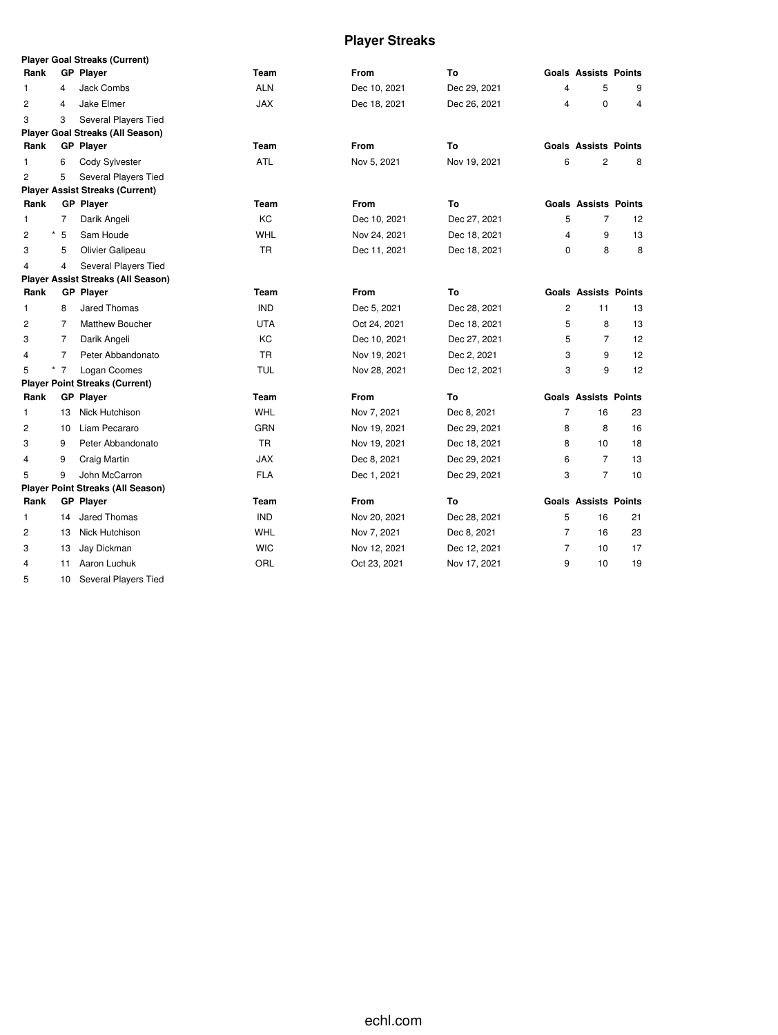# **Player Streaks**

|                            |                | <b>Player Goal Streaks (Current)</b>      |            |              |              |                |                             |    |
|----------------------------|----------------|-------------------------------------------|------------|--------------|--------------|----------------|-----------------------------|----|
| Rank                       |                | <b>GP Player</b>                          | Team       | From         | To           |                | <b>Goals Assists Points</b> |    |
| 1                          | 4              | <b>Jack Combs</b>                         | <b>ALN</b> | Dec 10, 2021 | Dec 29, 2021 | 4              | 5                           | 9  |
| $\overline{2}$             | 4              | Jake Elmer                                | <b>JAX</b> | Dec 18, 2021 | Dec 26, 2021 | 4              | $\mathbf 0$                 | 4  |
| 3                          | 3              | Several Players Tied                      |            |              |              |                |                             |    |
|                            |                | <b>Player Goal Streaks (All Season)</b>   |            |              |              |                |                             |    |
| Rank                       |                | <b>GP</b> Player                          | Team       | From         | To           |                | <b>Goals Assists Points</b> |    |
| 1                          | 6              | Cody Sylvester                            | ATL        | Nov 5, 2021  | Nov 19, 2021 | 6              | 2                           | 8  |
| $\overline{2}$             | 5              | Several Players Tied                      |            |              |              |                |                             |    |
|                            |                | <b>Player Assist Streaks (Current)</b>    |            |              |              |                |                             |    |
| Rank                       |                | <b>GP Player</b>                          | Team       | From         | To           |                | <b>Goals Assists Points</b> |    |
| 1                          | $\overline{7}$ | Darik Angeli                              | KC         | Dec 10, 2021 | Dec 27, 2021 | 5              | $\overline{7}$              | 12 |
| $^\star$<br>$\overline{c}$ | 5              | Sam Houde                                 | WHL        | Nov 24, 2021 | Dec 18, 2021 | 4              | 9                           | 13 |
| 3                          | 5              | Olivier Galipeau                          | <b>TR</b>  | Dec 11, 2021 | Dec 18, 2021 | 0              | 8                           | 8  |
| 4                          | 4              | Several Players Tied                      |            |              |              |                |                             |    |
|                            |                | <b>Player Assist Streaks (All Season)</b> |            |              |              |                |                             |    |
| Rank                       |                | <b>GP Player</b>                          | Team       | <b>From</b>  | To           |                | <b>Goals Assists Points</b> |    |
| $\mathbf{1}$               | 8              | Jared Thomas                              | <b>IND</b> | Dec 5, 2021  | Dec 28, 2021 | $\overline{c}$ | 11                          | 13 |
| $\overline{c}$             | 7              | Matthew Boucher                           | <b>UTA</b> | Oct 24, 2021 | Dec 18, 2021 | 5              | 8                           | 13 |
| 3                          | 7              | Darik Angeli                              | KC         | Dec 10, 2021 | Dec 27, 2021 | 5              | $\overline{7}$              | 12 |
| 4                          | 7              | Peter Abbandonato                         | <b>TR</b>  | Nov 19, 2021 | Dec 2, 2021  | 3              | 9                           | 12 |
| 5                          | $*$ 7          | Logan Coomes                              | <b>TUL</b> | Nov 28, 2021 | Dec 12, 2021 | 3              | 9                           | 12 |
|                            |                | <b>Player Point Streaks (Current)</b>     |            |              |              |                |                             |    |
| Rank                       |                | <b>GP Player</b>                          | Team       | <b>From</b>  | To           |                | <b>Goals Assists Points</b> |    |
| 1                          | 13             | Nick Hutchison                            | <b>WHL</b> | Nov 7, 2021  | Dec 8, 2021  | $\overline{7}$ | 16                          | 23 |
| 2                          | 10             | Liam Pecararo                             | <b>GRN</b> | Nov 19, 2021 | Dec 29, 2021 | 8              | 8                           | 16 |
| 3                          | 9              | Peter Abbandonato                         | <b>TR</b>  | Nov 19, 2021 | Dec 18, 2021 | 8              | 10                          | 18 |
| 4                          | 9              | Craig Martin                              | <b>JAX</b> | Dec 8, 2021  | Dec 29, 2021 | 6              | 7                           | 13 |
| 5                          | 9              | John McCarron                             | <b>FLA</b> | Dec 1, 2021  | Dec 29, 2021 | 3              | $\overline{7}$              | 10 |
|                            |                | <b>Player Point Streaks (All Season)</b>  |            |              |              |                |                             |    |
| Rank                       |                | <b>GP Player</b>                          | Team       | <b>From</b>  | To           |                | <b>Goals Assists Points</b> |    |
| 1                          | 14             | Jared Thomas                              | <b>IND</b> | Nov 20, 2021 | Dec 28, 2021 | 5              | 16                          | 21 |
| 2                          | 13             | Nick Hutchison                            | <b>WHL</b> | Nov 7, 2021  | Dec 8, 2021  | $\overline{7}$ | 16                          | 23 |
| 3                          | 13             | Jay Dickman                               | <b>WIC</b> | Nov 12, 2021 | Dec 12, 2021 | $\overline{7}$ | 10                          | 17 |
| $\overline{4}$             | 11             | Aaron Luchuk                              | ORL        | Oct 23, 2021 | Nov 17, 2021 | 9              | 10                          | 19 |

10 Several Players Tied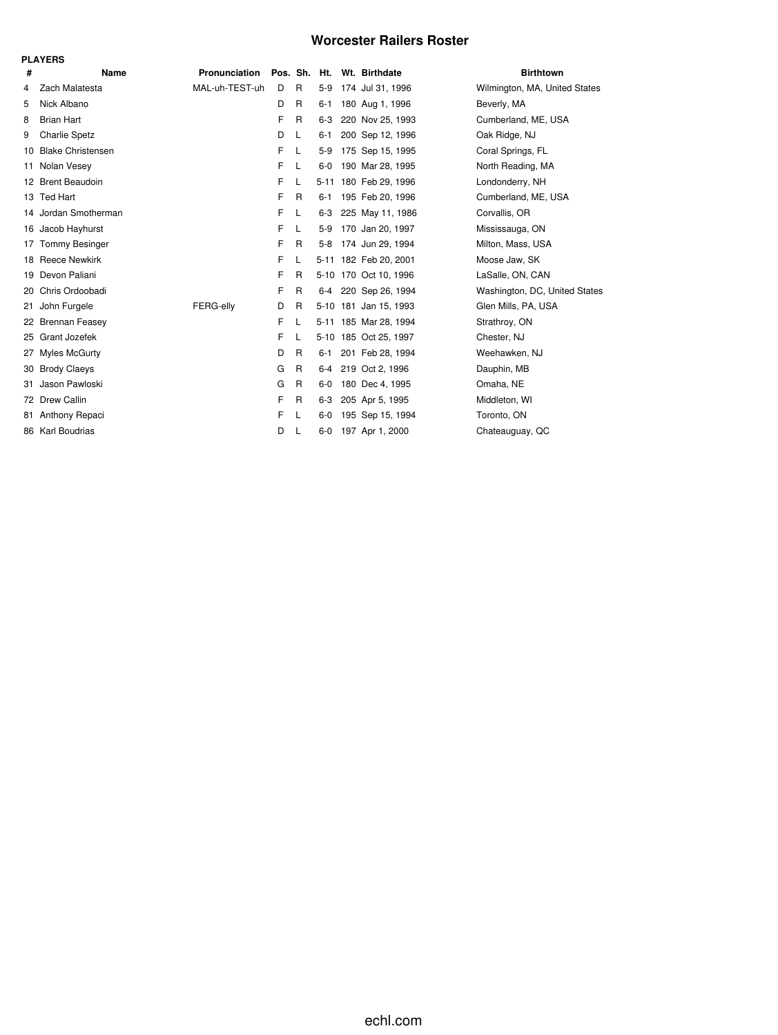## **Worcester Railers Roster**

|    | <b>PLAYERS</b>           |                |   |   |              |                       |                               |
|----|--------------------------|----------------|---|---|--------------|-----------------------|-------------------------------|
| #  | Name                     | Pronunciation  |   |   | Pos. Sh. Ht. | Wt. Birthdate         | <b>Birthtown</b>              |
| 4  | Zach Malatesta           | MAL-uh-TEST-uh | D | R | $5-9$        | 174 Jul 31, 1996      | Wilmington, MA, United States |
| 5  | Nick Albano              |                | D | R | $6 - 1$      | 180 Aug 1, 1996       | Beverly, MA                   |
| 8  | <b>Brian Hart</b>        |                | F | R | $6-3$        | 220 Nov 25, 1993      | Cumberland, ME, USA           |
| 9  | <b>Charlie Spetz</b>     |                | D | L | $6 - 1$      | 200 Sep 12, 1996      | Oak Ridge, NJ                 |
| 10 | <b>Blake Christensen</b> |                | F | L | $5-9$        | 175 Sep 15, 1995      | Coral Springs, FL             |
| 11 | Nolan Vesey              |                | F | L | $6-0$        | 190 Mar 28, 1995      | North Reading, MA             |
|    | 12 Brent Beaudoin        |                | F | L |              | 5-11 180 Feb 29, 1996 | Londonderry, NH               |
|    | 13 Ted Hart              |                | F | R | $6 - 1$      | 195 Feb 20, 1996      | Cumberland, ME, USA           |
|    | 14 Jordan Smotherman     |                | F | L | $6-3$        | 225 May 11, 1986      | Corvallis, OR                 |
|    | 16 Jacob Hayhurst        |                | F | L | $5-9$        | 170 Jan 20, 1997      | Mississauga, ON               |
| 17 | <b>Tommy Besinger</b>    |                | F | R | $5 - 8$      | 174 Jun 29, 1994      | Milton, Mass, USA             |
|    | 18 Reece Newkirk         |                | F | L |              | 5-11 182 Feb 20, 2001 | Moose Jaw, SK                 |
|    | 19 Devon Paliani         |                | F | R |              | 5-10 170 Oct 10, 1996 | LaSalle, ON, CAN              |
| 20 | Chris Ordoobadi          |                | F | R | 6-4          | 220 Sep 26, 1994      | Washington, DC, United States |
| 21 | John Furgele             | FERG-elly      | D | R |              | 5-10 181 Jan 15, 1993 | Glen Mills, PA, USA           |
|    | 22 Brennan Feasey        |                | F | L |              | 5-11 185 Mar 28, 1994 | Strathroy, ON                 |
| 25 | Grant Jozefek            |                | F | L |              | 5-10 185 Oct 25, 1997 | Chester, NJ                   |
| 27 | Myles McGurty            |                | D | R | $6 - 1$      | 201 Feb 28, 1994      | Weehawken, NJ                 |
|    | 30 Brody Claeys          |                | G | R | $6 - 4$      | 219 Oct 2, 1996       | Dauphin, MB                   |
| 31 | Jason Pawloski           |                | G | R | $6-0$        | 180 Dec 4, 1995       | Omaha, NE                     |
|    | 72 Drew Callin           |                | F | R | $6 - 3$      | 205 Apr 5, 1995       | Middleton, WI                 |
| 81 | Anthony Repaci           |                | F | L | $6-0$        | 195 Sep 15, 1994      | Toronto, ON                   |
|    | 86 Karl Boudrias         |                | D | L | $6-0$        | 197 Apr 1, 2000       | Chateauguay, QC               |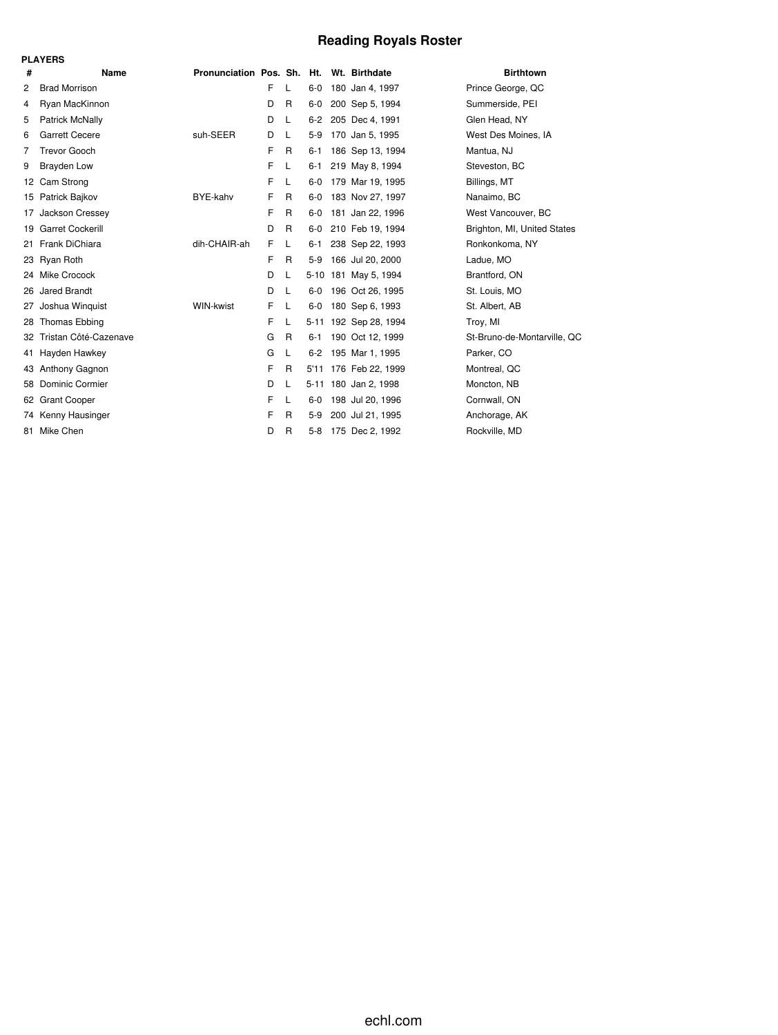# **Reading Royals Roster**

|    | <b>PLAYERS</b>         |                                          |   |   |          |                      |                             |
|----|------------------------|------------------------------------------|---|---|----------|----------------------|-----------------------------|
| #  | Name                   | Pronunciation Pos. Sh. Ht. Wt. Birthdate |   |   |          |                      | <b>Birthtown</b>            |
| 2  | <b>Brad Morrison</b>   |                                          | F | L | $6-0$    | 180 Jan 4, 1997      | Prince George, QC           |
| 4  | Ryan MacKinnon         |                                          | D | R | $6-0$    | 200 Sep 5, 1994      | Summerside, PEI             |
| 5  | Patrick McNally        |                                          | D | L | $6 - 2$  | 205 Dec 4, 1991      | Glen Head, NY               |
| 6  | <b>Garrett Cecere</b>  | suh-SEER                                 | D | L | $5-9$    | 170 Jan 5, 1995      | West Des Moines, IA         |
| 7  | <b>Trevor Gooch</b>    |                                          | F | R | $6 - 1$  | 186 Sep 13, 1994     | Mantua, NJ                  |
| 9  | <b>Brayden Low</b>     |                                          | F | L | 6-1      | 219 May 8, 1994      | Steveston, BC               |
| 12 | Cam Strong             |                                          | F | L | $6-0$    | 179 Mar 19, 1995     | Billings, MT                |
| 15 | Patrick Bajkov         | BYE-kahv                                 | F | R | $6 - 0$  | 183 Nov 27, 1997     | Nanaimo, BC                 |
| 17 | Jackson Cressey        |                                          | F | R | 6-0      | 181 Jan 22, 1996     | West Vancouver, BC          |
|    | 19 Garret Cockerill    |                                          | D | R | 6-0      | 210 Feb 19, 1994     | Brighton, MI, United States |
| 21 | Frank DiChiara         | dih-CHAIR-ah                             | F | L | 6-1      | 238 Sep 22, 1993     | Ronkonkoma, NY              |
|    | 23 Ryan Roth           |                                          | F | R | $5-9$    | 166 Jul 20, 2000     | Ladue, MO                   |
|    | 24 Mike Crocock        |                                          | D | L |          | 5-10 181 May 5, 1994 | Brantford, ON               |
| 26 | Jared Brandt           |                                          | D | L | 6-0      | 196 Oct 26, 1995     | St. Louis, MO               |
| 27 | Joshua Winguist        | WIN-kwist                                | F | L | $6-0$    | 180 Sep 6, 1993      | St. Albert, AB              |
| 28 | Thomas Ebbing          |                                          | F | L | $5 - 11$ | 192 Sep 28, 1994     | Troy, MI                    |
| 32 | Tristan Côté-Cazenave  |                                          | G | R | $6 - 1$  | 190 Oct 12, 1999     | St-Bruno-de-Montarville, QC |
| 41 | Hayden Hawkey          |                                          | G | L | $6 - 2$  | 195 Mar 1, 1995      | Parker, CO                  |
|    | 43 Anthony Gagnon      |                                          | F | R | 5'11     | 176 Feb 22, 1999     | Montreal, QC                |
| 58 | <b>Dominic Cormier</b> |                                          | D | L |          | 5-11 180 Jan 2, 1998 | Moncton, NB                 |
| 62 | <b>Grant Cooper</b>    |                                          | F | L | $6-0$    | 198 Jul 20, 1996     | Cornwall, ON                |
|    | 74 Kenny Hausinger     |                                          | F | R | $5-9$    | 200 Jul 21, 1995     | Anchorage, AK               |
| 81 | Mike Chen              |                                          | D | R | $5-8$    | 175 Dec 2, 1992      | Rockville, MD               |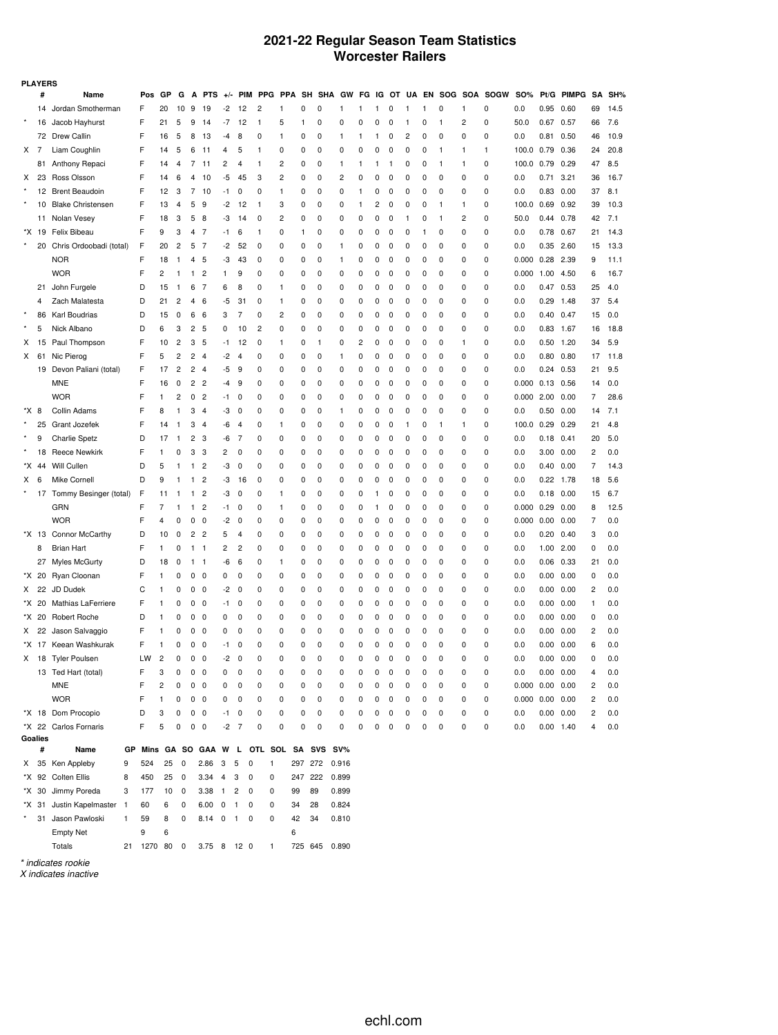## **2021-22 Regular Season Team Statistics Worcester Railers**

| <b>PLAYERS</b> |       |                           |    |     |              |                         |                |                                   |                         |                |                |             |              |              |          |   |   |          |              |              |              |          |                             |                       |               |               |                |      |
|----------------|-------|---------------------------|----|-----|--------------|-------------------------|----------------|-----------------------------------|-------------------------|----------------|----------------|-------------|--------------|--------------|----------|---|---|----------|--------------|--------------|--------------|----------|-----------------------------|-----------------------|---------------|---------------|----------------|------|
|                | #     | Name                      |    | Pos | GP           | G                       | A              | <b>PTS</b>                        | $+/-$                   | PIM            |                | PPG PPA     | SH           | SHA GW       |          |   |   |          |              |              |              |          | FG IG OT UA EN SOG SOA SOGW | <b>SO%</b>            |               | Pt/G PIMPG    | SA             | SH%  |
|                | 14    | Jordan Smotherman         |    | F   | 20           | 10                      | 9              | 19                                | -2                      | 12             | $\overline{c}$ | 1           | 0            | 0            | 1        | 1 | 1 | 0        | 1            | $\mathbf{1}$ | 0            | 1        | 0                           | 0.0                   | 0.95          | 0.60          | 69             | 14.5 |
|                | 16    | Jacob Hayhurst            |    | F   | 21           | 5                       | 9              | 14                                | $-7$                    | 12             | $\mathbf{1}$   | 5           | 1            | 0            | 0        | 0 | 0 | $\Omega$ | -1           | 0            | $\mathbf{1}$ | 2        | 0                           | 50.0                  | 0.67 0.57     |               | 66             | 7.6  |
|                |       | 72 Drew Callin            |    | F   | 16           | 5                       | 8              | 13                                | -4                      | 8              | 0              | 1           | 0            | 0            | 1        | 1 | 1 | 0        | 2            | 0            | 0            | 0        | 0                           | 0.0                   | 0.81          | 0.50          | 46             | 10.9 |
| $X$ 7          |       | Liam Coughlin             |    | F   | 14           | 5                       | 6              | 11                                | 4                       | 5              | 1              | 0           | 0            | 0            | 0        | 0 | 0 | 0        | 0            | 0            | $\mathbf{1}$ | 1        | 1                           | 100.0                 | 0.79          | 0.36          | 24             | 20.8 |
|                | 81    | Anthony Repaci            |    | F   | 14           | 4                       | 7              | 11                                | 2                       | 4              | $\mathbf{1}$   | 2           | 0            | 0            | 1        | 1 | 1 | -1       | O            | 0            | 1            | 1        | 0                           | 100.0                 | 0.79          | 0.29          | 47             | 8.5  |
| х              | 23    | Ross Olsson               |    | F   | 14           | 6                       | $\overline{4}$ | 10                                | -5                      | 45             | 3              | 2           | 0            | 0            | 2        | 0 | 0 | $\Omega$ | $\Omega$     | 0            | 0            | $\Omega$ | 0                           | 0.0                   | 0.71          | 3.21          | 36             | 16.7 |
|                |       | 12 Brent Beaudoin         |    | F   | 12           | 3                       | 7              | 10                                | -1                      | 0              | 0              | 1           | 0            | 0            | 0        | 1 | 0 | 0        | O            | 0            | 0            | 0        | 0                           | 0.0                   |               | $0.83$ $0.00$ | 37             | 8.1  |
|                | 10    | <b>Blake Christensen</b>  |    | F   | 13           | $\overline{4}$          | 5              | 9                                 | -2                      | 12             | $\mathbf{1}$   | 3           | 0            | 0            | 0        | 1 | 2 | 0        | 0            | 0            | $\mathbf{1}$ | 1        | 0                           | 100.0                 | $0.69$ 0.92   |               | 39             | 10.3 |
|                |       | 11 Nolan Vesey            |    | F   | 18           | 3                       | 5              | 8                                 | -3                      | 14             | 0              | 2           | 0            | 0            | 0        | 0 | 0 | 0        | $\mathbf{1}$ | 0            | 1            | 2        | 0                           | 50.0                  | 0.44 0.78     |               | 42             | 7.1  |
| *X             | 19    | Felix Bibeau              |    | F   | 9            | 3                       | $\overline{4}$ | 7                                 | -1                      | 6              | $\mathbf{1}$   | 0           | $\mathbf{1}$ | 0            | 0        | 0 | 0 | 0        | 0            | 1            | 0            | $\Omega$ | 0                           | 0.0                   | 0.78 0.67     |               | 21             | 14.3 |
|                | 20    | Chris Ordoobadi (total)   |    | F   | 20           | 2                       | 5              | -7                                | -2                      | 52             | 0              | 0           | 0            | 0            | 1        | 0 | 0 | 0        | O            | 0            | 0            | 0        | 0                           | 0.0                   | 0.35          | 2.60          | 15             | 13.3 |
|                |       | <b>NOR</b>                |    | F   | 18           | $\mathbf{1}$            | 4              | 5                                 | -3                      | 43             | 0              | 0           | 0            | 0            | 1        | 0 | 0 | 0        | 0            | 0            | 0            | 0        | 0                           | 0.000                 | 0.28 2.39     |               | 9              | 11.1 |
|                |       | <b>WOR</b>                |    | F   | 2            | $\mathbf{1}$            | 1              | 2                                 | 1                       | 9              | 0              | 0           | 0            | 0            | 0        | 0 | 0 | 0        | O            | 0            | 0            | 0        | 0                           | 0.000                 | 1.00 4.50     |               | 6              | 16.7 |
|                | 21    | John Furgele              |    | D   | 15           | $\mathbf{1}$            | 6              | 7                                 | 6                       | 8              | 0              | 1           | 0            | 0            | 0        | 0 | 0 | 0        | 0            | 0            | 0            | $\Omega$ | 0                           | 0.0                   |               | 0.47 0.53     | 25             | 4.0  |
|                | 4     | Zach Malatesta            |    | D   | 21           | 2                       | 4              | 6                                 | -5                      | 31             | 0              | 1           | 0            | 0            | 0        | 0 | 0 | 0        | O            | 0            | 0            | 0        | 0                           | 0.0                   | 0.29          | 1.48          | 37             | 5.4  |
|                | 86    | Karl Boudrias             |    | D   | 15           | 0                       | 6              | 6                                 | 3                       | 7              | 0              | 2           | 0            | 0            | 0        | 0 | 0 | 0        | 0            | 0            | 0            | 0        | 0                           | 0.0                   | 0.40 0.47     |               | 15             | 0.0  |
|                | 5     | Nick Albano               |    | D   | 6            | 3                       | 2              | 5                                 | 0                       | 10             | $\overline{c}$ | 0           | 0            | 0            | 0        | 0 | 0 | 0        | O            | 0            | 0            | 0        | 0                           | 0.0                   | 0.83 1.67     |               | 16             | 18.8 |
| х              | 15    | Paul Thompson             |    | F   | 10           | $\overline{c}$          | 3              | 5                                 | -1                      | 12             | 0              | 1           | 0            | $\mathbf{1}$ | 0        | 2 | 0 | 0        | 0            | 0            | 0            | 1        | 0                           | 0.0                   |               | $0.50$ 1.20   | 34             | 5.9  |
| х              | 61    | Nic Pierog                |    | F   | 5            | 2                       | $\overline{c}$ | $\overline{4}$                    | -2                      | 4              | 0              | 0           | 0            | 0            | 1        | 0 | 0 | 0        | O            | 0            | 0            | 0        | 0                           | 0.0                   | 0.80          | 0.80          | 17             | 11.8 |
|                |       | 19 Devon Paliani (total)  |    | F   | 17           | 2                       | $\overline{c}$ | $\overline{4}$                    | -5                      | 9              | 0              | 0           | 0            | 0            | 0        | 0 | 0 | 0        | 0            | 0            | 0            | 0        | 0                           | 0.0                   |               | 0.24 0.53     | 21             | 9.5  |
|                |       | <b>MNE</b>                |    | F   | 16           | 0                       | 2              | $\overline{c}$                    | -4                      | 9              | 0              | 0           | 0            | 0            | 0        | 0 | 0 | 0        | O            | 0            | 0            | 0        | 0                           | 0.000                 | $0.13$ 0.56   |               | 14             | 0.0  |
|                |       | <b>WOR</b>                |    | F   | 1            | 2                       | 0              | $\overline{c}$                    | -1                      | 0              | 0              | 0           | 0            | 0            | 0        | 0 | 0 | 0        | 0            | 0            | 0            | $\Omega$ | 0                           | 0.000                 | $2.00$ $0.00$ |               | 7              | 28.6 |
| *X             | 8     | Collin Adams              |    | F   | 8            | $\mathbf{1}$            | 3              | $\overline{4}$                    | -3                      | 0              | 0              | 0           | 0            | 0            | 1        | 0 | 0 | 0        | O            | 0            | 0            | 0        | 0                           | 0.0                   | 0.50          | 0.00          | 14             | 7.1  |
|                | 25    | Grant Jozefek             |    | F   | 14           | $\mathbf{1}$            | 3              | $\overline{4}$                    | -6                      | $\overline{4}$ | 0              | 1           | 0            | 0            | 0        | 0 | 0 | 0        | -1           | 0            | $\mathbf{1}$ | 1        | 0                           | 100.0                 | $0.29$ 0.29   |               | 21             | 4.8  |
|                | 9     | <b>Charlie Spetz</b>      |    | D   | 17           | $\mathbf{1}$            | 2              | 3                                 | -6                      | 7              | 0              | 0           | 0            | 0            | 0        | 0 | 0 | 0        | O            | 0            | 0            | 0        | 0                           | 0.0                   | $0.18$ $0.41$ |               | 20             | 5.0  |
|                | 18    | <b>Reece Newkirk</b>      |    | F   | 1            | 0                       | 3              | 3                                 | 2                       | 0              | 0              | $\Omega$    | 0            | 0            | 0        | 0 | 0 | 0        | 0            | 0            | 0            | $\Omega$ | 0                           | 0.0                   |               | 3.00 0.00     | 2              | 0.0  |
| *X             | 44    | Will Cullen               |    | D   | 5            | -1                      | 1              | 2                                 | -3                      | 0              | 0              | 0           | 0            | 0            | 0        | 0 | 0 | 0        | O            | 0            | 0            | 0        | 0                           | 0.0                   | 0.40          | 0.00          | 7              | 14.3 |
| X              | 6     | Mike Cornell              |    | D   | 9            | -1                      | $\mathbf{1}$   | $\overline{\mathbf{c}}$           | -3                      | 16             | 0              | 0           | 0            | 0            | 0        | 0 | 0 | 0        | 0            | 0            | 0            | 0        | 0                           | 0.0                   |               | $0.22$ 1.78   | 18             | 5.6  |
|                |       | 17 Tommy Besinger (total) |    | F   | 11           | 1                       | 1              | 2                                 | -3                      | 0              | 0              | 1           | 0            | 0            | 0        | 0 | 1 | 0        | 0            | 0            | 0            | 0        | 0                           | 0.0                   | 0.18          | 0.00          | 15             | 6.7  |
|                |       | GRN                       |    | F   | 7            | -1                      | 1              | 2                                 | -1                      | 0              | 0              | 1           | 0            | 0            | 0        | 0 | 1 | 0        | 0            | 0            | 0            | 0        | 0                           | 0.000                 | 0.29          | 0.00          | 8              | 12.5 |
|                |       | <b>WOR</b>                |    | F   | 4            | 0                       | 0              | 0                                 | -2                      | 0              | 0              | 0           | 0            | 0            | 0        | 0 | 0 | 0        | 0            | 0            | 0            | 0        | 0                           | 0.000                 | 0.00          | 0.00          | $\overline{7}$ | 0.0  |
|                | *X 13 | Connor McCarthy           |    | D   | 10           | 0                       | $\overline{c}$ | $\overline{2}$                    | 5                       | 4              | 0              | 0           | 0            | 0            | 0        | 0 | 0 | 0        | 0            | 0            | 0            | 0        | 0                           | 0.0                   |               | $0.20$ $0.40$ | 3              | 0.0  |
|                | 8     | <b>Brian Hart</b>         |    | F   | 1            | 0                       | 1              | $\overline{1}$                    | 2                       | 2              | 0              | 0           | 0            | 0            | 0        | 0 | 0 | 0        | 0            | 0            | 0            | 0        | 0                           | 0.0                   |               | 1.00 2.00     | 0              | 0.0  |
|                | 27    | <b>Myles McGurty</b>      |    | D   | 18           | 0                       | 1              | -1                                | -6                      | 6              | 0              | 1           | 0            | 0            | 0        | 0 | 0 | 0        | 0            | 0            | 0            | 0        | 0                           | 0.0                   | $0.06$ $0.33$ |               | 21             | 0.0  |
| *X             | 20    | Ryan Cloonan              |    | F   | 1            | 0                       | 0              | 0                                 | 0                       | 0              | 0              | 0           | 0            | 0            | 0        | 0 | 0 | 0        | O            | 0            | 0            | 0        | 0                           | 0.0                   | 0.00          | 0.00          | 0              | 0.0  |
| X.             | 22    | JD Dudek                  |    | С   | 1            | 0                       | 0              | 0                                 | -2                      | 0              | 0              | 0           | 0            | 0            | 0        | 0 | 0 | 0        | 0            | 0            | 0            | 0        | 0                           | 0.0                   |               | 0.00 0.00     | 2              | 0.0  |
| *X.            | 20    | Mathias LaFerriere        |    | F   | 1            | 0                       | 0              | 0                                 | -1                      | 0              | 0              | 0           | 0            | 0            | 0        | 0 | 0 | 0        | 0            | 0            | 0            | 0        | 0                           | 0.0                   | 0.00          | 0.00          | 1              | 0.0  |
| *X             | 20    | <b>Robert Roche</b>       |    | D   | 1            | 0                       | 0              | 0                                 | 0                       | 0              | 0              | 0           | 0            | 0            | 0        | 0 | 0 | 0        | 0            | 0            | 0            | 0        | 0                           | 0.0                   | 0.00 0.00     |               | 0              | 0.0  |
| X              | 22    | Jason Salvaggio           |    | F   | 1            | 0                       | 0              | 0                                 | 0                       | 0              | 0              | 0           | 0            | 0            | 0        | 0 | 0 | 0        | O            | 0            | 0            | 0        | 0                           | 0.0                   | 0.00          | 0.00          | 2              | 0.0  |
|                |       | *X 17 Keean Washkurak     |    | F   | 1            | 0                       | 0              | 0                                 | -1                      | 0              | 0              | 0           | 0            | 0            | 0        | 0 | 0 | 0        | 0            | 0            | 0            | 0        | 0                           | 0.0                   | 0.00          | 0.00          | 6              | 0.0  |
| X.             |       | 18 Tyler Poulsen          |    | LW  | 2            | $\Omega$                | 0              | 0                                 | $-2$                    | $\mathbf 0$    | $\Omega$       | $\Omega$    | 0            | $\Omega$     | $\Omega$ | 0 | 0 | $\Omega$ | $\Omega$     | $\Omega$     | $\Omega$     | $\Omega$ | $\Omega$                    | 0.0                   | 0.00          | 0.00          | $\Omega$       | 0.0  |
|                |       | 13 Ted Hart (total)       |    | F   | 3            | 0                       | 0              | $\overline{\phantom{0}}$          | 0                       | $\mathbf 0$    | 0              | $\Omega$    | 0            | $\mathbf 0$  | 0        | 0 | 0 | 0        | 0            | 0            | $\mathbf 0$  | 0        | 0                           | 0.0                   |               | 0.00 0.00     | 4              | 0.0  |
|                |       | <b>MNE</b>                |    | F   | 2            | 0                       | 0              | 0                                 | 0                       | 0              | 0              | 0           | 0            | 0            | 0        | 0 | 0 | 0        | 0            | 0            | 0            | 0        | 0                           | $0.000$ $0.00$ $0.00$ |               |               | 2              | 0.0  |
|                |       | <b>WOR</b>                |    | F   | $\mathbf{1}$ | 0                       | $0\quad 0$     |                                   | 0                       | 0              | 0              | 0           | 0            | 0            | 0        | 0 | 0 | 0        | 0            | 0            | 0            | 0        | 0                           | $0.000$ $0.00$ $0.00$ |               |               | 2              | 0.0  |
|                |       | *X 18 Dom Procopio        |    | D   | 3            | 0                       | $\pmb{0}$      | 0                                 | $-1$                    | $\mathbf 0$    | 0              | 0           | 0            | 0            | 0        | 0 | 0 | 0        | 0            | 0            | 0            | 0        | 0                           | 0.0                   |               | 0.00 0.00     | 2              | 0.0  |
|                |       | *X 22 Carlos Fornaris     |    | F   | 5            | 0                       | $\mathsf 0$    | $\overline{\phantom{0}}$          | $-2$ 7                  |                | 0              | $\mathbf 0$ | 0            | 0            | 0        | 0 | 0 | 0        | 0            | 0            | 0            | 0        | 0                           | 0.0                   |               | $0.00$ 1.40   | 4              | 0.0  |
| Goalies        |       |                           |    |     |              |                         |                |                                   |                         |                |                |             |              |              |          |   |   |          |              |              |              |          |                             |                       |               |               |                |      |
|                | #     | Name                      | GР |     |              |                         |                | Mins GA SO GAA W L OTL SOL SA SVS |                         |                |                |             |              |              | SV%      |   |   |          |              |              |              |          |                             |                       |               |               |                |      |
| X              |       | 35 Ken Appleby            | 9  | 524 | 25           | $\overline{\mathbf{0}}$ |                | 2.86                              | $\overline{\mathbf{3}}$ | 5<br>0         | 1              |             | 297 272      |              | 0.916    |   |   |          |              |              |              |          |                             |                       |               |               |                |      |
|                |       | *X 92 Colten Ellis        | 8  | 450 | 25           | 0                       |                | $3.34$ 4 3                        |                         | 0              | 0              |             | 247 222      |              | 0.899    |   |   |          |              |              |              |          |                             |                       |               |               |                |      |
|                | *X 30 | Jimmy Poreda              | 3  | 177 | 10           | 0                       |                | $3.38$ 1 2                        |                         | 0              | 0              | 99          |              | 89           | 0.899    |   |   |          |              |              |              |          |                             |                       |               |               |                |      |
|                | *X 31 | Justin Kapelmaster 1      |    | 60  | 6            | 0                       |                | $6.00 \quad 0 \quad 1$            |                         | 0              | 0              | 34          |              | 28           | 0.824    |   |   |          |              |              |              |          |                             |                       |               |               |                |      |
|                |       | 31 Jason Pawloski         | 1  | 59  | 8            | 0                       |                | 8.14 0 1                          |                         | 0              | 0              | 42          |              | 34           | 0.810    |   |   |          |              |              |              |          |                             |                       |               |               |                |      |
|                |       | <b>Empty Net</b>          |    | 9   | 6            |                         |                |                                   |                         |                |                | 6           |              |              |          |   |   |          |              |              |              |          |                             |                       |               |               |                |      |

*\* indicates rookie X indicates inactive*

Totals 21 1270 80 0 3.75 8 12 0 1 725 645 0.890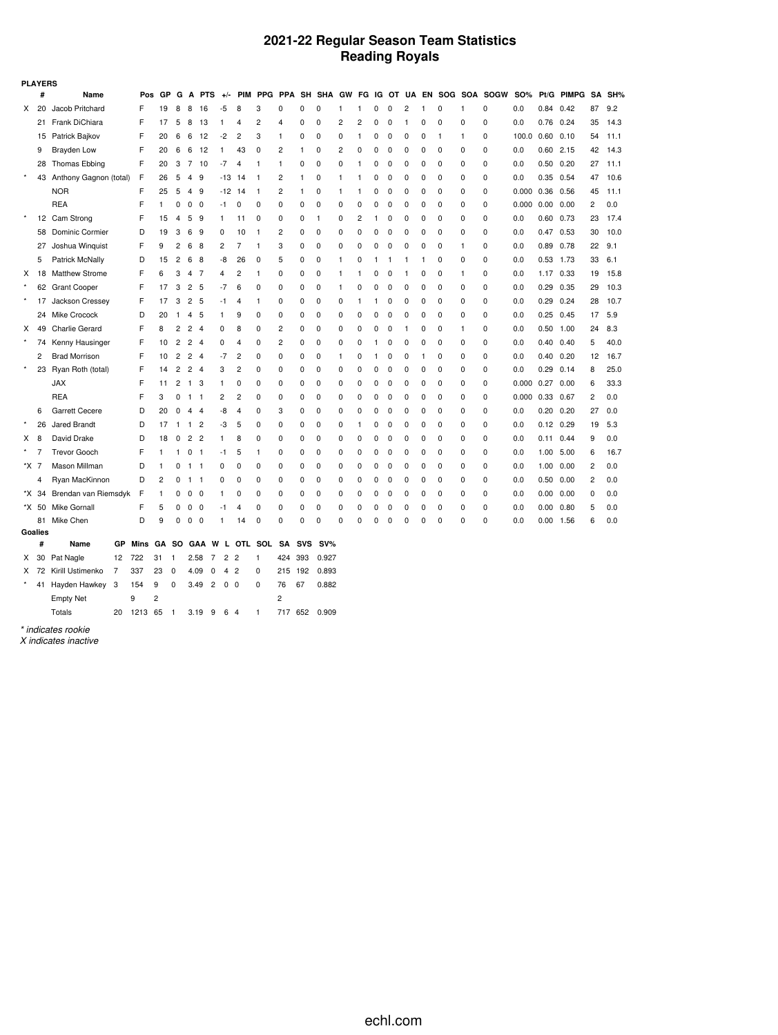## **2021-22 Regular Season Team Statistics Reading Royals**

| <b>PLAYERS</b> |         |                        |      |                |                |                |                |                              |                |              |                |              |                   |   |    |          |             |              |          |    |          |                             |            |               |            |                |      |
|----------------|---------|------------------------|------|----------------|----------------|----------------|----------------|------------------------------|----------------|--------------|----------------|--------------|-------------------|---|----|----------|-------------|--------------|----------|----|----------|-----------------------------|------------|---------------|------------|----------------|------|
|                | #       | Name                   | Pos  | GP             | G              | A              | <b>PTS</b>     | $+/-$                        | <b>PIM</b>     |              |                |              | PPG PPA SH SHA GW |   |    |          |             |              |          |    |          | FG IG OT UA EN SOG SOA SOGW | <b>SO%</b> |               | Pt/G PIMPG | SA             | SH%  |
| X              | 20      | Jacob Pritchard        | F    | 19             | 8              | 8              | 16             | -5                           | 8              | 3            | 0              | 0            | 0                 | 1 | 1  | 0        | 0           | 2            | 1        | 0  | 1        | 0                           | 0.0        | $0.84$ 0.42   |            | 87             | 9.2  |
|                | 21      | Frank DiChiara         | F    | 17             | 5              | 8              | 13             | 1                            | 4              | 2            | 4              | 0            | 0                 | 2 | 2  | 0        | 0           | $\mathbf{1}$ | 0        | 0  | 0        | $\mathbf 0$                 | 0.0        | 0.76          | 0.24       | 35             | 14.3 |
|                | 15      | Patrick Bajkov         | F    | 20             | 6              | 6              | 12             | $-2$                         | 2              | 3            | 1              | 0            | 0                 | 0 | -1 | 0        | 0           | 0            | 0        | -1 | 1        | 0                           | 100.0      | 0.60          | 0.10       | 54             | 11.1 |
|                | 9       | Brayden Low            | F    | 20             | 6              | 6              | 12             | $\mathbf{1}$                 | 43             | $\mathbf 0$  | 2              | $\mathbf{1}$ | 0                 | 2 | 0  | $\Omega$ | $\mathbf 0$ | 0            | 0        | 0  | 0        | 0                           | 0.0        | $0.60$ 2.15   |            | 42             | 14.3 |
|                | 28      | <b>Thomas Ebbing</b>   | F    | 20             | 3              | $\overline{7}$ | 10             | $-7$                         | 4              | $\mathbf{1}$ | 1              | 0            | 0                 | 0 | 1  | 0        | $\mathbf 0$ | 0            | 0        | 0  | 0        | 0                           | 0.0        | $0.50$ $0.20$ |            | 27             | 11.1 |
| $\star$        | 43      | Anthony Gagnon (total) | F    | 26             | 5              | $\overline{4}$ | 9              | $-13$                        | 14             | $\mathbf{1}$ | 2              | $\mathbf{1}$ | 0                 | 1 | 1  | 0        | 0           | 0            | 0        | 0  | 0        | 0                           | 0.0        | 0.35 0.54     |            | 47             | 10.6 |
|                |         | <b>NOR</b>             | F    | 25             | 5              | $\overline{4}$ | 9              | $-12$ 14                     |                | $\mathbf{1}$ | 2              | $\mathbf{1}$ | 0                 | 1 | 1  | 0        | 0           | 0            | 0        | 0  | 0        | 0                           | 0.000      | 0.36          | 0.56       | 45             | 11.1 |
|                |         | <b>REA</b>             | F    | 1              | 0              | $\mathbf{0}$   | $\mathbf 0$    | -1                           | 0              | $\mathbf 0$  | 0              | 0            | 0                 | 0 | 0  | $\Omega$ | 0           | 0            | 0        | 0  | 0        | 0                           | 0.000      | 0.00          | 0.00       | 2              | 0.0  |
| $\star$        | 12      | Cam Strong             | F    | 15             | 4              | 5              | 9              | $\mathbf{1}$                 | 11             | 0            | 0              | 0            | 1                 | 0 | 2  | 1        | 0           | 0            | 0        | 0  | 0        | 0                           | 0.0        | $0.60$ $0.73$ |            | 23             | 17.4 |
|                | 58      | Dominic Cormier        | D    | 19             | 3              | 6              | 9              | 0                            | 10             | $\mathbf{1}$ | 2              | 0            | 0                 | 0 | 0  | 0        | 0           | 0            | 0        | 0  | 0        | 0                           | 0.0        | 0.47 0.53     |            | 30             | 10.0 |
|                | 27      | Joshua Winguist        | F    | 9              | $\overline{c}$ | 6              | 8              | 2                            | 7              | $\mathbf{1}$ | 3              | 0            | 0                 | 0 | 0  | 0        | $\mathbf 0$ | 0            | 0        | 0  | 1        | 0                           | 0.0        | 0.89 0.78     |            | 22             | 9.1  |
|                | 5       | Patrick McNally        | D    | 15             | $\overline{c}$ | 6              | 8              | -8                           | 26             | 0            | 5              | 0            | 0                 | 1 | 0  | 1        | 1           | $\mathbf{1}$ | 1        | 0  | 0        | $\mathbf 0$                 | 0.0        | $0.53$ 1.73   |            | 33             | 6.1  |
| Χ              | 18      | <b>Matthew Strome</b>  | F    | 6              | 3              | $\overline{4}$ | 7              | 4                            | 2              | $\mathbf{1}$ | 0              | 0            | 0                 | 1 | 1  | 0        | 0           | 1            | 0        | 0  | 1        | $\mathbf 0$                 | 0.0        | 1.17 0.33     |            | 19             | 15.8 |
|                |         | 62 Grant Cooper        | F    | 17             | 3              | $\overline{2}$ | 5              | $-7$                         | 6              | 0            | 0              | 0            | 0                 | 1 | 0  | O        | 0           | 0            | 0        | 0  | 0        | $\mathbf 0$                 | 0.0        | 0.29          | 0.35       | 29             | 10.3 |
| $\star$        | 17      | Jackson Cressey        | F    | 17             | 3              | $\overline{2}$ | 5              | $-1$                         | 4              | 1            | 0              | 0            | 0                 | 0 | 1  | 1        | 0           | 0            | $\Omega$ | 0  | $\Omega$ | $\mathbf 0$                 | 0.0        | 0.29          | 0.24       | 28             | 10.7 |
|                | 24      | <b>Mike Crocock</b>    | D    | 20             | $\mathbf{1}$   | 4              | 5              | 1                            | 9              | 0            | 0              | 0            | 0                 | 0 | 0  | 0        | 0           | 0            | 0        | 0  | 0        | 0                           | 0.0        | 0.25          | 0.45       | 17             | 5.9  |
| х              | 49      | Charlie Gerard         | F    | 8              | $\overline{c}$ | $\overline{2}$ | $\overline{4}$ | 0                            | 8              | 0            | $\overline{c}$ | 0            | 0                 | 0 | 0  | 0        | 0           | 1            | 0        | 0  | 1        | 0                           | 0.0        | 0.50          | 1.00       | 24             | 8.3  |
|                | 74      | Kenny Hausinger        | F    | 10             | $\overline{c}$ | $\overline{2}$ | $\overline{4}$ | 0                            | 4              | 0            | 2              | 0            | 0                 | 0 | 0  | 1        | 0           | 0            | 0        | 0  | 0        | 0                           | 0.0        | 0.40          | 0.40       | 5              | 40.0 |
|                | 2       | <b>Brad Morrison</b>   | F    | 10             | $\overline{2}$ | $\overline{2}$ | $\overline{4}$ | $-7$                         | 2              | 0            | 0              | 0            | 0                 | 1 | 0  | 1        | 0           | 0            | 1        | 0  | 0        | $\mathbf 0$                 | 0.0        | 0.40          | 0.20       | 12             | 16.7 |
|                | 23      | Ryan Roth (total)      | F    | 14             | $\overline{2}$ | $\overline{2}$ | $\overline{4}$ | 3                            | $\overline{c}$ | 0            | 0              | 0            | 0                 | 0 | 0  | 0        | 0           | 0            | 0        | 0  | 0        | $\mathbf 0$                 | 0.0        | 0.29          | 0.14       | 8              | 25.0 |
|                |         | <b>JAX</b>             | F    | 11             | $\overline{2}$ | $\overline{1}$ | 3              | 1                            | 0              | 0            | 0              | 0            | 0                 | 0 | 0  | 0        | $\mathbf 0$ | 0            | 0        | 0  | 0        | $\mathbf 0$                 | 0.000      | 0.27          | 0.00       | 6              | 33.3 |
|                |         | <b>REA</b>             | F    | 3              | $\mathbf 0$    | $\mathbf{1}$   | $\mathbf{1}$   | $\overline{c}$               | $\overline{c}$ | 0            | 0              | 0            | 0                 | 0 | 0  | 0        | 0           | 0            | 0        | 0  | 0        | $\pmb{0}$                   | 0.000      | 0.33          | 0.67       | $\overline{c}$ | 0.0  |
|                | 6       | <b>Garrett Cecere</b>  | D    | 20             | $\mathbf 0$    | $\overline{4}$ | $\overline{4}$ | -8                           | $\overline{4}$ | 0            | 3              | 0            | 0                 | 0 | 0  | 0        | 0           | 0            | 0        | 0  | 0        | 0                           | 0.0        | 0.20          | 0.20       | 27             | 0.0  |
|                | 26      | Jared Brandt           | D    | 17             | $\mathbf{1}$   | $\overline{1}$ | $\overline{c}$ | -3                           | 5              | 0            | 0              | 0            | 0                 | 0 | 1  | 0        | 0           | 0            | 0        | 0  | 0        | 0                           | 0.0        | 0.12          | 0.29       | 19             | 5.3  |
| х              | 8       | David Drake            | D    | 18             | 0              | 2              | $\overline{c}$ | $\mathbf{1}$                 | 8              | 0            | 0              | 0            | 0                 | 0 | 0  | 0        | 0           | 0            | 0        | 0  | 0        | $\mathbf 0$                 | 0.0        | 0.11          | 0.44       | 9              | 0.0  |
|                | 7       | <b>Trevor Gooch</b>    | F    | 1              | -1             | 0              | - 1            | $-1$                         | 5              | 1            | 0              | 0            | 0                 | 0 | 0  | 0        | $\mathbf 0$ | 0            | 0        | 0  | 0        | $\mathbf 0$                 | 0.0        | 1.00          | 5.00       | 6              | 16.7 |
| *X 7           |         | Mason Millman          | D    | 1              | 0              | $\mathbf{1}$   | -1             | 0                            | 0              | 0            | 0              | 0            | 0                 | 0 | 0  | 0        | $\mathbf 0$ | 0            | 0        | 0  | 0        | $\mathbf 0$                 | 0.0        | 1.00          | 0.00       | 2              | 0.0  |
|                | 4       | Ryan MacKinnon         | D    | $\overline{c}$ | 0              | $1 \quad 1$    |                | 0                            | 0              | 0            | 0              | 0            | 0                 | 0 | 0  | 0        | 0           | 0            | 0        | 0  | 0        | $\mathbf 0$                 | 0.0        | 0.50          | 0.00       | $\overline{c}$ | 0.0  |
|                | *X 34   | Brendan van Riemsdyk   | F    | 1              | 0              | 0              | 0              | 1                            | 0              | 0            | 0              | 0            | 0                 | 0 | 0  | 0        | 0           | 0            | 0        | 0  | 0        | $\mathbf 0$                 | 0.0        | 0.00          | 0.00       | 0              | 0.0  |
|                | *X 50   | Mike Gornall           | F    | 5              | 0              | 0              | 0              | -1                           | 4              | 0            | 0              | 0            | 0                 | 0 | 0  | 0        | 0           | 0            | 0        | 0  | 0        | $\mathbf 0$                 | 0.0        | 0.00          | 0.80       | 5              | 0.0  |
|                | 81      | Mike Chen              | D    | 9              | $\mathbf 0$    | $\mathbf 0$    | 0              | 1                            | 14             | $\mathbf 0$  | 0              | 0            | 0                 | 0 | 0  | O        | $\mathbf 0$ | 0            | 0        | 0  | 0        | $\mathbf 0$                 | 0.0        | 0.00          | 1.56       | 6              | 0.0  |
|                | Goalies |                        |      |                |                |                |                |                              |                |              |                |              |                   |   |    |          |             |              |          |    |          |                             |            |               |            |                |      |
|                | #       | Name<br>GP             | Mins | GA             | <b>SO</b>      | <b>GAA</b>     |                | W<br>L.                      | <b>OTL</b>     | SOL          | SΑ             | <b>SVS</b>   | $SV\%$            |   |    |          |             |              |          |    |          |                             |            |               |            |                |      |
| x              | 30      | Pat Nagle<br>12        | 722  | 31             | $\mathbf{1}$   | 2.58           | 7              | 2                            | $\overline{c}$ | -1           | 424            | 393          | 0.927             |   |    |          |             |              |          |    |          |                             |            |               |            |                |      |
| X              | 72      | Kirill Ustimenko<br>7  | 337  | 23             | $\mathbf 0$    | 4.09           | 0              | $\overline{4}$               | $\overline{2}$ | 0            | 215            | 192          | 0.893             |   |    |          |             |              |          |    |          |                             |            |               |            |                |      |
| $\star$        |         | 41 Hayden Hawkey<br>3  | 154  | 9              | $\Omega$       | 3.49           |                | $\overline{2}$<br>$^{\circ}$ | $\Omega$       | $\Omega$     | 76             | 67           | 0.882             |   |    |          |             |              |          |    |          |                             |            |               |            |                |      |

*\* indicates rookie*

Empty Net  $9 \t 2$  2

Totals 20 1213 65 1 3.19 9 6 4 1 717 652 0.909

*X indicates inactive*

echl.com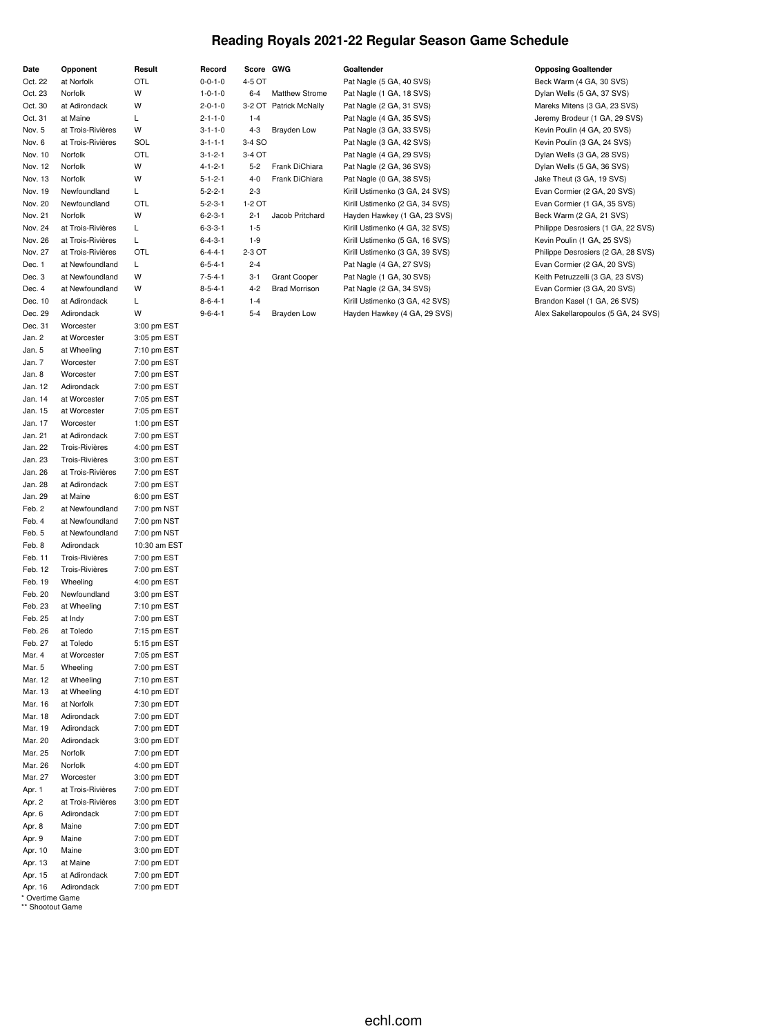## **Reading Royals 2021-22 Regular Season Game Schedule**

| Date<br>Oct. 22                     | Opponent<br>at Norfolk             | Result<br>OTL              |
|-------------------------------------|------------------------------------|----------------------------|
| Oct. 23                             | Norfolk                            | W                          |
| Oct. 30                             | at Adirondack                      | W                          |
| Oct. 31                             | at Maine                           | Г                          |
| Nov. 5                              | at Trois-Rivières                  | W                          |
| Nov. 6                              | at Trois-Rivières                  | SOL                        |
| Nov. 10                             | Norfolk                            | OTL                        |
| Nov. 12                             | Norfolk                            | W                          |
| Nov. 13                             | Norfolk                            | W                          |
| Nov. 19                             | Newfoundland                       | L                          |
| Nov. 20                             | Newfoundland                       | OTL                        |
| Nov. 21                             | Norfolk                            | W                          |
| Nov. 24                             | at Trois-Rivières                  | Г                          |
| Nov. 26                             | at Trois-Rivières                  | L                          |
| Nov. 27                             | at Trois-Rivières                  | OTL                        |
| Dec. 1<br>Dec. 3                    | at Newfoundland<br>at Newfoundland | Г<br>W                     |
| Dec. 4                              | at Newfoundland                    | W                          |
| Dec. 10                             | at Adirondack                      | Г                          |
| Dec. 29                             | Adirondack                         | W                          |
| Dec. 31                             | Worcester                          | 3:00 pm EST                |
| Jan. 2                              | at Worcester                       | 3:05 pm EST                |
| Jan. 5                              | at Wheeling                        | 7:10 pm EST                |
| Jan. 7                              | Worcester                          | 7:00 pm EST                |
| Jan. 8                              | Worcester                          | 7:00 pm EST                |
| Jan. 12                             | Adirondack                         | 7:00 pm EST                |
| Jan. 14                             | at Worcester                       | 7:05 pm EST                |
| Jan. 15                             | at Worcester                       | 7:05 pm EST                |
| Jan. 17                             | Worcester                          | 1:00 pm EST                |
| Jan. 21                             | at Adirondack                      | 7:00 pm EST                |
| Jan. 22                             | <b>Trois-Rivières</b>              | 4:00 pm EST                |
| Jan. 23                             | <b>Trois-Rivières</b>              | 3:00 pm EST                |
| Jan. 26                             | at Trois-Rivières                  | 7:00 pm EST                |
| Jan. 28                             | at Adirondack                      | 7:00 pm EST                |
| Jan. 29                             | at Maine                           | 6:00 pm EST                |
| Feb. 2<br>Feb. 4                    | at Newfoundland<br>at Newfoundland | 7:00 pm NST                |
| Feb. 5                              | at Newfoundland                    | 7:00 pm NST<br>7:00 pm NST |
| Feb. 8                              | Adirondack                         | 10:30 am EST               |
| Feb. 11                             | <b>Trois-Rivières</b>              | 7:00 pm EST                |
| Feb. 12                             | Trois-Rivières                     | 7:00 pm EST                |
| Feb. 19                             | Wheeling                           | 4:00 pm EST                |
| Feb. 20                             | Newfoundland                       | 3:00 pm EST                |
| Feb. 23                             | at Wheeling                        | 7:10 pm EST                |
| Feb. 25                             | at Indy                            | 7:00 pm EST                |
| Feb. 26                             | at Toledo                          | 7:15 pm EST                |
| Feb. 27                             | at Toledo                          | 5:15 pm EST                |
| Mar. 4                              | at Worcester                       | 7:05 pm EST                |
| Mar. 5                              | Wheeling                           | 7:00 pm EST                |
| Mar. 12                             | at Wheeling                        | 7:10 pm EST                |
| Mar. 13                             | at Wheeling                        | 4:10 pm EDT                |
| Mar. 16<br>Mar. 18                  | at Norfolk                         | 7:30 pm EDT                |
| Mar. 19                             | Adirondack<br>Adirondack           | 7:00 pm EDT<br>7:00 pm EDT |
| Mar. 20                             | Adirondack                         | 3:00 pm EDT                |
| Mar. 25                             | Norfolk                            | 7:00 pm EDT                |
| Mar. 26                             | Norfolk                            | 4:00 pm EDT                |
| Mar. 27                             | Worcester                          | 3:00 pm EDT                |
| Apr. 1                              | at Trois-Rivières                  | 7:00 pm EDT                |
| Apr. 2                              | at Trois-Rivières                  | 3:00 pm EDT                |
| Apr. 6                              | Adirondack                         | 7:00 pm EDT                |
| Apr. 8                              | Maine                              | 7:00 pm EDT                |
| Apr. 9                              | Maine                              | 7:00 pm EDT                |
| Apr. 10                             | Maine                              | 3:00 pm EDT                |
| Apr. 13                             | at Maine                           | 7:00 pm EDT                |
| Apr. 15                             | at Adirondack                      | 7:00 pm EDT                |
| Apr. 16                             | Adirondack                         | 7:00 pm EDT                |
| * Overtime Game<br>** Shootout Game |                                    |                            |

|                 |           | .                      |                                 |                            |
|-----------------|-----------|------------------------|---------------------------------|----------------------------|
| Record          | Score GWG |                        | Goaltender                      | <b>Opposing Goaltender</b> |
| $0 - 0 - 1 - 0$ | 4-5 OT    |                        | Pat Nagle (5 GA, 40 SVS)        | Beck Warm (4 GA, 30 S      |
| $1 - 0 - 1 - 0$ | $6 - 4$   | <b>Matthew Strome</b>  | Pat Nagle (1 GA, 18 SVS)        | Dylan Wells (5 GA, 37 %    |
| $2 - 0 - 1 - 0$ |           | 3-2 OT Patrick McNally | Pat Nagle (2 GA, 31 SVS)        | Mareks Mitens (3 GA, 2     |
| $2 - 1 - 1 - 0$ | $1 - 4$   |                        | Pat Nagle (4 GA, 35 SVS)        | Jeremy Brodeur (1 GA,      |
| $3 - 1 - 1 - 0$ | $4 - 3$   | Brayden Low            | Pat Nagle (3 GA, 33 SVS)        | Kevin Poulin (4 GA, 20     |
| $3 - 1 - 1 - 1$ | 3-4 SO    |                        | Pat Nagle (3 GA, 42 SVS)        | Kevin Poulin (3 GA, 24     |
| $3 - 1 - 2 - 1$ | $3-4$ OT  |                        | Pat Nagle (4 GA, 29 SVS)        | Dylan Wells (3 GA, 28 %    |
| $4 - 1 - 2 - 1$ | $5 - 2$   | Frank DiChiara         | Pat Nagle (2 GA, 36 SVS)        | Dylan Wells (5 GA, 36 %    |
| $5 - 1 - 2 - 1$ | $4 - 0$   | Frank DiChiara         | Pat Nagle (0 GA, 38 SVS)        | Jake Theut (3 GA, 19 S     |
| $5 - 2 - 2 - 1$ | $2 - 3$   |                        | Kirill Ustimenko (3 GA, 24 SVS) | Evan Cormier (2 GA, 2      |
| $5 - 2 - 3 - 1$ | 1-2 OT    |                        | Kirill Ustimenko (2 GA, 34 SVS) | Evan Cormier (1 GA, 3      |
| $6 - 2 - 3 - 1$ | $2 - 1$   | Jacob Pritchard        | Hayden Hawkey (1 GA, 23 SVS)    | Beck Warm (2 GA, 21 S      |
| $6 - 3 - 3 - 1$ | $1-5$     |                        | Kirill Ustimenko (4 GA, 32 SVS) | Philippe Desrosiers (1 0   |
| $6 - 4 - 3 - 1$ | $1-9$     |                        | Kirill Ustimenko (5 GA, 16 SVS) | Kevin Poulin (1 GA, 25     |
| $6 - 4 - 4 - 1$ | 2-3 OT    |                        | Kirill Ustimenko (3 GA, 39 SVS) | Philippe Desrosiers (2)    |
| $6 - 5 - 4 - 1$ | $2 - 4$   |                        | Pat Nagle (4 GA, 27 SVS)        | Evan Cormier (2 GA, 2      |
| $7 - 5 - 4 - 1$ | $3 - 1$   | <b>Grant Cooper</b>    | Pat Nagle (1 GA, 30 SVS)        | Keith Petruzzelli (3 GA,   |
| $8 - 5 - 4 - 1$ | $4 - 2$   | <b>Brad Morrison</b>   | Pat Nagle (2 GA, 34 SVS)        | Evan Cormier (3 GA, 2      |
| $8 - 6 - 4 - 1$ | $1 - 4$   |                        | Kirill Ustimenko (3 GA, 42 SVS) | Brandon Kasel (1 GA, 2     |
| $9 - 6 - 4 - 1$ | $5 - 4$   | Brayden Low            | Hayden Hawkey (4 GA, 29 SVS)    | Alex Sakellaropoulos (5    |

|                 |         |                        |                                 | $= 200$                             |
|-----------------|---------|------------------------|---------------------------------|-------------------------------------|
| $0 - 0 - 1 - 0$ | 4-5 OT  |                        | Pat Nagle (5 GA, 40 SVS)        | Beck Warm (4 GA, 30 SVS)            |
| $1 - 0 - 1 - 0$ | $6 - 4$ | <b>Matthew Strome</b>  | Pat Nagle (1 GA, 18 SVS)        | Dylan Wells (5 GA, 37 SVS)          |
| $2 - 0 - 1 - 0$ |         | 3-2 OT Patrick McNally | Pat Nagle (2 GA, 31 SVS)        | Mareks Mitens (3 GA, 23 SVS)        |
| $2 - 1 - 1 - 0$ | $1 - 4$ |                        | Pat Nagle (4 GA, 35 SVS)        | Jeremy Brodeur (1 GA, 29 SVS)       |
| $3 - 1 - 1 - 0$ | $4 - 3$ | Brayden Low            | Pat Nagle (3 GA, 33 SVS)        | Kevin Poulin (4 GA, 20 SVS)         |
| $3 - 1 - 1 - 1$ | 3-4 SO  |                        | Pat Nagle (3 GA, 42 SVS)        | Kevin Poulin (3 GA, 24 SVS)         |
| $3 - 1 - 2 - 1$ | 3-4 OT  |                        | Pat Nagle (4 GA, 29 SVS)        | Dylan Wells (3 GA, 28 SVS)          |
| $4 - 1 - 2 - 1$ | $5 - 2$ | Frank DiChiara         | Pat Nagle (2 GA, 36 SVS)        | Dylan Wells (5 GA, 36 SVS)          |
| $5 - 1 - 2 - 1$ | $4-0$   | Frank DiChiara         | Pat Nagle (0 GA, 38 SVS)        | Jake Theut (3 GA, 19 SVS)           |
| $5 - 2 - 2 - 1$ | $2 - 3$ |                        | Kirill Ustimenko (3 GA, 24 SVS) | Evan Cormier (2 GA, 20 SVS)         |
| $5 - 2 - 3 - 1$ | 1-2 OT  |                        | Kirill Ustimenko (2 GA, 34 SVS) | Evan Cormier (1 GA, 35 SVS)         |
| $6 - 2 - 3 - 1$ | $2 - 1$ | Jacob Pritchard        | Hayden Hawkey (1 GA, 23 SVS)    | Beck Warm (2 GA, 21 SVS)            |
| $6 - 3 - 3 - 1$ | $1-5$   |                        | Kirill Ustimenko (4 GA, 32 SVS) | Philippe Desrosiers (1 GA, 22 SVS)  |
| $6 - 4 - 3 - 1$ | $1-9$   |                        | Kirill Ustimenko (5 GA, 16 SVS) | Kevin Poulin (1 GA, 25 SVS)         |
| $6 - 4 - 4 - 1$ | 2-3 OT  |                        | Kirill Ustimenko (3 GA, 39 SVS) | Philippe Desrosiers (2 GA, 28 SVS)  |
| $6 - 5 - 4 - 1$ | $2 - 4$ |                        | Pat Nagle (4 GA, 27 SVS)        | Evan Cormier (2 GA, 20 SVS)         |
| $7 - 5 - 4 - 1$ | $3 - 1$ | <b>Grant Cooper</b>    | Pat Nagle (1 GA, 30 SVS)        | Keith Petruzzelli (3 GA, 23 SVS)    |
| $8 - 5 - 4 - 1$ | $4 - 2$ | <b>Brad Morrison</b>   | Pat Nagle (2 GA, 34 SVS)        | Evan Cormier (3 GA, 20 SVS)         |
| $8 - 6 - 4 - 1$ | $1 - 4$ |                        | Kirill Ustimenko (3 GA, 42 SVS) | Brandon Kasel (1 GA, 26 SVS)        |
| $9 - 6 - 4 - 1$ | $5 - 4$ | Brayden Low            | Hayden Hawkey (4 GA, 29 SVS)    | Alex Sakellaropoulos (5 GA, 24 SVS) |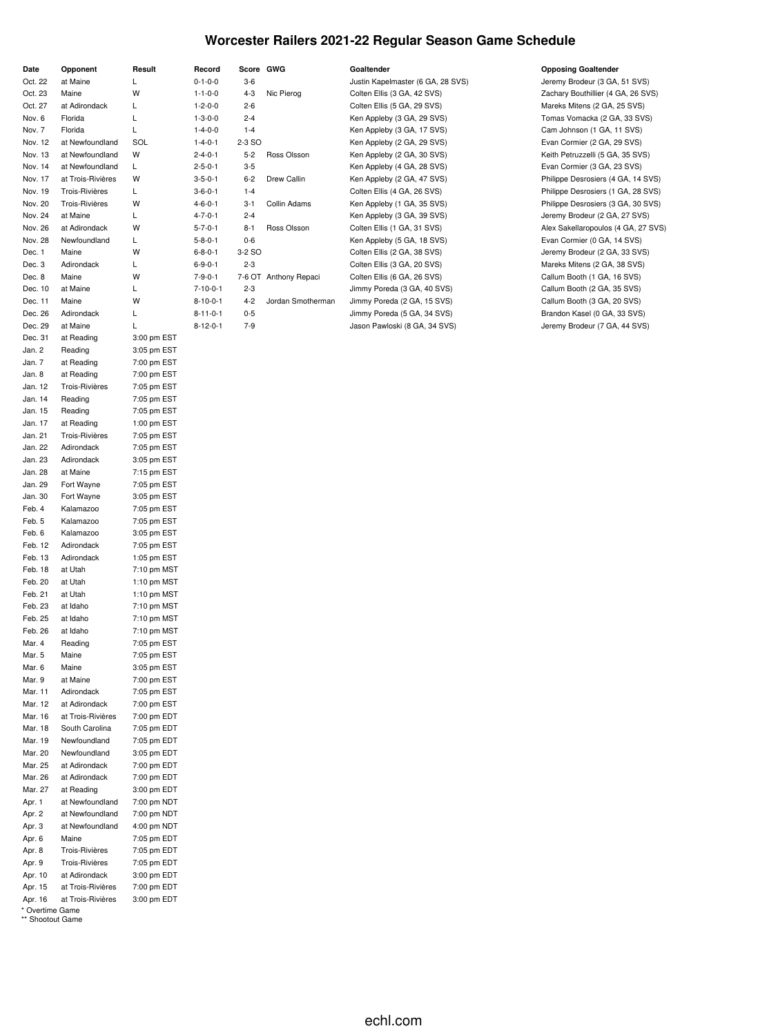## **Worcester Railers 2021-22 Regular Season Game Schedule**

| Date               | Opponent               | Result                     |
|--------------------|------------------------|----------------------------|
| Oct. 22            | at Maine               | L                          |
| Oct. 23            | Maine                  | W                          |
| Oct. 27            | at Adirondack          | L                          |
| Nov. 6             | Florida                | L                          |
| Nov. 7             | Florida                | L                          |
| Nov. 12            | at Newfoundland        | SOL                        |
| Nov. 13            | at Newfoundland        | W                          |
| Nov. 14            | at Newfoundland        | L                          |
| Nov. 17            | at Trois-Rivières      | W                          |
| Nov. 19            | Trois-Rivières         | Г                          |
| Nov. 20            | Trois-Rivières         | W                          |
| Nov. 24            | at Maine               | Г                          |
| Nov. 26            | at Adirondack          | W<br>L                     |
| Nov. 28<br>Dec. 1  | Newfoundland<br>Maine  | W                          |
| Dec. 3             | Adirondack             | Г                          |
| Dec. 8             | Maine                  | W                          |
| Dec. 10            | at Maine               | Г                          |
| Dec. 11            | Maine                  | W                          |
| Dec. 26            | Adirondack             | L                          |
| Dec. 29            | at Maine               | L                          |
| Dec. 31            | at Reading             | 3:00 pm EST                |
| Jan. 2             | Reading                | 3:05 pm EST                |
| Jan. 7             | at Reading             | 7:00 pm EST                |
| Jan. 8             | at Reading             | 7:00 pm EST                |
| Jan. 12            | <b>Trois-Rivières</b>  | 7:05 pm EST                |
| Jan. 14            | Reading                | 7:05 pm EST                |
| Jan. 15            | Reading                | 7:05 pm EST                |
| Jan. 17            | at Reading             | 1:00 pm EST                |
| Jan. 21            | <b>Trois-Rivières</b>  | 7:05 pm EST                |
| Jan. 22            | Adirondack             | 7:05 pm EST                |
| Jan. 23            | Adirondack             | 3:05 pm EST                |
| Jan. 28            | at Maine               | 7:15 pm EST                |
| Jan. 29            | Fort Wayne             | 7:05 pm EST                |
| Jan. 30            | Fort Wayne             | 3:05 pm EST                |
| Feb. 4             | Kalamazoo              | 7:05 pm EST                |
| Feb. 5             | Kalamazoo              | 7:05 pm EST                |
| Feb. 6             | Kalamazoo              | 3:05 pm EST                |
| Feb. 12            | Adirondack             | 7:05 pm EST                |
| Feb. 13            | Adirondack             | 1:05 pm EST                |
| Feb. 18            | at Utah                | 7:10 pm MST                |
| Feb. 20            | at Utah                | 1:10 pm MST                |
| Feb. 21            | at Utah                | 1:10 pm MST                |
| Feb. 23            | at Idaho               | 7:10 pm MST                |
| Feb. 25            | at Idaho               | 7:10 pm MST                |
| Feb. 26            | at Idaho               | 7:10 pm MST                |
| Mar. 4             | Reading                | 7:05 pm EST                |
| Mar. 5             | Maine                  | 7:05 pm EST                |
| Mar. 6             | Maine                  | 3:05 pm EST                |
| Mar. 9             | at Maine<br>Adirondack | 7:00 pm EST                |
| Mar. 11<br>Mar. 12 | at Adirondack          | 7:05 pm EST<br>7:00 pm EST |
| Mar. 16            | at Trois-Rivières      | 7:00 pm EDT                |
| Mar. 18            | South Carolina         | 7:05 pm EDT                |
| Mar. 19            | Newfoundland           | 7:05 pm EDT                |
| Mar. 20            | Newfoundland           | 3:05 pm EDT                |
| Mar. 25            | at Adirondack          | 7:00 pm EDT                |
| Mar. 26            | at Adirondack          | 7:00 pm EDT                |
| Mar. 27            | at Reading             | 3:00 pm EDT                |
| Apr. 1             | at Newfoundland        | 7:00 pm NDT                |
| Apr. 2             | at Newfoundland        | 7:00 pm NDT                |
| Apr. 3             | at Newfoundland        | 4:00 pm NDT                |
| Apr. 6             | Maine                  | 7:05 pm EDT                |
| Apr. 8             | Trois-Rivières         | 7:05 pm EDT                |
| Apr. 9             | Trois-Rivières         | 7:05 pm EDT                |
| Apr. 10            | at Adirondack          | 3:00 pm EDT                |
| Apr. 15            | at Trois-Rivières      | 7:00 pm EDT                |
| Apr. 16            | at Trois-Rivières      | 3:00 pm EDT                |

\* Overtime Game \*\* Shootout Game

## **Date Opponent Result Record Score GWG Goaltender Opposing Goaltender** O-1-0-0 3-6 Justin Kapelmaster (6 GA, 28 SVS) Jeremy Brodeur (3 GA, 51 SVS) 1-1-0-0 4-3 Nic Pierog Colten Ellis (3 GA, 42 SVS) Zachary Bouthillier (4 GA, 26 SVS) 1-2-0-0 2-6 Colten Ellis (5 GA, 29 SVS) Mareks Mitens (2 GA, 25 SVS) 1-3-0-0 2-4 Ken Appleby (3 GA, 29 SVS) Tomas Vomacka (2 GA, 33 SVS) 1-4-0-0 1-4 Ken Appleby (3 GA, 17 SVS) Cam Johnson (1 GA, 11 SVS) 1-4-0-1 2-3 SO Ken Appleby (2 GA, 29 SVS) Evan Cormier (2 GA, 29 SVS) 2-4-0-1 5-2 Ross Olsson Ken Appleby (2 GA, 30 SVS) Keith Petruzzelli (5 GA, 35 SVS) 2-5-0-1 3-5 Ken Appleby (4 GA, 28 SVS) Evan Cormier (3 GA, 23 SVS) 3-5-0-1 6-2 Drew Callin Ken Appleby (2 GA, 47 SVS) Philippe Desrosiers (4 GA, 14 SVS) 3-6-0-1 1-4 Colten Ellis (4 GA, 26 SVS) Philippe Desrosiers (1 GA, 28 SVS) Nov. 20 Trois-Rivières W 4-6-0-1 3-1 Collin Adams Ken Appleby (1 GA, 35 SVS) Philippe Desrosiers (3 GA, 30 SVS) 4-7-0-1 2-4 2-4 Ken Appleby (3 GA, 39 SVS) 3 Jeremy Brodeur (2 GA, 27 SVS)

5-7-0-1 8-1 Ross Olsson Colten Ellis (1 GA, 31 SVS) Alex Sakellaropoulos (4 GA, 27 SVS) 5-8-0-1 0-6 Ken Appleby (5 GA, 18 SVS) Evan Cormier (0 GA, 14 SVS) 6-8-0-1 3-2 SO Colten Ellis (2 GA, 38 SVS) Jeremy Brodeur (2 GA, 33 SVS) 6-9-0-1 2-3 Colten Ellis (3 GA, 20 SVS) Mareks Mitens (2 GA, 38 SVS) 7-9-0-1 7-6 OT Anthony Repaci Colten Ellis (6 GA, 26 SVS) Callum Booth (1 GA, 16 SVS) 7-10-0-1 2-3 Jimmy Poreda (3 GA, 40 SVS) Callum Booth (2 GA, 35 SVS) 8-10-0-1 4-2 Jordan Smotherman Jimmy Poreda (2 GA, 15 SVS) Callum Booth (3 GA, 20 SVS) 8-11-0-1 0-5 Jimmy Poreda (5 GA, 34 SVS) Brandon Kasel (0 GA, 33 SVS) 8-12-0-1 7-9 Jason Pawloski (8 GA, 34 SVS) Jeremy Brodeur (7 GA, 44 SVS)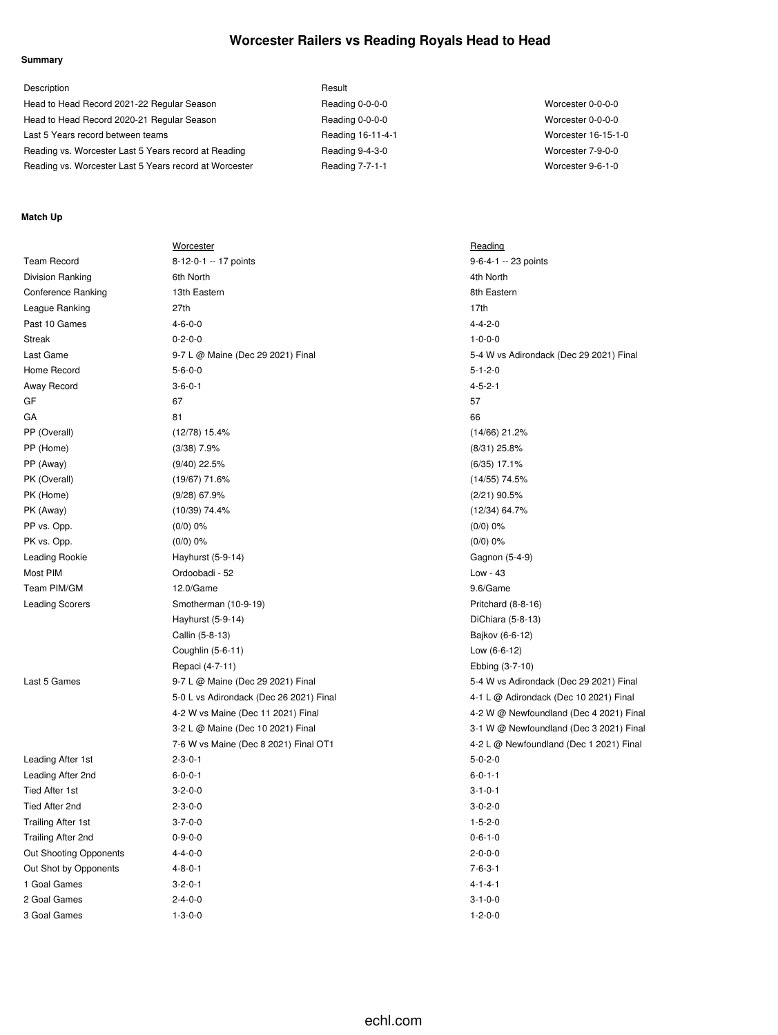## **Worcester Railers vs Reading Royals Head to Head**

### **Summary**

| Description                                            | Result            |                     |
|--------------------------------------------------------|-------------------|---------------------|
| Head to Head Record 2021-22 Regular Season             | Reading 0-0-0-0   | Worcester 0-0-0-0   |
| Head to Head Record 2020-21 Regular Season             | Reading 0-0-0-0   | Worcester 0-0-0-0   |
| Last 5 Years record between teams                      | Reading 16-11-4-1 | Worcester 16-15-1-0 |
| Reading vs. Worcester Last 5 Years record at Reading   | Reading 9-4-3-0   | Worcester 7-9-0-0   |
| Reading vs. Worcester Last 5 Years record at Worcester | Reading 7-7-1-1   | Worcester 9-6-1-0   |

### **Match Up**

|                           | Worcester                               | Reading                                 |
|---------------------------|-----------------------------------------|-----------------------------------------|
| <b>Team Record</b>        | 8-12-0-1 -- 17 points                   | 9-6-4-1 -- 23 points                    |
| Division Ranking          | 6th North                               | 4th North                               |
| <b>Conference Ranking</b> | 13th Eastern                            | 8th Eastern                             |
| League Ranking            | 27th                                    | 17th                                    |
| Past 10 Games             | $4 - 6 - 0 - 0$                         | $4 - 4 - 2 - 0$                         |
| <b>Streak</b>             | $0 - 2 - 0 - 0$                         | $1 - 0 - 0 - 0$                         |
| Last Game                 | 9-7 L @ Maine (Dec 29 2021) Final       | 5-4 W vs Adirondack (Dec 29 2021) Final |
| Home Record               | $5 - 6 - 0 - 0$                         | $5 - 1 - 2 - 0$                         |
| Away Record               | $3 - 6 - 0 - 1$                         | $4 - 5 - 2 - 1$                         |
| GF                        | 67                                      | 57                                      |
| GA                        | 81                                      | 66                                      |
| PP (Overall)              | (12/78) 15.4%                           | $(14/66)$ 21.2%                         |
| PP (Home)                 | $(3/38)$ 7.9%                           | $(8/31)$ 25.8%                          |
| PP (Away)                 | $(9/40)$ 22.5%                          | $(6/35)$ 17.1%                          |
| PK (Overall)              | $(19/67)$ 71.6%                         | $(14/55)$ 74.5%                         |
| PK (Home)                 | $(9/28)$ 67.9%                          | $(2/21)$ 90.5%                          |
| PK (Away)                 | (10/39) 74.4%                           | (12/34) 64.7%                           |
| PP vs. Opp.               | (0/0) 0%                                | (0/0) 0%                                |
| PK vs. Opp.               | $(0/0)$ 0%                              | $(0/0)$ 0%                              |
| Leading Rookie            | Hayhurst (5-9-14)                       | Gagnon (5-4-9)                          |
| Most PIM                  | Ordoobadi - 52                          | Low - 43                                |
| Team PIM/GM               | 12.0/Game                               | 9.6/Game                                |
| <b>Leading Scorers</b>    | Smotherman (10-9-19)                    | Pritchard (8-8-16)                      |
|                           | Hayhurst (5-9-14)                       | DiChiara (5-8-13)                       |
|                           | Callin (5-8-13)                         | Bajkov (6-6-12)                         |
|                           | Coughlin (5-6-11)                       | Low (6-6-12)                            |
|                           | Repaci (4-7-11)                         | Ebbing (3-7-10)                         |
| Last 5 Games              | 9-7 L @ Maine (Dec 29 2021) Final       | 5-4 W vs Adirondack (Dec 29 2021) Final |
|                           | 5-0 L vs Adirondack (Dec 26 2021) Final | 4-1 L @ Adirondack (Dec 10 2021) Final  |
|                           | 4-2 W vs Maine (Dec 11 2021) Final      | 4-2 W @ Newfoundland (Dec 4 2021) Final |
|                           | 3-2 L @ Maine (Dec 10 2021) Final       | 3-1 W @ Newfoundland (Dec 3 2021) Final |
|                           | 7-6 W vs Maine (Dec 8 2021) Final OT1   | 4-2 L @ Newfoundland (Dec 1 2021) Final |
| Leading After 1st         | $2 - 3 - 0 - 1$                         | $5 - 0 - 2 - 0$                         |
| Leading After 2nd         | $6 - 0 - 0 - 1$                         | $6 - 0 - 1 - 1$                         |
| Tied After 1st            | $3 - 2 - 0 - 0$                         | $3 - 1 - 0 - 1$                         |
| Tied After 2nd            | $2 - 3 - 0 - 0$                         | $3 - 0 - 2 - 0$                         |
| <b>Trailing After 1st</b> | $3 - 7 - 0 - 0$                         | $1 - 5 - 2 - 0$                         |
| Trailing After 2nd        | $0 - 9 - 0 - 0$                         | $0 - 6 - 1 - 0$                         |
| Out Shooting Opponents    | $4 - 4 - 0 - 0$                         | $2 - 0 - 0 - 0$                         |
| Out Shot by Opponents     | $4 - 8 - 0 - 1$                         | $7 - 6 - 3 - 1$                         |
| 1 Goal Games              | $3 - 2 - 0 - 1$                         | $4 - 1 - 4 - 1$                         |
| 2 Goal Games              | $2 - 4 - 0 - 0$                         | $3 - 1 - 0 - 0$                         |
| 3 Goal Games              | $1 - 3 - 0 - 0$                         | $1 - 2 - 0 - 0$                         |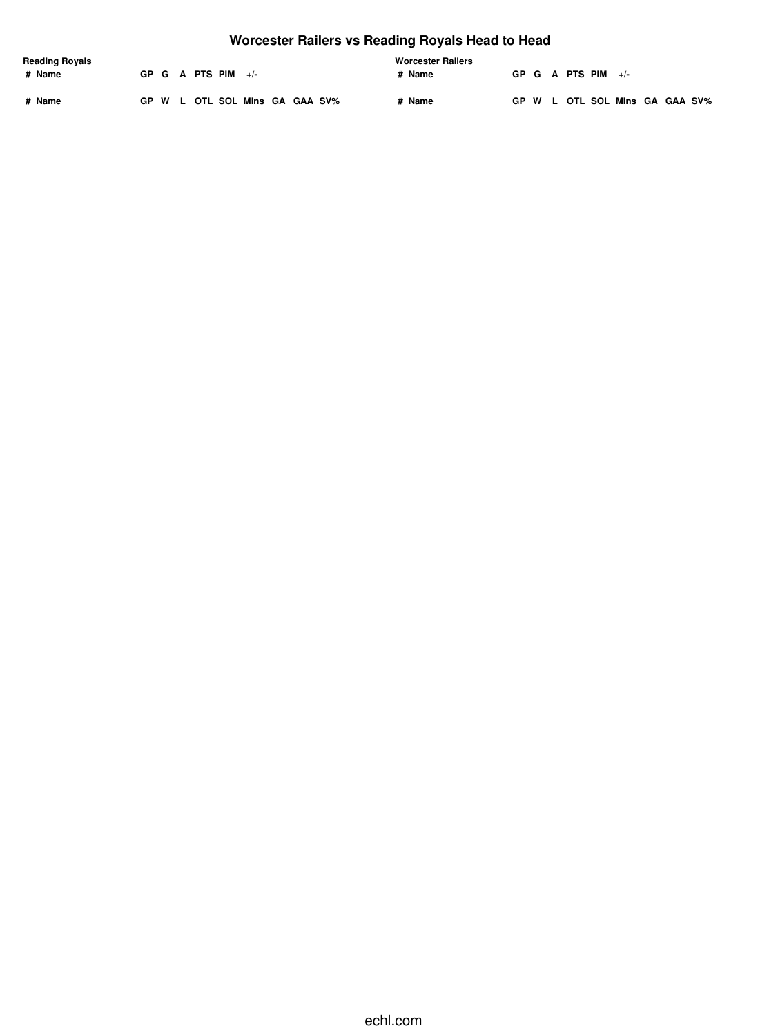# **Worcester Railers vs Reading Royals Head to Head**

| <b>Reading Royals</b> |  |                      |                                |  |  | <b>Worcester Railers</b> |  |  |                      |                                |  |  |
|-----------------------|--|----------------------|--------------------------------|--|--|--------------------------|--|--|----------------------|--------------------------------|--|--|
| # Name                |  | GP G A PTS PIM $+/-$ |                                |  |  | # Name                   |  |  | GP G A PTS PIM $+/-$ |                                |  |  |
| # Name                |  |                      | GP W L OTL SOL Mins GA GAA SV% |  |  | # Name                   |  |  |                      | GP W L OTL SOL Mins GA GAA SV% |  |  |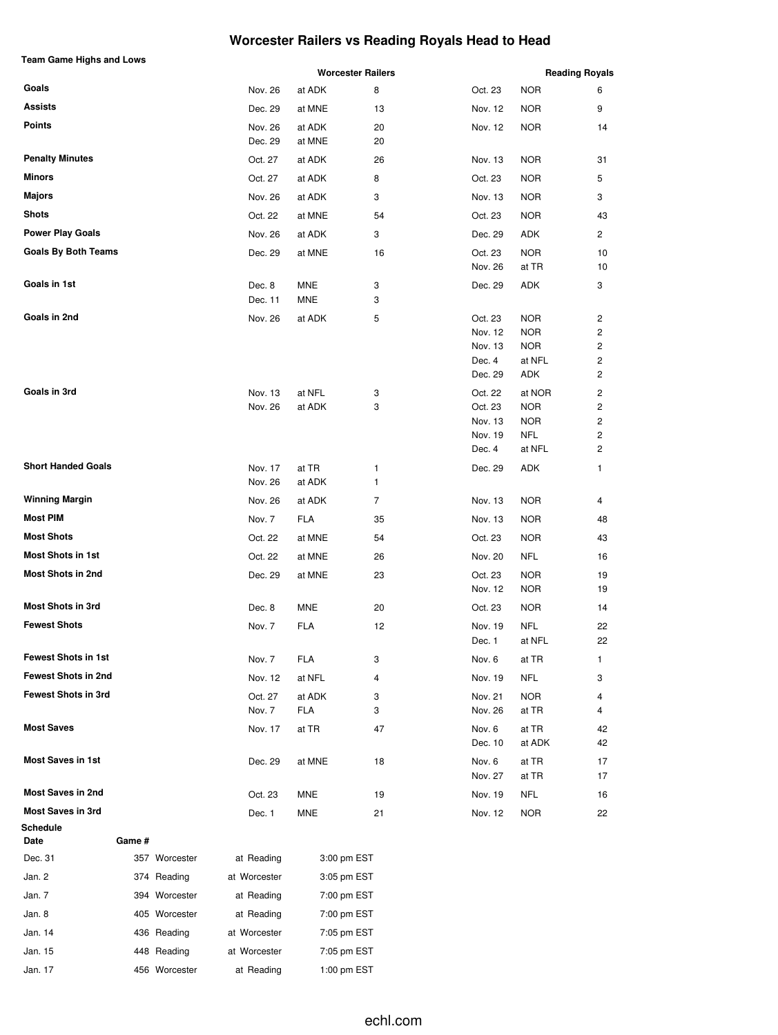# **Worcester Railers vs Reading Royals Head to Head**

| <b>Team Game Highs and Lows</b> |        |               |                    |                 | <b>Worcester Railers</b> |                    |                      | <b>Reading Royals</b> |
|---------------------------------|--------|---------------|--------------------|-----------------|--------------------------|--------------------|----------------------|-----------------------|
| Goals                           |        |               | Nov. 26            | at ADK          | 8                        | Oct. 23            | <b>NOR</b>           | 6                     |
| <b>Assists</b>                  |        |               | Dec. 29            | at MNE          | 13                       | Nov. 12            | <b>NOR</b>           | 9                     |
| <b>Points</b>                   |        |               | Nov. 26            | at ADK          | 20                       | Nov. 12            | <b>NOR</b>           | 14                    |
|                                 |        |               | Dec. 29            | at MNE          | 20                       |                    |                      |                       |
| <b>Penalty Minutes</b>          |        |               | Oct. 27            | at ADK          | 26                       | Nov. 13            | <b>NOR</b>           | 31                    |
| <b>Minors</b>                   |        |               | Oct. 27            | at ADK          | 8                        | Oct. 23            | <b>NOR</b>           | 5                     |
| <b>Majors</b>                   |        |               | Nov. 26            | at ADK          | 3                        | Nov. 13            | <b>NOR</b>           | 3                     |
| <b>Shots</b>                    |        |               | Oct. 22            | at MNE          | 54                       | Oct. 23            | <b>NOR</b>           | 43                    |
| <b>Power Play Goals</b>         |        |               | Nov. 26            | at ADK          | 3                        | Dec. 29            | ADK                  | 2                     |
| <b>Goals By Both Teams</b>      |        |               | Dec. 29            | at MNE          | 16                       | Oct. 23            | <b>NOR</b>           | 10                    |
|                                 |        |               |                    |                 |                          | Nov. 26            | at TR                | 10                    |
| Goals in 1st                    |        |               | Dec. 8             | <b>MNE</b>      | 3                        | Dec. 29            | ADK                  | 3                     |
|                                 |        |               | Dec. 11            | MNE             | 3                        |                    |                      |                       |
| Goals in 2nd                    |        |               | Nov. 26            | at ADK          | 5                        | Oct. 23            | <b>NOR</b>           | 2                     |
|                                 |        |               |                    |                 |                          | Nov. 12            | <b>NOR</b>           | 2                     |
|                                 |        |               |                    |                 |                          | Nov. 13<br>Dec. 4  | <b>NOR</b><br>at NFL | 2<br>2                |
|                                 |        |               |                    |                 |                          | Dec. 29            | ADK                  | 2                     |
| Goals in 3rd                    |        |               |                    |                 |                          |                    | at NOR               |                       |
|                                 |        |               | Nov. 13<br>Nov. 26 | at NFL          | 3<br>3                   | Oct. 22<br>Oct. 23 | <b>NOR</b>           | 2<br>2                |
|                                 |        |               |                    | at ADK          |                          | Nov. 13            | <b>NOR</b>           | $\overline{c}$        |
|                                 |        |               |                    |                 |                          | Nov. 19            | <b>NFL</b>           | 2                     |
|                                 |        |               |                    |                 |                          | Dec. 4             | at NFL               | 2                     |
| <b>Short Handed Goals</b>       |        |               |                    |                 |                          |                    |                      |                       |
|                                 |        |               | Nov. 17<br>Nov. 26 | at TR<br>at ADK | 1<br>1                   | Dec. 29            | ADK                  | 1                     |
| <b>Winning Margin</b>           |        |               | Nov. 26            | at ADK          | $\overline{7}$           | Nov. 13            | <b>NOR</b>           | 4                     |
| <b>Most PIM</b>                 |        |               |                    |                 |                          |                    |                      |                       |
|                                 |        |               | Nov. 7             | <b>FLA</b>      | 35                       | Nov. 13            | <b>NOR</b>           | 48                    |
| <b>Most Shots</b>               |        |               | Oct. 22            | at MNE          | 54                       | Oct. 23            | <b>NOR</b>           | 43                    |
| <b>Most Shots in 1st</b>        |        |               | Oct. 22            | at MNE          | 26                       | Nov. 20            | <b>NFL</b>           | 16                    |
| <b>Most Shots in 2nd</b>        |        |               | Dec. 29            | at MNE          | 23                       | Oct. 23            | <b>NOR</b>           | 19                    |
| <b>Most Shots in 3rd</b>        |        |               |                    |                 |                          | Nov. 12            | <b>NOR</b>           | 19                    |
| <b>Fewest Shots</b>             |        |               | Dec. 8             | <b>MNE</b>      | 20                       | Oct. 23            | <b>NOR</b>           | 14                    |
|                                 |        |               | Nov. 7             | <b>FLA</b>      | 12                       | Nov. 19<br>Dec. 1  | <b>NFL</b><br>at NFL | 22<br>22              |
| <b>Fewest Shots in 1st</b>      |        |               | Nov. 7             | <b>FLA</b>      | 3                        | Nov. 6             | at TR                | 1                     |
| <b>Fewest Shots in 2nd</b>      |        |               | Nov. 12            | at NFL          | 4                        | Nov. 19            | <b>NFL</b>           | 3                     |
| <b>Fewest Shots in 3rd</b>      |        |               | Oct. 27            | at ADK          | 3                        | Nov. 21            | <b>NOR</b>           | 4                     |
|                                 |        |               | Nov. 7             | FLA             | 3                        | Nov. 26            | at TR                | 4                     |
| <b>Most Saves</b>               |        |               | Nov. 17            | at TR           | 47                       | Nov. 6             | at TR                | 42                    |
|                                 |        |               |                    |                 |                          | Dec. 10            | at ADK               | 42                    |
| <b>Most Saves in 1st</b>        |        |               | Dec. 29            | at MNE          | 18                       | Nov. 6             | at TR                | 17                    |
|                                 |        |               |                    |                 |                          | Nov. 27            | at TR                | 17                    |
| <b>Most Saves in 2nd</b>        |        |               | Oct. 23            | MNE             | 19                       | Nov. 19            | NFL                  | 16                    |
| Most Saves in 3rd               |        |               | Dec. 1             | <b>MNE</b>      | 21                       | Nov. 12            | <b>NOR</b>           | 22                    |
| <b>Schedule</b>                 |        |               |                    |                 |                          |                    |                      |                       |
| Date                            | Game # |               |                    |                 |                          |                    |                      |                       |
| Dec. 31                         |        | 357 Worcester | at Reading         |                 | 3:00 pm EST              |                    |                      |                       |
| Jan. 2                          |        | 374 Reading   | at Worcester       |                 | 3:05 pm EST              |                    |                      |                       |
| Jan. 7                          |        | 394 Worcester | at Reading         |                 | 7:00 pm EST              |                    |                      |                       |
| Jan. 8                          |        | 405 Worcester | at Reading         |                 | 7:00 pm EST              |                    |                      |                       |
| Jan. 14                         |        | 436 Reading   | at Worcester       |                 | 7:05 pm EST              |                    |                      |                       |
| Jan. 15                         |        | 448 Reading   | at Worcester       |                 | 7:05 pm EST              |                    |                      |                       |
| Jan. 17                         |        | 456 Worcester | at Reading         |                 | 1:00 pm EST              |                    |                      |                       |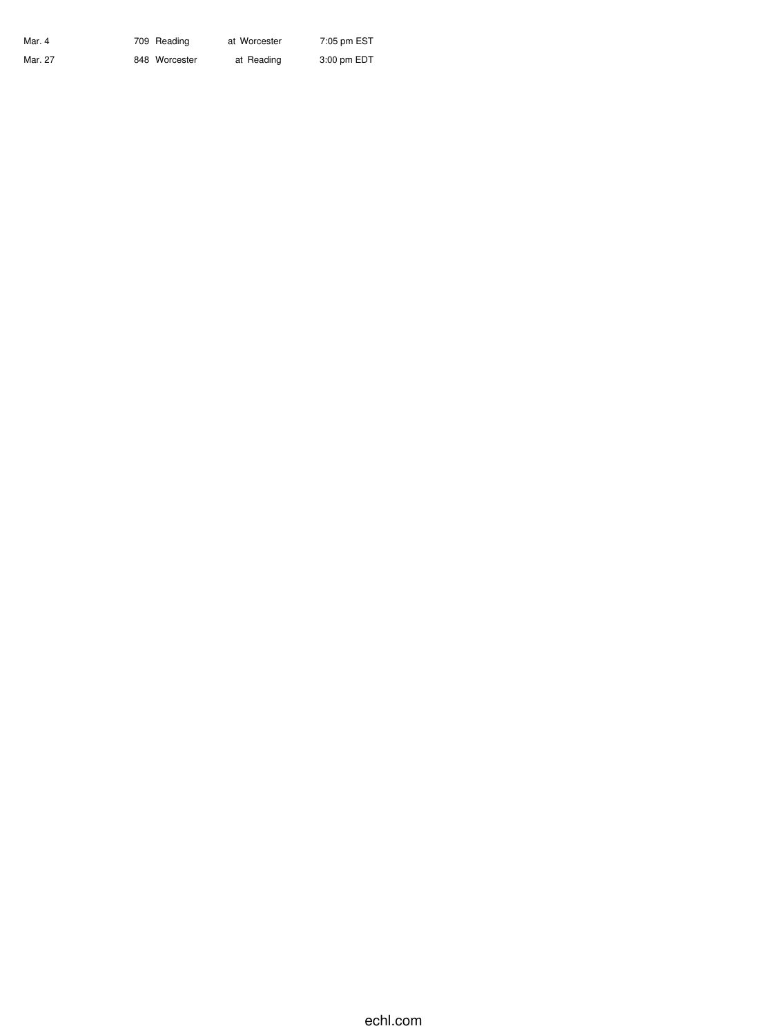| Mar. 4  | 709 Reading   | at Worcester | 7:05 pm EST |
|---------|---------------|--------------|-------------|
| Mar. 27 | 848 Worcester | at Reading   | 3:00 pm EDT |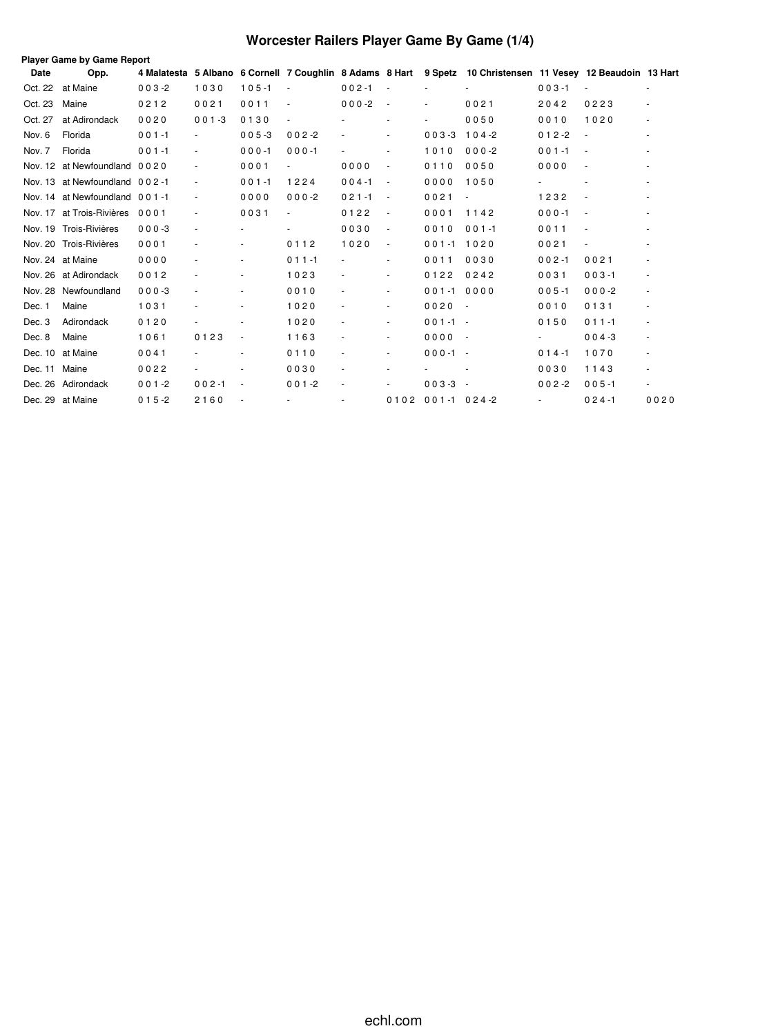# **Worcester Railers Player Game By Game (1/4)**

|             | <b>Player Game by Game Report</b> |           |           |                |                          |                          |                          |                  |                                                                                                              |                          |                          |                          |
|-------------|-----------------------------------|-----------|-----------|----------------|--------------------------|--------------------------|--------------------------|------------------|--------------------------------------------------------------------------------------------------------------|--------------------------|--------------------------|--------------------------|
| <b>Date</b> | Opp.                              |           |           |                |                          |                          |                          |                  | 4 Malatesta 5 Albano 6 Cornell 7 Coughlin 8 Adams 8 Hart 9 Spetz 10 Christensen 11 Vesey 12 Beaudoin 13 Hart |                          |                          |                          |
| Oct. 22     | at Maine                          | $003 - 2$ | 1030      | $105 - 1$      |                          | $002 - 1$                | $\sim$                   |                  |                                                                                                              | $003 - 1$                |                          |                          |
| Oct. 23     | Maine                             | 0212      | 0021      | 0011           | $\overline{\phantom{a}}$ | $000-2$                  | $\overline{\phantom{a}}$ | ٠                | 0021                                                                                                         | 2042                     | 0223                     |                          |
| Oct. 27     | at Adirondack                     | 0020      | $001 - 3$ | 0130           |                          |                          |                          |                  | 0050                                                                                                         | 0010                     | 1020                     | ٠                        |
| Nov. 6      | Florida                           | $001 - 1$ |           | $005 - 3$      | $002 - 2$                |                          |                          | $003 - 3$        | $104 - 2$                                                                                                    | $012 - 2$                |                          | $\bar{a}$                |
| Nov. 7      | Florida                           | $001 - 1$ |           | $000 - 1$      | $000 - 1$                |                          | $\overline{\phantom{a}}$ | 1010             | $000 - 2$                                                                                                    | $001 - 1$                |                          |                          |
|             | Nov. 12 at Newfoundland 0020      |           |           | 0001           |                          | 0000                     | $\frac{1}{2}$            | 0110             | 0050                                                                                                         | 0000                     |                          |                          |
|             | Nov. 13 at Newfoundland 002-1     |           |           | $001 - 1$      | 1224                     | $004 - 1$                | $\overline{\phantom{a}}$ | 0000             | 1050                                                                                                         |                          |                          |                          |
|             | Nov. 14 at Newfoundland 001-1     |           |           | 0000           | $000-2$                  | $021 - 1$                | $\blacksquare$           | 0021             | $\blacksquare$                                                                                               | 1232                     | $\sim$                   |                          |
| Nov. 17     | at Trois-Rivières                 | 0001      |           | 0031           |                          | 0122                     | $\overline{\phantom{a}}$ | 0001             | 1142                                                                                                         | $000 - 1$                | $\sim$                   |                          |
|             | Nov. 19 Trois-Rivières            | $000 - 3$ |           |                |                          | 0030                     | $\overline{\phantom{a}}$ | 0010             | $001 - 1$                                                                                                    | 0011                     | $\overline{\phantom{a}}$ |                          |
|             | Nov. 20 Trois-Rivières            | 0001      |           |                | 0112                     | 1020                     | $\overline{\phantom{a}}$ | $001 - 1$        | 1020                                                                                                         | 0021                     |                          |                          |
|             | Nov. 24 at Maine                  | 0000      |           |                | $011 - 1$                | ä,                       | $\overline{\phantom{a}}$ | 0011             | 0030                                                                                                         | $002 - 1$                | 0021                     |                          |
|             | Nov. 26 at Adirondack             | 0012      |           |                | 1023                     | $\overline{\phantom{a}}$ | ٠                        | 0122             | 0242                                                                                                         | 0031                     | $003 - 1$                | ٠                        |
| Nov. 28     | Newfoundland                      | $000 - 3$ |           |                | 0010                     | ä,                       | $\overline{\phantom{a}}$ | $001 - 1$        | 0000                                                                                                         | $005 - 1$                | $000-2$                  |                          |
| Dec. 1      | Maine                             | 1031      |           |                | 1020                     | $\overline{\phantom{a}}$ | $\overline{\phantom{a}}$ | 0020             | $\sim$                                                                                                       | 0010                     | 0131                     | ٠                        |
| Dec. 3      | Adirondack                        | 0120      |           |                | 1020                     | $\sim$                   | ٠                        | $001 - 1 -$      |                                                                                                              | 0150                     | $011 - 1$                | $\sim$                   |
| Dec. 8      | Maine                             | 1061      | 0123      | $\blacksquare$ | 1163                     | $\sim$                   | $\overline{\phantom{a}}$ | 0000             | $\sim$                                                                                                       |                          | $004 - 3$                | $\sim$                   |
| Dec. 10     | at Maine                          | 0041      |           |                | 0110                     | $\blacksquare$           | $\overline{\phantom{a}}$ | $000 - 1 -$      |                                                                                                              | $014 - 1$                | 1070                     | $\overline{\phantom{a}}$ |
| Dec. 11     | Maine                             | 0022      |           |                | 0030                     | $\sim$                   | $\overline{\phantom{a}}$ |                  |                                                                                                              | 0030                     | 1143                     | $\overline{\phantom{a}}$ |
| Dec. 26     | Adirondack                        | $001 - 2$ | $002 - 1$ |                | $001 - 2$                | $\overline{\phantom{a}}$ | $\overline{\phantom{a}}$ | $003 - 3$        | $\sim$                                                                                                       | $002 - 2$                | $005 - 1$                |                          |
|             | Dec. 29 at Maine                  | $015 - 2$ | 2160      |                | $\overline{\phantom{a}}$ | $\sim$                   | 0102                     | $001 - 1024 - 2$ |                                                                                                              | $\overline{\phantom{a}}$ | $024 - 1$                | 0020                     |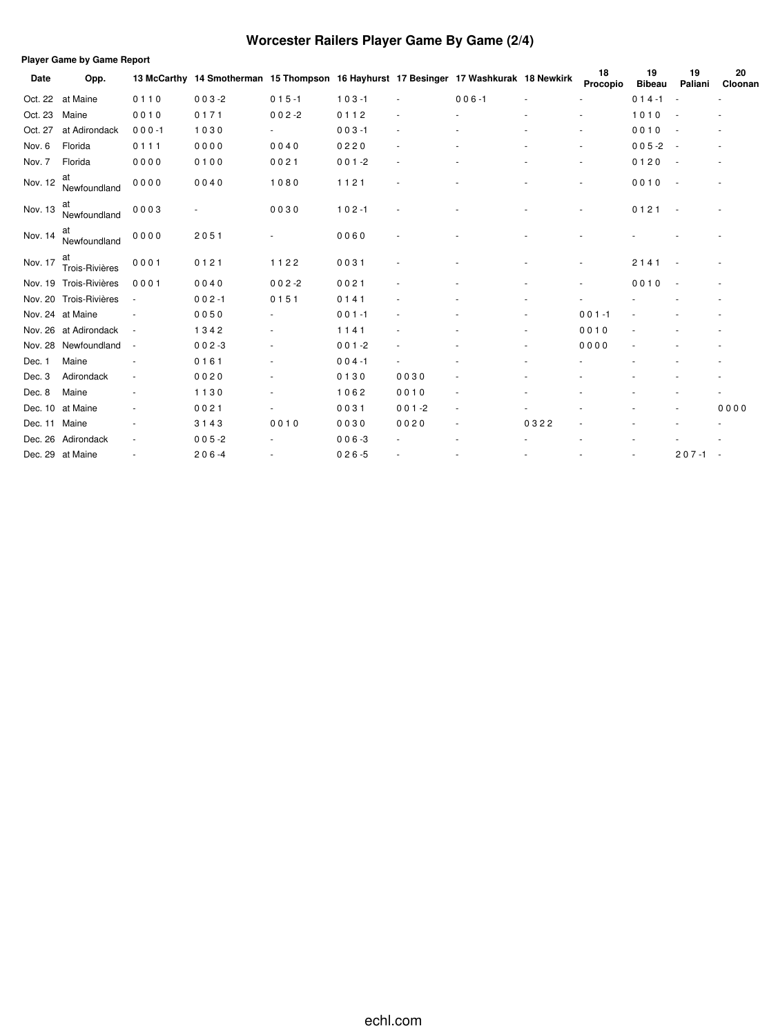# **Worcester Railers Player Game By Game (2/4)**

|         | <b>Player Game by Game Report</b> |                          |                                                                                       |                          |           |           |           |      |                          |                     |               |                          |
|---------|-----------------------------------|--------------------------|---------------------------------------------------------------------------------------|--------------------------|-----------|-----------|-----------|------|--------------------------|---------------------|---------------|--------------------------|
| Date    | Opp.                              |                          | 13 McCarthy 14 Smotherman 15 Thompson 16 Hayhurst 17 Besinger 17 Washkurak 18 Newkirk |                          |           |           |           |      | 18<br>Procopio           | 19<br><b>Bibeau</b> | 19<br>Paliani | 20<br>Cloonan            |
| Oct. 22 | at Maine                          | 0110                     | $003 - 2$                                                                             | $015 - 1$                | $103 - 1$ |           | $006 - 1$ |      |                          | $014 - 1$           |               |                          |
| Oct. 23 | Maine                             | 0010                     | 0171                                                                                  | $002 - 2$                | 0112      |           |           |      | ÷,                       | 1010                |               |                          |
| Oct. 27 | at Adirondack                     | $000 - 1$                | 1030                                                                                  | $\sim$                   | $003 - 1$ |           |           |      | $\overline{\phantom{a}}$ | 0010                |               | $\sim$                   |
| Nov. 6  | Florida                           | 0111                     | 0000                                                                                  | 0040                     | 0220      |           |           |      | $\overline{\phantom{a}}$ | $005 - 2$           |               |                          |
| Nov. 7  | Florida                           | 0000                     | 0100                                                                                  | 0021                     | $001 - 2$ |           |           |      | $\overline{\phantom{a}}$ | 0120                |               | $\overline{\phantom{a}}$ |
| Nov. 12 | at<br>Newfoundland                | 0000                     | 0040                                                                                  | 1080                     | 1121      |           |           |      |                          | 0010                |               |                          |
| Nov. 13 | at<br>Newfoundland                | 0003                     |                                                                                       | 0030                     | $102 - 1$ |           |           |      |                          | 0121                |               |                          |
| Nov. 14 | at<br>Newfoundland                | 0000                     | 2051                                                                                  |                          | 0060      |           |           |      |                          |                     |               |                          |
| Nov. 17 | at<br>Trois-Rivières              | 0001                     | 0121                                                                                  | 1122                     | 0031      |           |           |      | ٠                        | 2141                |               |                          |
| Nov. 19 | Trois-Rivières                    | 0001                     | 0040                                                                                  | $002 - 2$                | 0021      |           |           |      | $\overline{\phantom{a}}$ | 0010                |               |                          |
|         | Nov. 20 Trois-Rivières            | $\overline{\phantom{a}}$ | $002 - 1$                                                                             | 0151                     | 0141      |           |           |      |                          |                     |               |                          |
|         | Nov. 24 at Maine                  |                          | 0050                                                                                  |                          | $001 - 1$ |           |           |      | $001 - 1$                |                     |               |                          |
|         | Nov. 26 at Adirondack             | $\overline{\phantom{a}}$ | 1342                                                                                  |                          | 1141      |           |           |      | 0010                     |                     |               |                          |
| Nov. 28 | Newfoundland                      | $\overline{\phantom{a}}$ | $002 - 3$                                                                             | $\sim$                   | $001 - 2$ |           |           |      | 0000                     |                     |               |                          |
| Dec. 1  | Maine                             |                          | 0161                                                                                  | $\sim$                   | $004 - 1$ | ٠         |           |      |                          |                     |               |                          |
| Dec. 3  | Adirondack                        | $\sim$                   | 0020                                                                                  |                          | 0130      | 0030      |           |      |                          |                     |               |                          |
| Dec. 8  | Maine                             |                          | 1130                                                                                  | $\overline{\phantom{a}}$ | 1062      | 0010      |           |      |                          |                     |               |                          |
| Dec. 10 | at Maine                          |                          | 0021                                                                                  | $\sim$                   | 0031      | $001 - 2$ | ٠         |      |                          |                     |               | 0000                     |
| Dec. 11 | Maine                             |                          | 3143                                                                                  | 0010                     | 0030      | 0020      |           | 0322 |                          |                     |               |                          |
| Dec. 26 | Adirondack                        | ٠                        | $005 - 2$                                                                             |                          | $006 - 3$ |           |           |      |                          |                     |               |                          |
|         | Dec. 29 at Maine                  |                          | $206 - 4$                                                                             |                          | $026 - 5$ |           |           |      |                          |                     | $207 - 1$     |                          |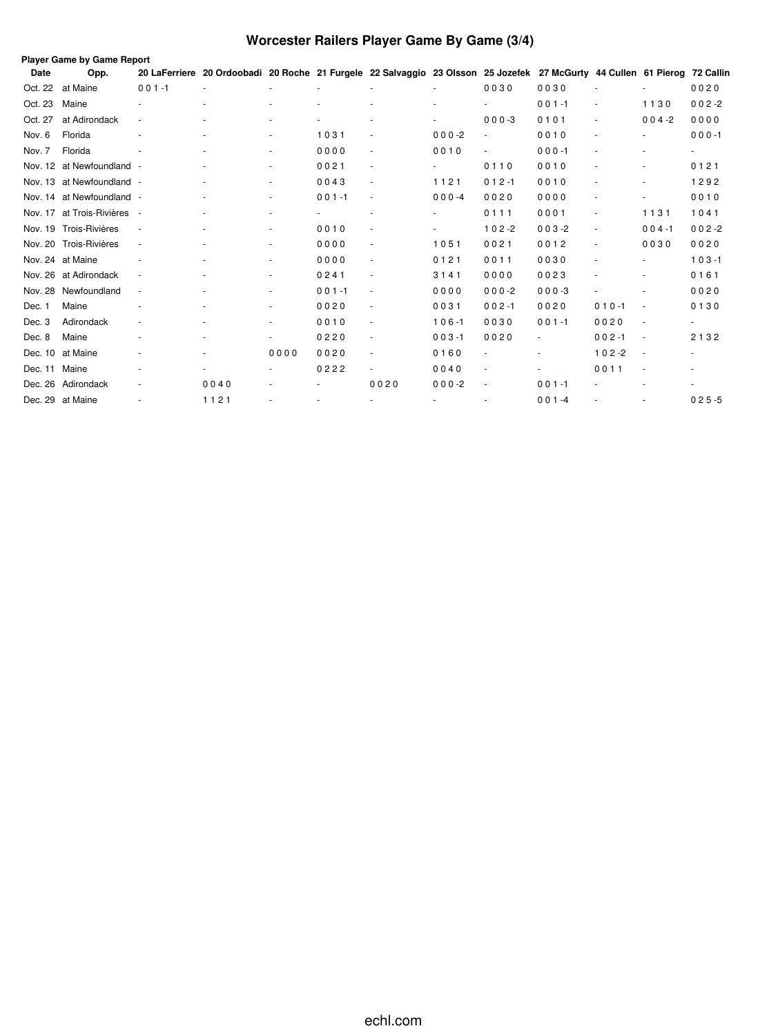# **Worcester Railers Player Game By Game (3/4)**

|         | Player Game by Game Report  |                          |                                                                                                                           |                          |           |      |           |                          |           |           |                          |                  |
|---------|-----------------------------|--------------------------|---------------------------------------------------------------------------------------------------------------------------|--------------------------|-----------|------|-----------|--------------------------|-----------|-----------|--------------------------|------------------|
| Date    | Opp.                        |                          | 20 LaFerriere 20 Ordoobadi 20 Roche 21 Furgele 22 Salvaggio 23 Olsson 25 Jozefek 27 McGurty 44 Cullen 61 Pierog 72 Callin |                          |           |      |           |                          |           |           |                          |                  |
| Oct. 22 | at Maine                    | $001 - 1$                |                                                                                                                           |                          |           |      |           | 0030                     | 0030      |           |                          | 0020             |
| Oct. 23 | Maine                       |                          |                                                                                                                           |                          |           |      |           |                          | $001 - 1$ |           | 1130                     | $002 - 2$        |
| Oct. 27 | at Adirondack               | $\overline{\phantom{a}}$ |                                                                                                                           |                          |           |      |           | $000 - 3$                | 0101      |           | $004 - 2$                | 0000             |
| Nov. 6  | Florida                     |                          |                                                                                                                           | ٠                        | 1031      |      | $000 - 2$ |                          | 0010      |           |                          | $000 - 1$        |
| Nov. 7  | Florida                     |                          |                                                                                                                           | $\overline{\phantom{a}}$ | 0000      |      | 0010      | ÷.                       | $000 - 1$ |           |                          | $\sim$ 100 $\mu$ |
|         | Nov. 12 at Newfoundland -   |                          |                                                                                                                           | ٠                        | 0021      |      |           | 0110                     | 0010      |           | ٠                        | 0121             |
|         | Nov. 13 at Newfoundland -   |                          |                                                                                                                           | ٠                        | 0043      |      | 1121      | $012 - 1$                | 0010      |           | ٠                        | 1292             |
|         | Nov. 14 at Newfoundland -   |                          |                                                                                                                           | $\overline{\phantom{a}}$ | $001 - 1$ |      | $000 -4$  | 0020                     | 0000      |           |                          | 0010             |
|         | Nov. 17 at Trois-Rivières - |                          |                                                                                                                           | $\overline{\phantom{a}}$ |           |      |           | 0111                     | 0001      |           | 1131                     | 1041             |
|         | Nov. 19 Trois-Rivières      |                          |                                                                                                                           | ٠                        | 0010      |      |           | $102 - 2$                | $003 - 2$ |           | $004 - 1$                | $002 - 2$        |
|         | Nov. 20 Trois-Rivières      | $\overline{\phantom{a}}$ |                                                                                                                           | ٠                        | 0000      |      | 1051      | 0021                     | 0012      |           | 0030                     | 0020             |
|         | Nov. 24 at Maine            |                          |                                                                                                                           | ٠                        | 0000      |      | 0121      | 0011                     | 0030      |           |                          | $103 - 1$        |
|         | Nov. 26 at Adirondack       |                          |                                                                                                                           | ٠                        | 0241      |      | 3141      | 0000                     | 0023      |           |                          | 0161             |
| Nov. 28 | Newfoundland                | $\sim$                   |                                                                                                                           | ٠                        | $001 - 1$ |      | 0000      | $000-2$                  | $000-3$   |           | ٠                        | 0020             |
| Dec. 1  | Maine                       |                          |                                                                                                                           | ٠                        | 0020      |      | 0031      | $002 - 1$                | 0020      | $010 - 1$ | $\sim$                   | 0130             |
| Dec. 3  | Adirondack                  |                          |                                                                                                                           | ٠                        | 0010      |      | $106 - 1$ | 0030                     | $001 - 1$ | 0020      | $\sim$                   |                  |
| Dec. 8  | Maine                       |                          |                                                                                                                           | ٠                        | 0220      |      | $003 - 1$ | 0020                     |           | $002 - 1$ | $\sim$                   | 2132             |
| Dec. 10 | at Maine                    |                          |                                                                                                                           | 0000                     | 0020      |      | 0160      |                          |           | $102 - 2$ | $\sim$                   |                  |
| Dec. 11 | Maine                       |                          |                                                                                                                           |                          | 0222      |      | 0040      |                          |           | 0011      | $\overline{\phantom{a}}$ |                  |
|         | Dec. 26 Adirondack          |                          | 0040                                                                                                                      | ٠                        |           | 0020 | $000-2$   | $\overline{\phantom{a}}$ | $001 - 1$ |           |                          |                  |
|         | Dec. 29 at Maine            |                          | 1121                                                                                                                      |                          |           |      |           |                          | $001 -4$  |           |                          | $025 - 5$        |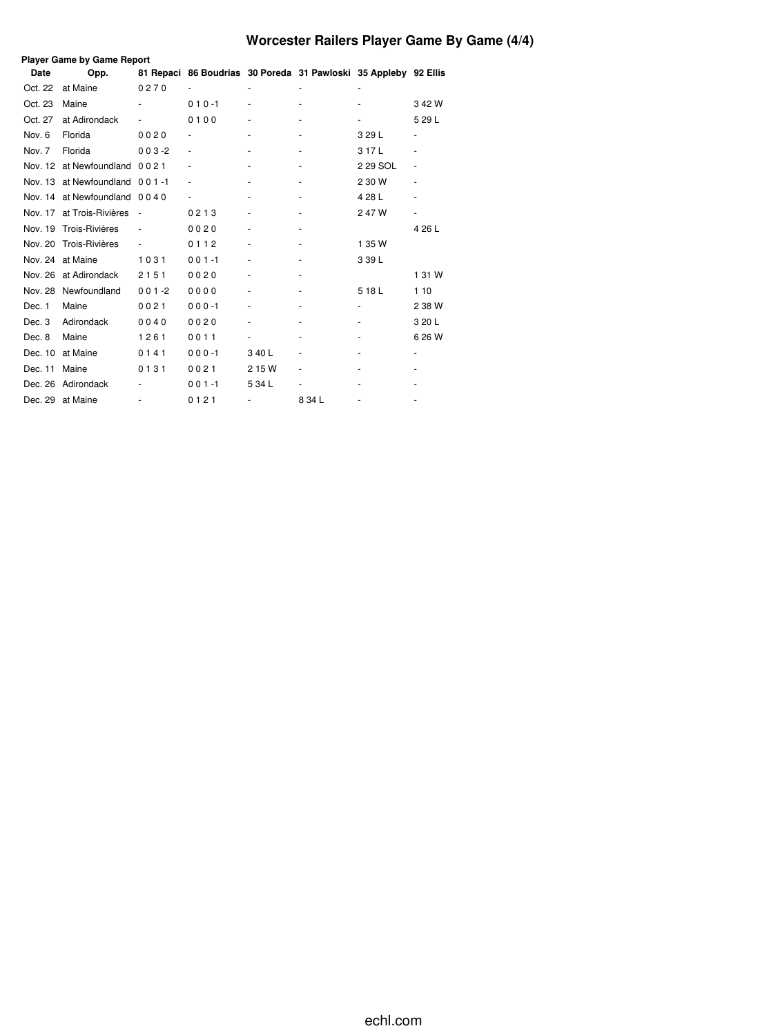# **Worcester Railers Player Game By Game (4/4)**

| Player Game by Game Report<br>81 Repaci 86 Boudrias 30 Poreda 31 Pawloski 35 Appleby 92 Ellis |                               |                          |           |        |        |          |        |  |
|-----------------------------------------------------------------------------------------------|-------------------------------|--------------------------|-----------|--------|--------|----------|--------|--|
| Date                                                                                          | Opp.                          |                          |           |        |        |          |        |  |
| Oct. 22                                                                                       | at Maine                      | 0270                     |           |        |        |          |        |  |
| Oct. 23                                                                                       | Maine                         |                          | $010 - 1$ |        |        |          | 342W   |  |
| Oct. 27                                                                                       | at Adirondack                 |                          | 0100      |        |        |          | 5 29 L |  |
| Nov. 6                                                                                        | Florida                       | 0020                     |           |        |        | 3 29 L   |        |  |
| Nov. 7                                                                                        | Florida                       | $003 - 2$                |           |        |        | 317L     |        |  |
|                                                                                               | Nov. 12 at Newfoundland       | 0021                     |           |        |        | 2 29 SOL |        |  |
|                                                                                               | Nov. 13 at Newfoundland 001-1 |                          |           |        |        | 2 30 W   |        |  |
|                                                                                               | Nov. 14 at Newfoundland 0040  |                          |           |        |        | 4 28 L   |        |  |
|                                                                                               | Nov. 17 at Trois-Rivières     | $\overline{\phantom{a}}$ | 0213      |        |        | 247W     |        |  |
|                                                                                               | Nov. 19 Trois-Rivières        |                          | 0020      |        |        |          | 4 26 L |  |
|                                                                                               | Nov. 20 Trois-Rivières        |                          | 0112      |        |        | 1 35 W   |        |  |
|                                                                                               | Nov. 24 at Maine              | 1031                     | $001 - 1$ |        |        | 3 39 L   |        |  |
|                                                                                               | Nov. 26 at Adirondack         | 2151                     | 0020      |        |        |          | 1 31 W |  |
|                                                                                               | Nov. 28 Newfoundland          | $001 - 2$                | 0000      |        |        | 518L     | 1 10   |  |
| Dec. 1                                                                                        | Maine                         | 0021                     | $000 - 1$ |        |        |          | 2 38 W |  |
| Dec. 3                                                                                        | Adirondack                    | 0040                     | 0020      |        |        |          | 3 20 L |  |
| Dec. 8                                                                                        | Maine                         | 1261                     | 0011      |        |        |          | 6 26 W |  |
| Dec. 10                                                                                       | at Maine                      | 0141                     | $000 - 1$ | 340L   |        |          |        |  |
| Dec. 11                                                                                       | Maine                         | 0131                     | 0021      | 2 15 W |        |          |        |  |
| Dec. 26                                                                                       | Adirondack                    |                          | $001 - 1$ | 5 34 L |        |          |        |  |
|                                                                                               | Dec. 29 at Maine              | ٠                        | 0121      |        | 8 34 L |          |        |  |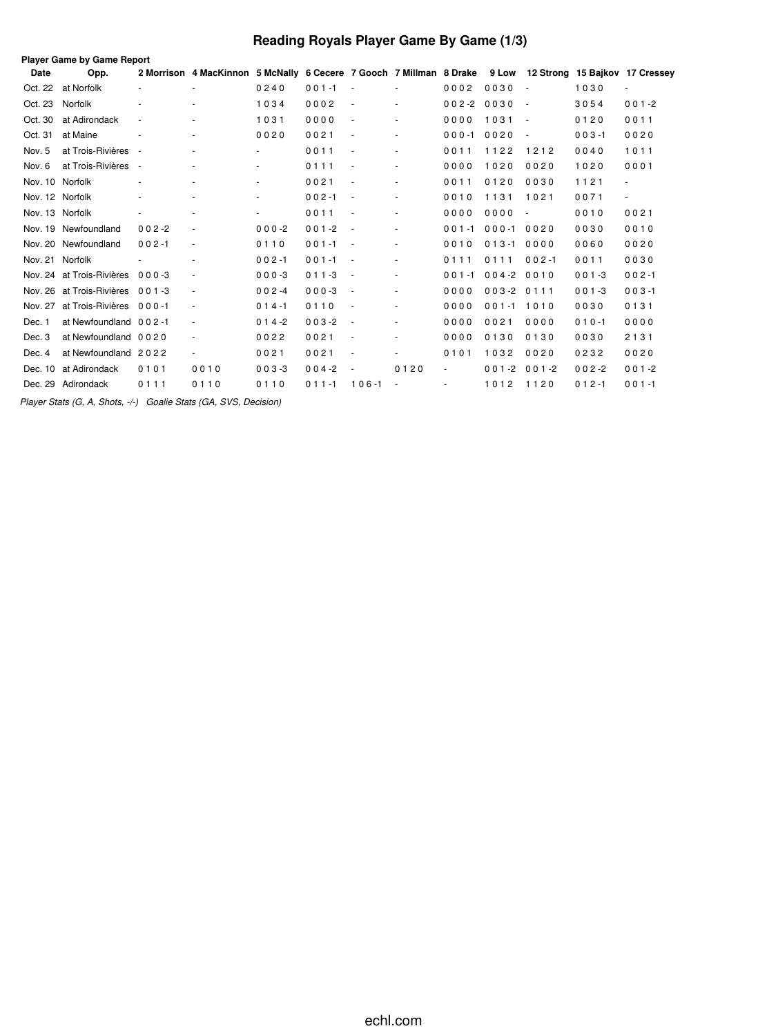# **Reading Royals Player Game By Game (1/3)**

|                 | <b>Player Game by Game Report</b> |                          |                                                                                                          |                          |           |                          |        |                          |           |                          |           |                          |
|-----------------|-----------------------------------|--------------------------|----------------------------------------------------------------------------------------------------------|--------------------------|-----------|--------------------------|--------|--------------------------|-----------|--------------------------|-----------|--------------------------|
| Date            | Opp.                              |                          | 2 Morrison 4 MacKinnon 5 McNally 6 Cecere 7 Gooch 7 Millman 8 Drake 9 Low 12 Strong 15 Bajkov 17 Cressey |                          |           |                          |        |                          |           |                          |           |                          |
| Oct. 22         | at Norfolk                        | $\overline{\phantom{a}}$ |                                                                                                          | 0240                     | $001 - 1$ |                          |        | 0002                     | 0030      | $\sim$                   | 1030      | $\overline{\phantom{a}}$ |
| Oct. 23         | Norfolk                           | $\overline{\phantom{a}}$ |                                                                                                          | 1034                     | 0002      | $\overline{\phantom{a}}$ |        | $002 - 2$                | 0030      | $\sim$                   | 3054      | $001 - 2$                |
| Oct. 30         | at Adirondack                     | $\overline{\phantom{a}}$ |                                                                                                          | 1031                     | 0000      | $\sim$                   | ٠      | 0000                     | 1031      | $\sim$                   | 0120      | 0011                     |
| Oct. 31         | at Maine                          |                          |                                                                                                          | 0020                     | 0021      |                          |        | $000 - 1$                | 0020      | $\sim$                   | $003 - 1$ | 0020                     |
| Nov. 5          | at Trois-Rivières                 | $\sim$                   |                                                                                                          | $\overline{\phantom{0}}$ | 0011      |                          | $\sim$ | 0011                     | 1122      | 1212                     | 0040      | 1011                     |
| Nov. 6          | at Trois-Rivières                 | $\overline{\phantom{a}}$ |                                                                                                          | ٠                        | 0111      |                          | $\sim$ | 0000                     | 1020      | 0020                     | 1020      | 0001                     |
|                 | Nov. 10 Norfolk                   | ٠                        |                                                                                                          |                          | 0021      |                          |        | 0011                     | 0120      | 0030                     | 1121      | ÷.                       |
| Nov. 12 Norfolk |                                   | $\overline{\phantom{a}}$ |                                                                                                          |                          | $002 - 1$ | $\sim$                   | $\sim$ | 0010                     | 1131      | 1021                     | 0071      | $\omega$                 |
| Nov. 13 Norfolk |                                   | $\overline{\phantom{a}}$ |                                                                                                          | $\overline{\phantom{a}}$ | 0011      | $\sim$                   | ٠      | 0000                     | 0000      | $\overline{\phantom{a}}$ | 0010      | 0021                     |
|                 | Nov. 19 Newfoundland              | $002 - 2$                | $\overline{\phantom{a}}$                                                                                 | $000 - 2$                | $001 - 2$ | $\sim$                   | ٠      | $001 - 1$                | $000 - 1$ | 0020                     | 0030      | 0010                     |
|                 | Nov. 20 Newfoundland              | $002 - 1$                | $\overline{\phantom{a}}$                                                                                 | 0110                     | $001 - 1$ | $\sim$                   |        | 0010                     | $013 - 1$ | 0000                     | 0060      | 0020                     |
|                 | Nov. 21 Norfolk                   |                          |                                                                                                          | $002 - 1$                | $001 - 1$ |                          | $\sim$ | 0111                     | 0111      | $002 - 1$                | 0011      | 0030                     |
|                 | Nov. 24 at Trois-Rivières         | $000 - 3$                |                                                                                                          | $000 - 3$                | $011 - 3$ | $\sim$                   |        | $001 - 1$                | $004 - 2$ | 0010                     | $001 - 3$ | $002 - 1$                |
|                 | Nov. 26 at Trois-Rivières         | $0.01 - 3$               | $\sim$                                                                                                   | $002 -4$                 | $000-3$   | $\sim$                   |        | 0000                     | $003 - 2$ | 0111                     | $001 - 3$ | $003 - 1$                |
| Nov. 27         | at Trois-Rivières 000-1           |                          |                                                                                                          | $014 - 1$                | 0110      |                          |        | 0000                     | $001 - 1$ | 1010                     | 0030      | 0131                     |
| Dec. 1          | at Newfoundland 002-1             |                          | $\overline{\phantom{a}}$                                                                                 | $014 - 2$                | $003 - 2$ | $\sim$                   |        | 0000                     | 0021      | 0000                     | $010 - 1$ | 0000                     |
| Dec. 3          | at Newfoundland 0020              |                          |                                                                                                          | 0022                     | 0021      |                          |        | 0000                     | 0130      | 0130                     | 0030      | 2131                     |
| Dec. 4          | at Newfoundland 2022              |                          | $\sim$                                                                                                   | 0021                     | 0021      | $\overline{\phantom{a}}$ |        | 0101                     | 1032      | 0020                     | 0232      | 0020                     |
| Dec. 10         | at Adirondack                     | 0101                     | 0010                                                                                                     | $003 - 3$                | $004 - 2$ |                          | 0120   | ä,                       | $001 - 2$ | $001 - 2$                | $002 - 2$ | $001 - 2$                |
|                 | Dec. 29 Adirondack                | 0111                     | 0110                                                                                                     | 0110                     | $011 - 1$ | $106 - 1$                |        | $\overline{\phantom{a}}$ | 1012      | 1120                     | $012 - 1$ | $001 - 1$                |

*Player Stats (G, A, Shots, -/-) Goalie Stats (GA, SVS, Decision)*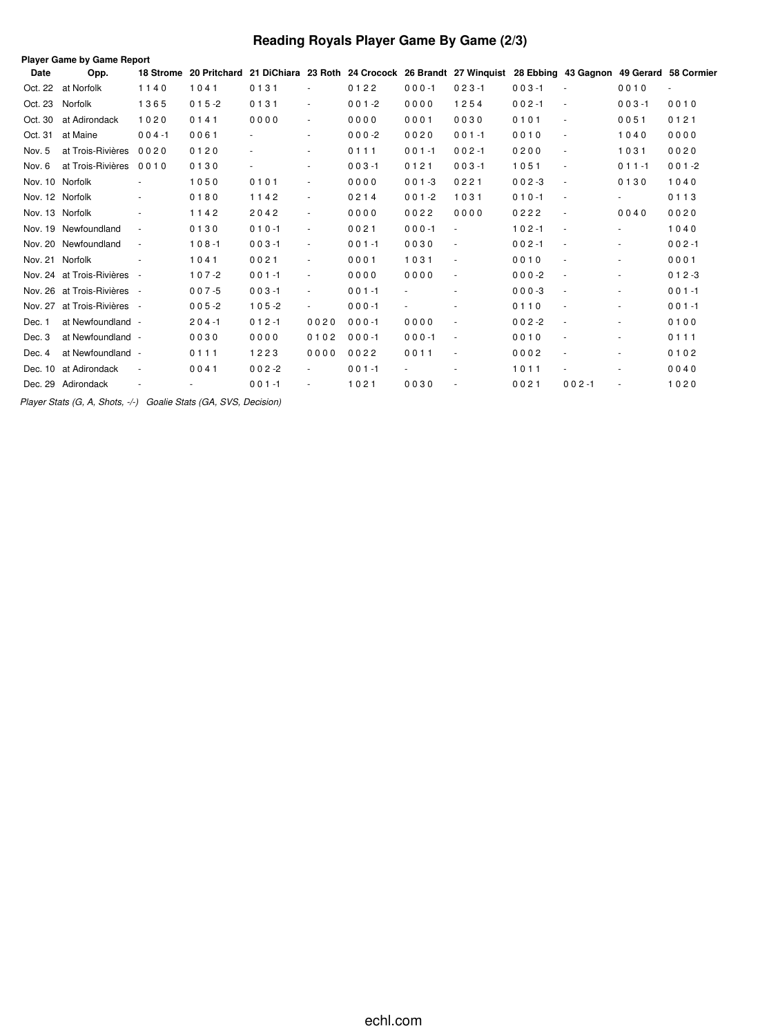# **Reading Royals Player Game By Game (2/3)**

| Player Game by Game Report |                             |                          |                                                                                                                      |                |                          |           |                          |                          |           |                          |                          |           |
|----------------------------|-----------------------------|--------------------------|----------------------------------------------------------------------------------------------------------------------|----------------|--------------------------|-----------|--------------------------|--------------------------|-----------|--------------------------|--------------------------|-----------|
| Date                       | Opp.                        |                          | 18 Strome 20 Pritchard 21 DiChiara 23 Roth 24 Crocock 26 Brandt 27 Winguist 28 Ebbing 43 Gagnon 49 Gerard 58 Cormier |                |                          |           |                          |                          |           |                          |                          |           |
| Oct. 22                    | at Norfolk                  | 1140                     | 1041                                                                                                                 | 0131           | ٠                        | 0122      | $000 - 1$                | $023 - 1$                | $003 - 1$ | $\blacksquare$           | 0010                     | ÷.        |
| Oct. 23                    | Norfolk                     | 1365                     | $015 - 2$                                                                                                            | 0131           | $\sim$                   | $001 - 2$ | 0000                     | 1254                     | $002 - 1$ | $\blacksquare$           | $003 - 1$                | 0010      |
| Oct. 30                    | at Adirondack               | 1020                     | 0141                                                                                                                 | 0000           | $\overline{\phantom{a}}$ | 0000      | 0001                     | 0030                     | 0101      | $\blacksquare$           | 0051                     | 0121      |
| Oct. 31                    | at Maine                    | $004 - 1$                | 0061                                                                                                                 |                | $\overline{\phantom{a}}$ | $000-2$   | 0020                     | $001 - 1$                | 0010      | $\omega$                 | 1040                     | 0000      |
| Nov. 5                     | at Trois-Rivières           | 0020                     | 0120                                                                                                                 |                | ٠                        | 0111      | $001 - 1$                | $002 - 1$                | 0200      | $\overline{\phantom{a}}$ | 1031                     | 0020      |
| Nov. 6                     | at Trois-Rivières           | 0010                     | 0130                                                                                                                 | $\blacksquare$ | $\overline{\phantom{a}}$ | $003 - 1$ | 0121                     | $003 - 1$                | 1051      | $\overline{\phantom{a}}$ | $011 - 1$                | $001 - 2$ |
|                            | Nov. 10 Norfolk             |                          | 1050                                                                                                                 | 0101           | $\sim$                   | 0000      | $001 - 3$                | 0221                     | $002 - 3$ | $\blacksquare$           | 0130                     | 1040      |
|                            | Nov. 12 Norfolk             |                          | 0180                                                                                                                 | 1142           | $\blacksquare$           | 0214      | $001 - 2$                | 1031                     | $010 - 1$ | $\overline{\phantom{a}}$ | $\sim$                   | 0113      |
|                            | Nov. 13 Norfolk             |                          | 1142                                                                                                                 | 2042           | $\overline{\phantom{a}}$ | 0000      | 0022                     | 0000                     | 0222      | $\blacksquare$           | 0040                     | 0020      |
|                            | Nov. 19 Newfoundland        | $\overline{\phantom{a}}$ | 0130                                                                                                                 | $010 - 1$      | $\sim$                   | 0021      | $000 - 1$                | $\overline{\phantom{a}}$ | $102 - 1$ | $\blacksquare$           | $\sim$                   | 1040      |
|                            | Nov. 20 Newfoundland        | $\overline{\phantom{a}}$ | $108 - 1$                                                                                                            | $003 - 1$      | $\overline{\phantom{a}}$ | $001 - 1$ | 0030                     | $\sim$                   | $002 - 1$ | $\sim$                   | $\blacksquare$           | $002 - 1$ |
|                            | Nov. 21 Norfolk             |                          | 1041                                                                                                                 | 0021           | $\sim$                   | 0001      | 1031                     | $\sim$                   | 0010      | $\blacksquare$           | $\overline{\phantom{a}}$ | 0001      |
|                            | Nov. 24 at Trois-Rivières - |                          | $107 - 2$                                                                                                            | $001 - 1$      | $\overline{\phantom{a}}$ | 0000      | 0000                     | $\overline{\phantom{a}}$ | $000-2$   | $\overline{\phantom{a}}$ | $\overline{\phantom{a}}$ | $012 - 3$ |
|                            | Nov. 26 at Trois-Rivières - |                          | $007 - 5$                                                                                                            | $003 - 1$      | $\overline{\phantom{a}}$ | $001 - 1$ | $\overline{\phantom{a}}$ |                          | $000-3$   | $\overline{\phantom{a}}$ | $\overline{\phantom{a}}$ | $001 - 1$ |
|                            | Nov. 27 at Trois-Rivières - |                          | $005 - 2$                                                                                                            | $105 - 2$      |                          | $000 - 1$ |                          |                          | 0110      | $\overline{\phantom{a}}$ | $\overline{\phantom{a}}$ | $001 - 1$ |
| Dec. 1                     | at Newfoundland -           |                          | $204 - 1$                                                                                                            | $012 - 1$      | 0020                     | $000 - 1$ | 0000                     | $\overline{\phantom{a}}$ | $002 - 2$ | $\overline{\phantom{a}}$ | $\overline{\phantom{0}}$ | 0100      |
| Dec. 3                     | at Newfoundland -           |                          | 0030                                                                                                                 | 0000           | 0102                     | $000 - 1$ | $000 - 1$                | $\overline{\phantom{a}}$ | 0010      | $\sim$                   | ٠                        | 0111      |
| Dec. 4                     | at Newfoundland -           |                          | 0111                                                                                                                 | 1223           | 0000                     | 0022      | 0011                     | $\overline{\phantom{a}}$ | 0002      | $\blacksquare$           | $\overline{\phantom{a}}$ | 0102      |
|                            | Dec. 10 at Adirondack       | $\overline{\phantom{a}}$ | 0041                                                                                                                 | $002 - 2$      | $\sim$                   | $001 - 1$ |                          |                          | 1011      |                          | $\sim$                   | 0040      |
|                            | Dec. 29 Adirondack          | $\overline{\phantom{a}}$ |                                                                                                                      | $001 - 1$      | $\overline{\phantom{a}}$ | 1021      | 0030                     |                          | 0021      | $002 - 1$                | $\overline{\phantom{a}}$ | 1020      |

*Player Stats (G, A, Shots, -/-) Goalie Stats (GA, SVS, Decision)*